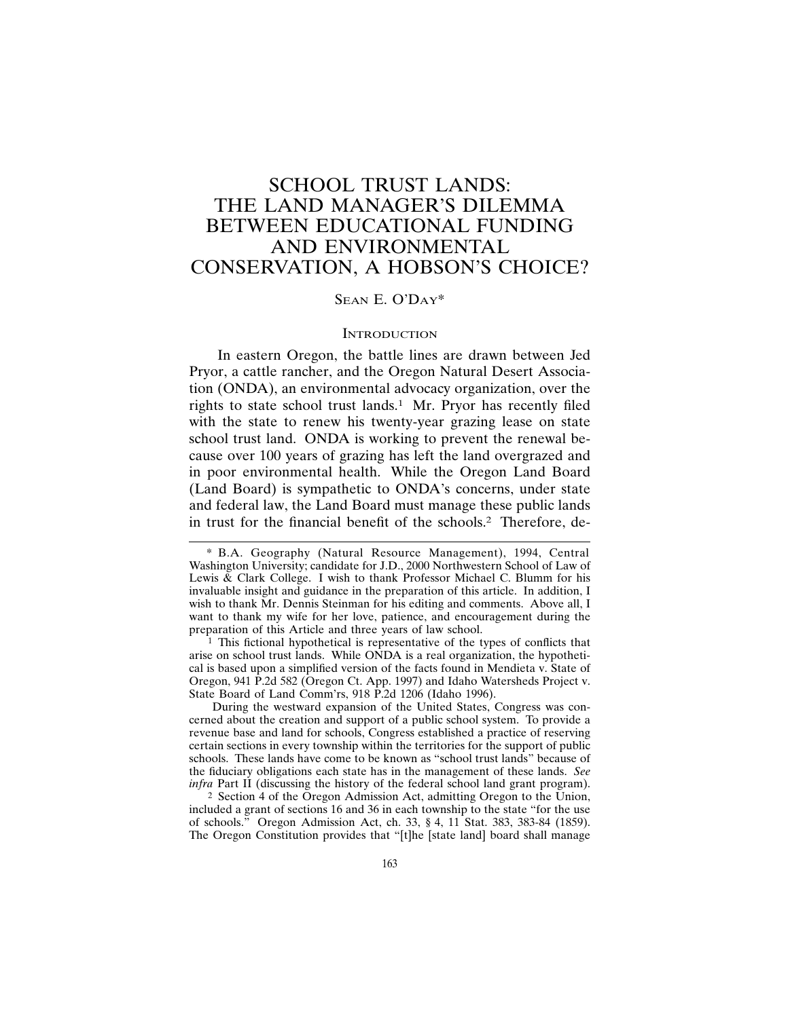# SCHOOL TRUST LANDS: THE LAND MANAGER'S DILEMMA BETWEEN EDUCATIONAL FUNDING AND ENVIRONMENTAL CONSERVATION, A HOBSON'S CHOICE?

# SEAN E. O'DAY\*

# **INTRODUCTION**

In eastern Oregon, the battle lines are drawn between Jed Pryor, a cattle rancher, and the Oregon Natural Desert Association (ONDA), an environmental advocacy organization, over the rights to state school trust lands.<sup>1</sup> Mr. Pryor has recently filed with the state to renew his twenty-year grazing lease on state school trust land. ONDA is working to prevent the renewal because over 100 years of grazing has left the land overgrazed and in poor environmental health. While the Oregon Land Board (Land Board) is sympathetic to ONDA's concerns, under state and federal law, the Land Board must manage these public lands in trust for the financial benefit of the schools.2 Therefore, de-

 $1$  This fictional hypothetical is representative of the types of conflicts that arise on school trust lands. While ONDA is a real organization, the hypothetical is based upon a simplified version of the facts found in Mendieta v. State of Oregon, 941 P.2d 582 (Oregon Ct. App. 1997) and Idaho Watersheds Project v. State Board of Land Comm'rs, 918 P.2d 1206 (Idaho 1996).

During the westward expansion of the United States, Congress was concerned about the creation and support of a public school system. To provide a revenue base and land for schools, Congress established a practice of reserving certain sections in every township within the territories for the support of public schools. These lands have come to be known as "school trust lands" because of the fiduciary obligations each state has in the management of these lands. *See infra* Part II (discussing the history of the federal school land grant program).

2 Section 4 of the Oregon Admission Act, admitting Oregon to the Union, included a grant of sections 16 and 36 in each township to the state "for the use of schools." Oregon Admission Act, ch. 33, § 4, 11 Stat. 383, 383-84 (1859). The Oregon Constitution provides that "[t]he [state land] board shall manage

<sup>\*</sup> B.A. Geography (Natural Resource Management), 1994, Central Washington University; candidate for J.D., 2000 Northwestern School of Law of Lewis & Clark College. I wish to thank Professor Michael C. Blumm for his invaluable insight and guidance in the preparation of this article. In addition, I wish to thank Mr. Dennis Steinman for his editing and comments. Above all, I want to thank my wife for her love, patience, and encouragement during the preparation of this Article and three years of law school.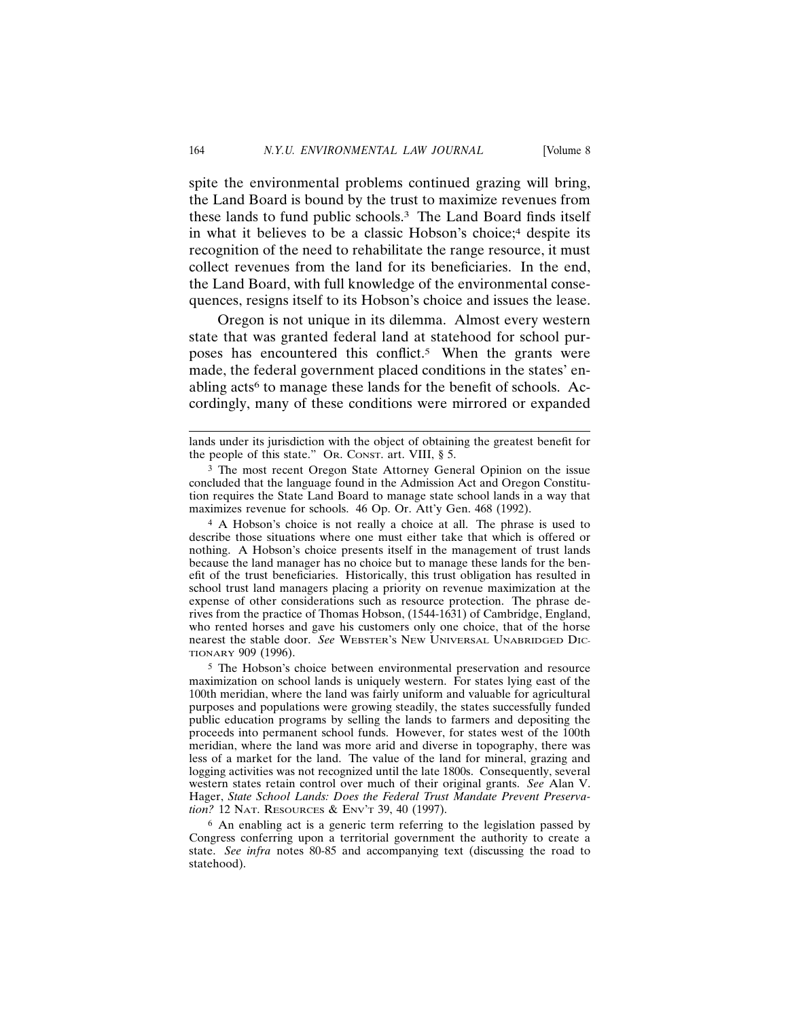spite the environmental problems continued grazing will bring, the Land Board is bound by the trust to maximize revenues from these lands to fund public schools.3 The Land Board finds itself in what it believes to be a classic Hobson's choice;<sup>4</sup> despite its recognition of the need to rehabilitate the range resource, it must collect revenues from the land for its beneficiaries. In the end, the Land Board, with full knowledge of the environmental consequences, resigns itself to its Hobson's choice and issues the lease.

Oregon is not unique in its dilemma. Almost every western state that was granted federal land at statehood for school purposes has encountered this conflict.<sup>5</sup> When the grants were made, the federal government placed conditions in the states' enabling acts<sup>6</sup> to manage these lands for the benefit of schools. Accordingly, many of these conditions were mirrored or expanded

4 A Hobson's choice is not really a choice at all. The phrase is used to describe those situations where one must either take that which is offered or nothing. A Hobson's choice presents itself in the management of trust lands because the land manager has no choice but to manage these lands for the benefit of the trust beneficiaries. Historically, this trust obligation has resulted in school trust land managers placing a priority on revenue maximization at the expense of other considerations such as resource protection. The phrase derives from the practice of Thomas Hobson, (1544-1631) of Cambridge, England, who rented horses and gave his customers only one choice, that of the horse nearest the stable door. *See* WEBSTER'S NEW UNIVERSAL UNABRIDGED DIC-TIONARY 909 (1996).

5 The Hobson's choice between environmental preservation and resource maximization on school lands is uniquely western. For states lying east of the 100th meridian, where the land was fairly uniform and valuable for agricultural purposes and populations were growing steadily, the states successfully funded public education programs by selling the lands to farmers and depositing the proceeds into permanent school funds. However, for states west of the 100th meridian, where the land was more arid and diverse in topography, there was less of a market for the land. The value of the land for mineral, grazing and logging activities was not recognized until the late 1800s. Consequently, several western states retain control over much of their original grants. *See* Alan V. Hager, *State School Lands: Does the Federal Trust Mandate Prevent Preservation?* 12 NAT. RESOURCES & ENV'T 39, 40 (1997).

6 An enabling act is a generic term referring to the legislation passed by Congress conferring upon a territorial government the authority to create a state. *See infra* notes 80-85 and accompanying text (discussing the road to statehood).

lands under its jurisdiction with the object of obtaining the greatest benefit for the people of this state." OR. CONST. art. VIII, § 5.

<sup>3</sup> The most recent Oregon State Attorney General Opinion on the issue concluded that the language found in the Admission Act and Oregon Constitution requires the State Land Board to manage state school lands in a way that maximizes revenue for schools. 46 Op. Or. Att'y Gen. 468 (1992).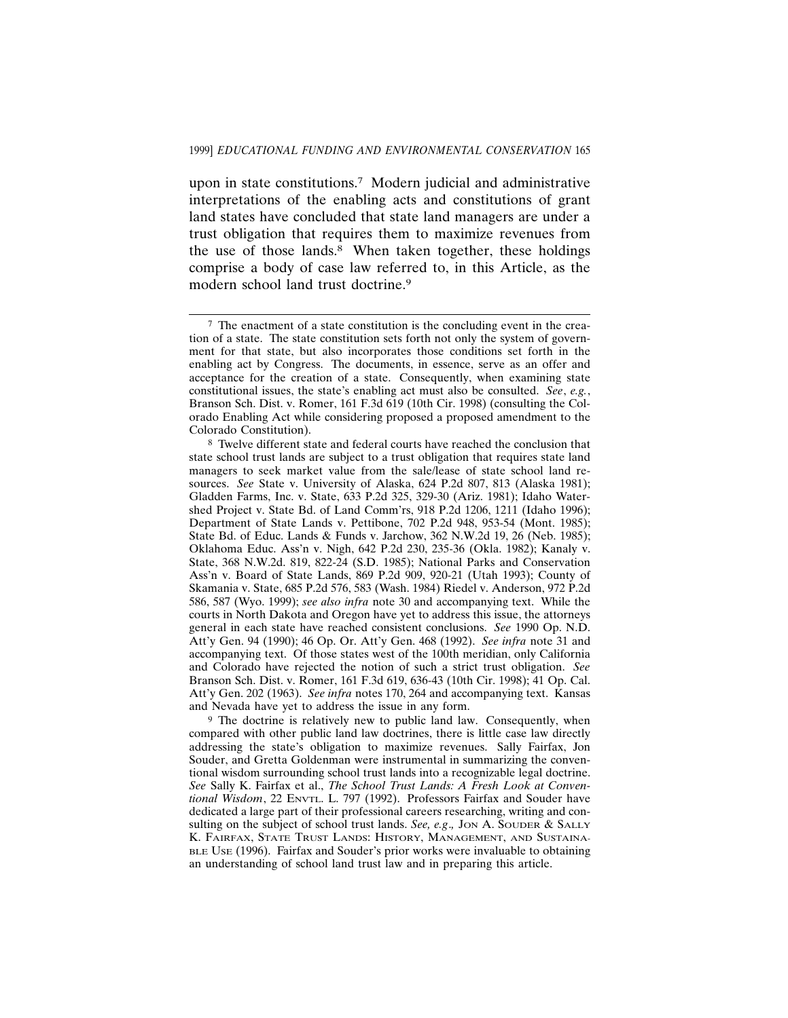upon in state constitutions.7 Modern judicial and administrative interpretations of the enabling acts and constitutions of grant land states have concluded that state land managers are under a trust obligation that requires them to maximize revenues from the use of those lands.8 When taken together, these holdings comprise a body of case law referred to, in this Article, as the modern school land trust doctrine.9

<sup>7</sup> The enactment of a state constitution is the concluding event in the creation of a state. The state constitution sets forth not only the system of government for that state, but also incorporates those conditions set forth in the enabling act by Congress. The documents, in essence, serve as an offer and acceptance for the creation of a state. Consequently, when examining state constitutional issues, the state's enabling act must also be consulted. *See*, *e.g.*, Branson Sch. Dist. v. Romer, 161 F.3d 619 (10th Cir. 1998) (consulting the Colorado Enabling Act while considering proposed a proposed amendment to the Colorado Constitution).

<sup>8</sup> Twelve different state and federal courts have reached the conclusion that state school trust lands are subject to a trust obligation that requires state land managers to seek market value from the sale/lease of state school land resources. *See* State v. University of Alaska, 624 P.2d 807, 813 (Alaska 1981); Gladden Farms, Inc. v. State, 633 P.2d 325, 329-30 (Ariz. 1981); Idaho Watershed Project v. State Bd. of Land Comm'rs, 918 P.2d 1206, 1211 (Idaho 1996); Department of State Lands v. Pettibone, 702 P.2d 948, 953-54 (Mont. 1985); State Bd. of Educ. Lands & Funds v. Jarchow, 362 N.W.2d 19, 26 (Neb. 1985); Oklahoma Educ. Ass'n v. Nigh, 642 P.2d 230, 235-36 (Okla. 1982); Kanaly v. State, 368 N.W.2d. 819, 822-24 (S.D. 1985); National Parks and Conservation Ass'n v. Board of State Lands, 869 P.2d 909, 920-21 (Utah 1993); County of Skamania v. State, 685 P.2d 576, 583 (Wash. 1984) Riedel v. Anderson, 972 P.2d 586, 587 (Wyo. 1999); *see also infra* note 30 and accompanying text. While the courts in North Dakota and Oregon have yet to address this issue, the attorneys general in each state have reached consistent conclusions. *See* 1990 Op. N.D. Att'y Gen. 94 (1990); 46 Op. Or. Att'y Gen. 468 (1992). *See infra* note 31 and accompanying text. Of those states west of the 100th meridian, only California and Colorado have rejected the notion of such a strict trust obligation. *See* Branson Sch. Dist. v. Romer, 161 F.3d 619, 636-43 (10th Cir. 1998); 41 Op. Cal. Att'y Gen. 202 (1963). *See infra* notes 170, 264 and accompanying text. Kansas and Nevada have yet to address the issue in any form.

<sup>&</sup>lt;sup>9</sup> The doctrine is relatively new to public land law. Consequently, when compared with other public land law doctrines, there is little case law directly addressing the state's obligation to maximize revenues. Sally Fairfax, Jon Souder, and Gretta Goldenman were instrumental in summarizing the conventional wisdom surrounding school trust lands into a recognizable legal doctrine. *See* Sally K. Fairfax et al., *The School Trust Lands: A Fresh Look at Conventional Wisdom*, 22 ENVTL. L. 797 (1992). Professors Fairfax and Souder have dedicated a large part of their professional careers researching, writing and consulting on the subject of school trust lands. *See, e.g*.*,* JON A. SOUDER & SALLY K. FAIRFAX, STATE TRUST LANDS: HISTORY, MANAGEMENT, AND SUSTAINA-BLE USE (1996). Fairfax and Souder's prior works were invaluable to obtaining an understanding of school land trust law and in preparing this article.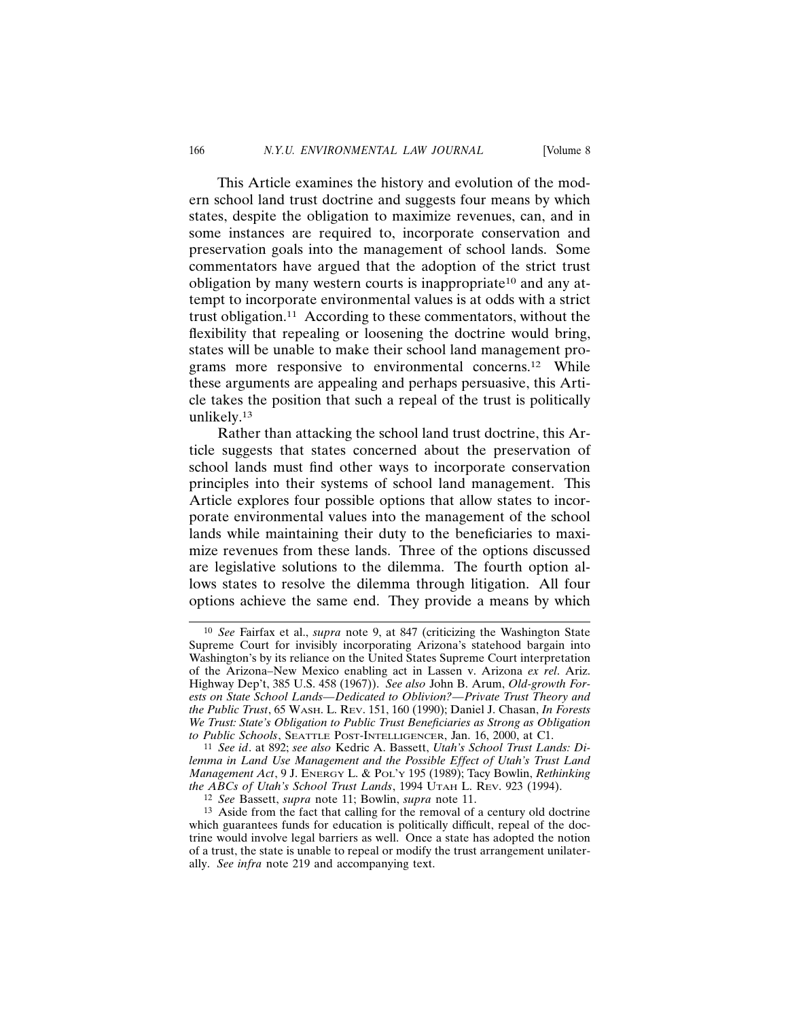This Article examines the history and evolution of the modern school land trust doctrine and suggests four means by which states, despite the obligation to maximize revenues, can, and in some instances are required to, incorporate conservation and preservation goals into the management of school lands. Some commentators have argued that the adoption of the strict trust obligation by many western courts is inappropriate<sup>10</sup> and any attempt to incorporate environmental values is at odds with a strict trust obligation.11 According to these commentators, without the flexibility that repealing or loosening the doctrine would bring, states will be unable to make their school land management programs more responsive to environmental concerns.12 While these arguments are appealing and perhaps persuasive, this Article takes the position that such a repeal of the trust is politically unlikely.13

Rather than attacking the school land trust doctrine, this Article suggests that states concerned about the preservation of school lands must find other ways to incorporate conservation principles into their systems of school land management. This Article explores four possible options that allow states to incorporate environmental values into the management of the school lands while maintaining their duty to the beneficiaries to maximize revenues from these lands. Three of the options discussed are legislative solutions to the dilemma. The fourth option allows states to resolve the dilemma through litigation. All four options achieve the same end. They provide a means by which

<sup>10</sup> *See* Fairfax et al., *supra* note 9, at 847 (criticizing the Washington State Supreme Court for invisibly incorporating Arizona's statehood bargain into Washington's by its reliance on the United States Supreme Court interpretation of the Arizona–New Mexico enabling act in Lassen v. Arizona *ex rel*. Ariz. Highway Dep't, 385 U.S. 458 (1967)). *See also* John B. Arum, *Old-growth Forests on State School Lands—Dedicated to Oblivion?—Private Trust Theory and the Public Trust*, 65 WASH. L. REV. 151, 160 (1990); Daniel J. Chasan, *In Forests We Trust: State's Obligation to Public Trust Beneficiaries as Strong as Obligation to Public Schools*, SEATTLE POST-INTELLIGENCER, Jan. 16, 2000, at C1.

<sup>11</sup> *See id*. at 892; *see also* Kedric A. Bassett, *Utah's School Trust Lands: Dilemma in Land Use Management and the Possible Effect of Utah's Trust Land Management Act*, 9 J. ENERGY L. & POL'Y 195 (1989); Tacy Bowlin, *Rethinking the ABCs of Utah's School Trust Lands*, 1994 UTAH L. REV. 923 (1994).

<sup>12</sup> *See* Bassett, *supra* note 11; Bowlin, *supra* note 11.

<sup>13</sup> Aside from the fact that calling for the removal of a century old doctrine which guarantees funds for education is politically difficult, repeal of the doctrine would involve legal barriers as well. Once a state has adopted the notion of a trust, the state is unable to repeal or modify the trust arrangement unilaterally. *See infra* note 219 and accompanying text.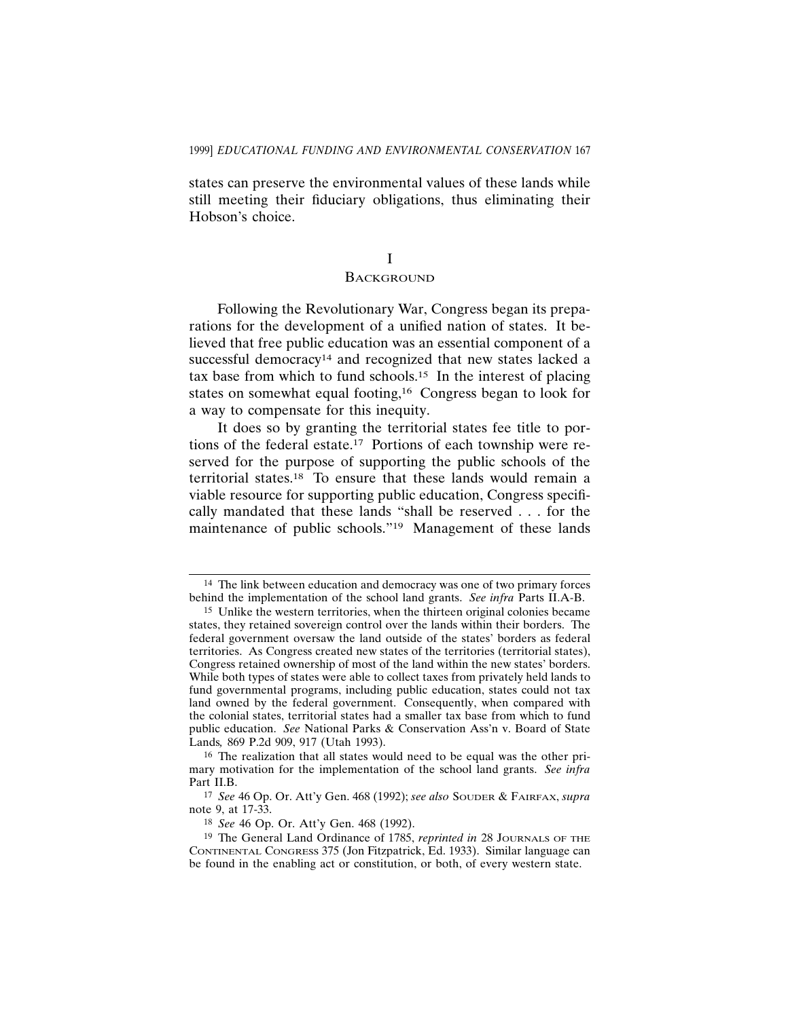states can preserve the environmental values of these lands while still meeting their fiduciary obligations, thus eliminating their Hobson's choice.

# I

# **BACKGROUND**

Following the Revolutionary War, Congress began its preparations for the development of a unified nation of states. It believed that free public education was an essential component of a successful democracy<sup>14</sup> and recognized that new states lacked a tax base from which to fund schools.15 In the interest of placing states on somewhat equal footing,<sup>16</sup> Congress began to look for a way to compensate for this inequity.

It does so by granting the territorial states fee title to portions of the federal estate.17 Portions of each township were reserved for the purpose of supporting the public schools of the territorial states.18 To ensure that these lands would remain a viable resource for supporting public education, Congress specifically mandated that these lands "shall be reserved . . . for the maintenance of public schools."19 Management of these lands

<sup>14</sup> The link between education and democracy was one of two primary forces behind the implementation of the school land grants. *See infra* Parts II.A-B.

<sup>15</sup> Unlike the western territories, when the thirteen original colonies became states, they retained sovereign control over the lands within their borders. The federal government oversaw the land outside of the states' borders as federal territories. As Congress created new states of the territories (territorial states), Congress retained ownership of most of the land within the new states' borders. While both types of states were able to collect taxes from privately held lands to fund governmental programs, including public education, states could not tax land owned by the federal government. Consequently, when compared with the colonial states, territorial states had a smaller tax base from which to fund public education. *See* National Parks & Conservation Ass'n v. Board of State Lands*,* 869 P.2d 909, 917 (Utah 1993).

<sup>16</sup> The realization that all states would need to be equal was the other primary motivation for the implementation of the school land grants. *See infra* Part II.B.

<sup>17</sup> *See* 46 Op. Or. Att'y Gen. 468 (1992); *see also* SOUDER & FAIRFAX, *supra* note 9, at 17-33.

<sup>18</sup> *See* 46 Op. Or. Att'y Gen. 468 (1992).

<sup>19</sup> The General Land Ordinance of 1785, *reprinted in* 28 JOURNALS OF THE CONTINENTAL CONGRESS 375 (Jon Fitzpatrick, Ed. 1933). Similar language can be found in the enabling act or constitution, or both, of every western state.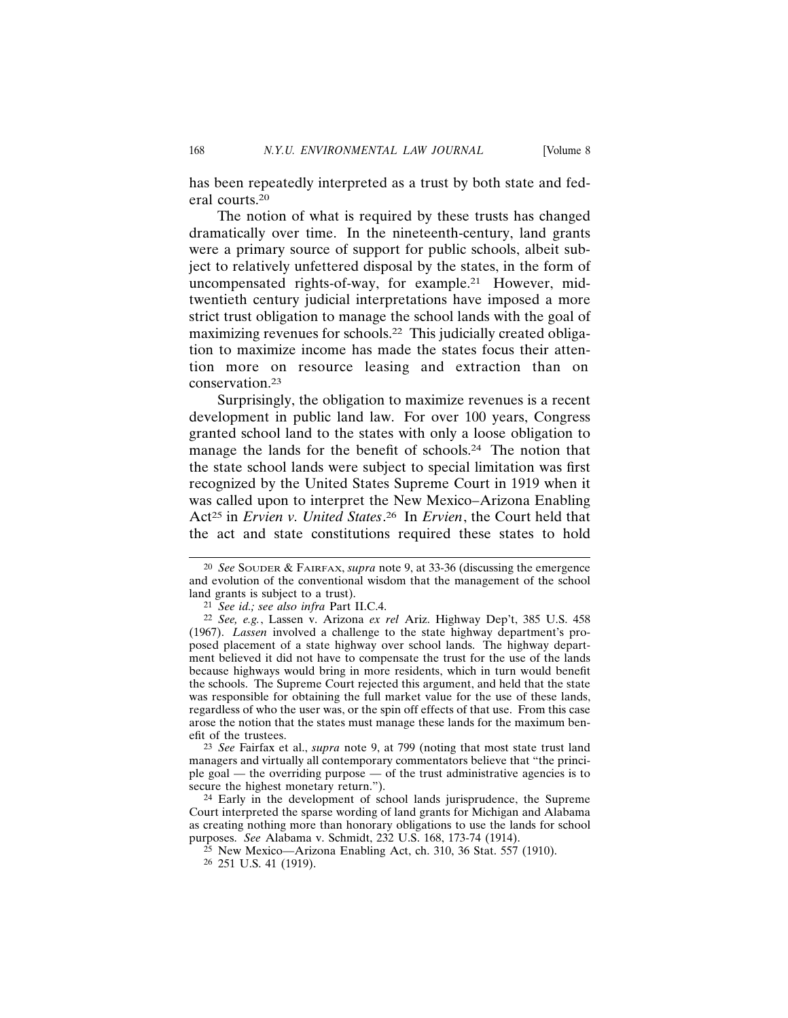has been repeatedly interpreted as a trust by both state and federal courts.20

The notion of what is required by these trusts has changed dramatically over time. In the nineteenth-century, land grants were a primary source of support for public schools, albeit subject to relatively unfettered disposal by the states, in the form of uncompensated rights-of-way, for example.21 However, midtwentieth century judicial interpretations have imposed a more strict trust obligation to manage the school lands with the goal of maximizing revenues for schools.22 This judicially created obligation to maximize income has made the states focus their attention more on resource leasing and extraction than on conservation.23

Surprisingly, the obligation to maximize revenues is a recent development in public land law. For over 100 years, Congress granted school land to the states with only a loose obligation to manage the lands for the benefit of schools.<sup>24</sup> The notion that the state school lands were subject to special limitation was first recognized by the United States Supreme Court in 1919 when it was called upon to interpret the New Mexico–Arizona Enabling Act25 in *Ervien v. United States*. 26 In *Ervien*, the Court held that the act and state constitutions required these states to hold

23 *See* Fairfax et al., *supra* note 9, at 799 (noting that most state trust land managers and virtually all contemporary commentators believe that "the principle goal — the overriding purpose — of the trust administrative agencies is to secure the highest monetary return.").

24 Early in the development of school lands jurisprudence, the Supreme Court interpreted the sparse wording of land grants for Michigan and Alabama as creating nothing more than honorary obligations to use the lands for school purposes. *See* Alabama v. Schmidt, 232 U.S. 168, 173-74 (1914).

<sup>20</sup> *See* SOUDER & FAIRFAX, *supra* note 9, at 33-36 (discussing the emergence and evolution of the conventional wisdom that the management of the school land grants is subject to a trust).

<sup>21</sup> *See id.; see also infra* Part II.C.4.

<sup>22</sup> *See, e.g.*, Lassen v. Arizona *ex rel* Ariz. Highway Dep't, 385 U.S. 458 (1967). *Lassen* involved a challenge to the state highway department's proposed placement of a state highway over school lands. The highway department believed it did not have to compensate the trust for the use of the lands because highways would bring in more residents, which in turn would benefit the schools. The Supreme Court rejected this argument, and held that the state was responsible for obtaining the full market value for the use of these lands, regardless of who the user was, or the spin off effects of that use. From this case arose the notion that the states must manage these lands for the maximum benefit of the trustees.

 $25$  New Mexico—Arizona Enabling Act, ch. 310, 36 Stat. 557 (1910).

<sup>26</sup> 251 U.S. 41 (1919).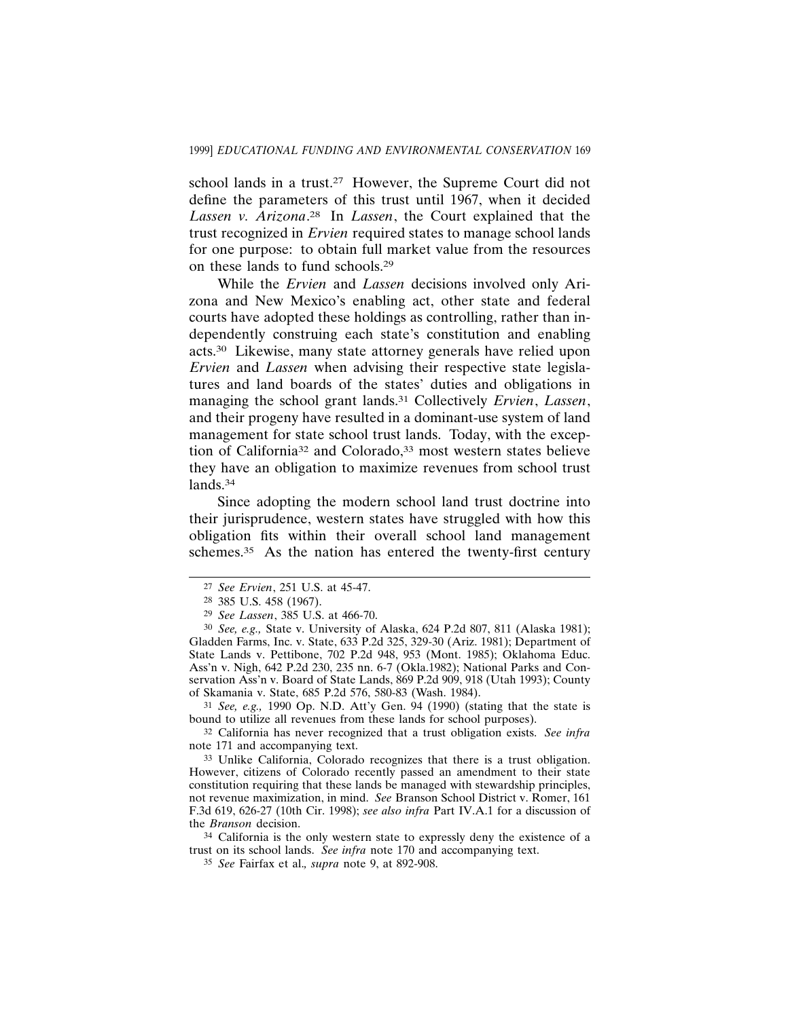school lands in a trust.<sup>27</sup> However, the Supreme Court did not define the parameters of this trust until 1967, when it decided *Lassen v. Arizona*. 28 In *Lassen*, the Court explained that the trust recognized in *Ervien* required states to manage school lands for one purpose: to obtain full market value from the resources on these lands to fund schools.29

While the *Ervien* and *Lassen* decisions involved only Arizona and New Mexico's enabling act, other state and federal courts have adopted these holdings as controlling, rather than independently construing each state's constitution and enabling acts.30 Likewise, many state attorney generals have relied upon *Ervien* and *Lassen* when advising their respective state legislatures and land boards of the states' duties and obligations in managing the school grant lands.31 Collectively *Ervien*, *Lassen*, and their progeny have resulted in a dominant-use system of land management for state school trust lands. Today, with the exception of California<sup>32</sup> and Colorado,<sup>33</sup> most western states believe they have an obligation to maximize revenues from school trust lands.<sup>34</sup>

Since adopting the modern school land trust doctrine into their jurisprudence, western states have struggled with how this obligation fits within their overall school land management schemes.<sup>35</sup> As the nation has entered the twenty-first century

31 *See, e.g.,* 1990 Op. N.D. Att'y Gen. 94 (1990) (stating that the state is bound to utilize all revenues from these lands for school purposes).

32 California has never recognized that a trust obligation exists. *See infra* note 171 and accompanying text.

33 Unlike California, Colorado recognizes that there is a trust obligation. However, citizens of Colorado recently passed an amendment to their state constitution requiring that these lands be managed with stewardship principles, not revenue maximization, in mind. *See* Branson School District v. Romer, 161 F.3d 619, 626-27 (10th Cir. 1998); *see also infra* Part IV.A.1 for a discussion of the *Branson* decision.

34 California is the only western state to expressly deny the existence of a trust on its school lands. *See infra* note 170 and accompanying text.

<sup>27</sup> *See Ervien*, 251 U.S. at 45-47.

<sup>28</sup> 385 U.S. 458 (1967).

<sup>29</sup> *See Lassen*, 385 U.S. at 466-70.

<sup>30</sup> *See, e.g.,* State v. University of Alaska, 624 P.2d 807, 811 (Alaska 1981); Gladden Farms, Inc. v. State, 633 P.2d 325, 329-30 (Ariz. 1981); Department of State Lands v. Pettibone, 702 P.2d 948, 953 (Mont. 1985); Oklahoma Educ. Ass'n v. Nigh, 642 P.2d 230, 235 nn. 6-7 (Okla.1982); National Parks and Conservation Ass'n v. Board of State Lands, 869 P.2d 909, 918 (Utah 1993); County of Skamania v. State, 685 P.2d 576, 580-83 (Wash. 1984).

<sup>35</sup> *See* Fairfax et al.*, supra* note 9, at 892-908.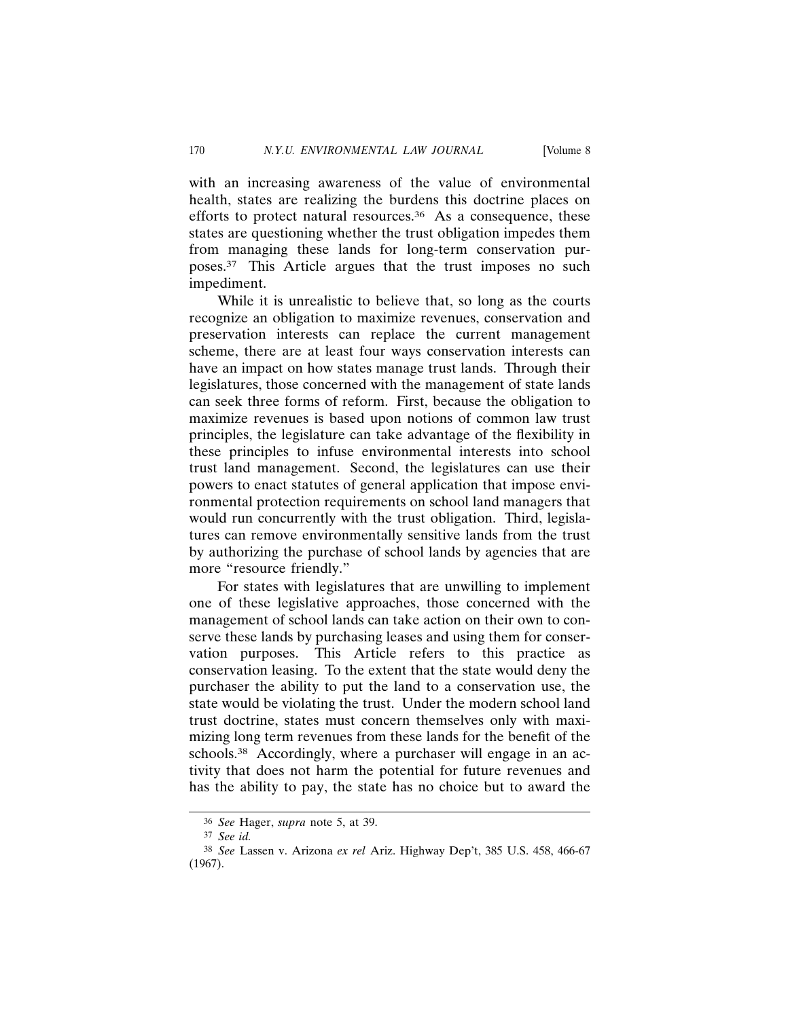with an increasing awareness of the value of environmental health, states are realizing the burdens this doctrine places on efforts to protect natural resources. $36$  As a consequence, these states are questioning whether the trust obligation impedes them from managing these lands for long-term conservation purposes.37 This Article argues that the trust imposes no such impediment.

While it is unrealistic to believe that, so long as the courts recognize an obligation to maximize revenues, conservation and preservation interests can replace the current management scheme, there are at least four ways conservation interests can have an impact on how states manage trust lands. Through their legislatures, those concerned with the management of state lands can seek three forms of reform. First, because the obligation to maximize revenues is based upon notions of common law trust principles, the legislature can take advantage of the flexibility in these principles to infuse environmental interests into school trust land management. Second, the legislatures can use their powers to enact statutes of general application that impose environmental protection requirements on school land managers that would run concurrently with the trust obligation. Third, legislatures can remove environmentally sensitive lands from the trust by authorizing the purchase of school lands by agencies that are more "resource friendly."

For states with legislatures that are unwilling to implement one of these legislative approaches, those concerned with the management of school lands can take action on their own to conserve these lands by purchasing leases and using them for conservation purposes. This Article refers to this practice as conservation leasing. To the extent that the state would deny the purchaser the ability to put the land to a conservation use, the state would be violating the trust. Under the modern school land trust doctrine, states must concern themselves only with maximizing long term revenues from these lands for the benefit of the schools.<sup>38</sup> Accordingly, where a purchaser will engage in an activity that does not harm the potential for future revenues and has the ability to pay, the state has no choice but to award the

<sup>36</sup> *See* Hager, *supra* note 5, at 39.

<sup>37</sup> *See id.*

<sup>38</sup> *See* Lassen v. Arizona *ex rel* Ariz. Highway Dep't, 385 U.S. 458, 466-67 (1967).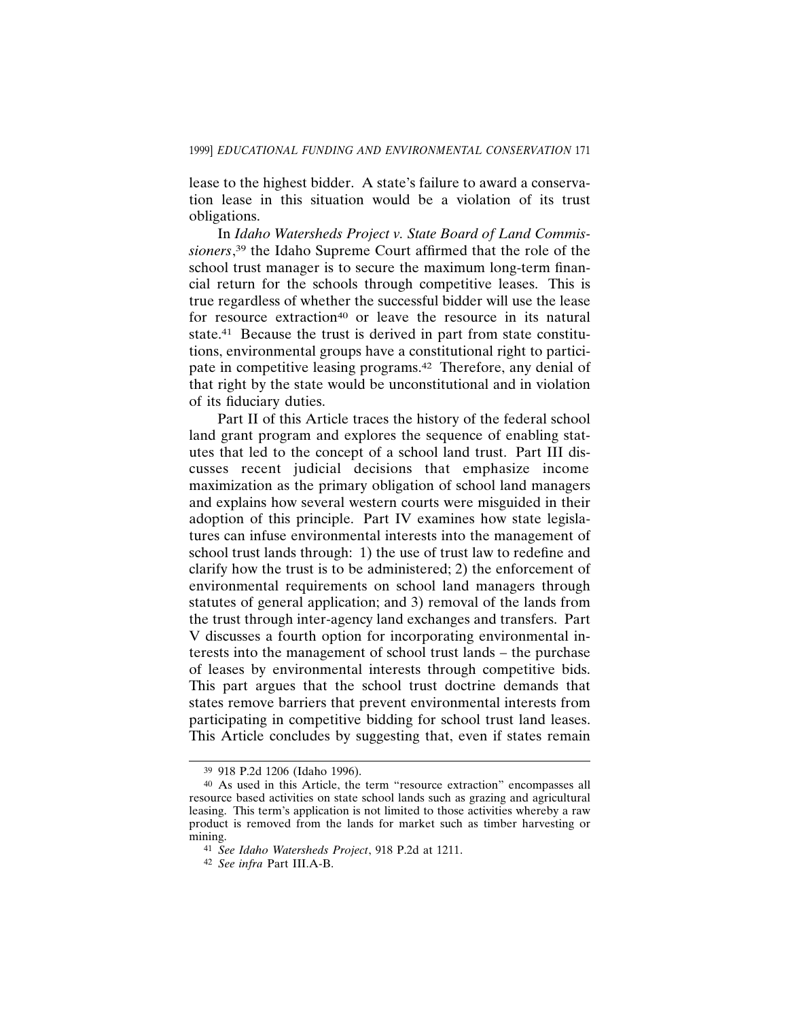lease to the highest bidder. A state's failure to award a conservation lease in this situation would be a violation of its trust obligations.

In *Idaho Watersheds Project v. State Board of Land Commissioners*, 39 the Idaho Supreme Court affirmed that the role of the school trust manager is to secure the maximum long-term financial return for the schools through competitive leases. This is true regardless of whether the successful bidder will use the lease for resource extraction<sup>40</sup> or leave the resource in its natural state.<sup>41</sup> Because the trust is derived in part from state constitutions, environmental groups have a constitutional right to participate in competitive leasing programs.42 Therefore, any denial of that right by the state would be unconstitutional and in violation of its fiduciary duties.

Part II of this Article traces the history of the federal school land grant program and explores the sequence of enabling statutes that led to the concept of a school land trust. Part III discusses recent judicial decisions that emphasize income maximization as the primary obligation of school land managers and explains how several western courts were misguided in their adoption of this principle. Part IV examines how state legislatures can infuse environmental interests into the management of school trust lands through: 1) the use of trust law to redefine and clarify how the trust is to be administered; 2) the enforcement of environmental requirements on school land managers through statutes of general application; and 3) removal of the lands from the trust through inter-agency land exchanges and transfers. Part V discusses a fourth option for incorporating environmental interests into the management of school trust lands – the purchase of leases by environmental interests through competitive bids. This part argues that the school trust doctrine demands that states remove barriers that prevent environmental interests from participating in competitive bidding for school trust land leases. This Article concludes by suggesting that, even if states remain

<sup>39</sup> 918 P.2d 1206 (Idaho 1996).

<sup>40</sup> As used in this Article, the term "resource extraction" encompasses all resource based activities on state school lands such as grazing and agricultural leasing. This term's application is not limited to those activities whereby a raw product is removed from the lands for market such as timber harvesting or mining.

<sup>41</sup> *See Idaho Watersheds Project*, 918 P.2d at 1211.

<sup>42</sup> *See infra* Part III.A-B.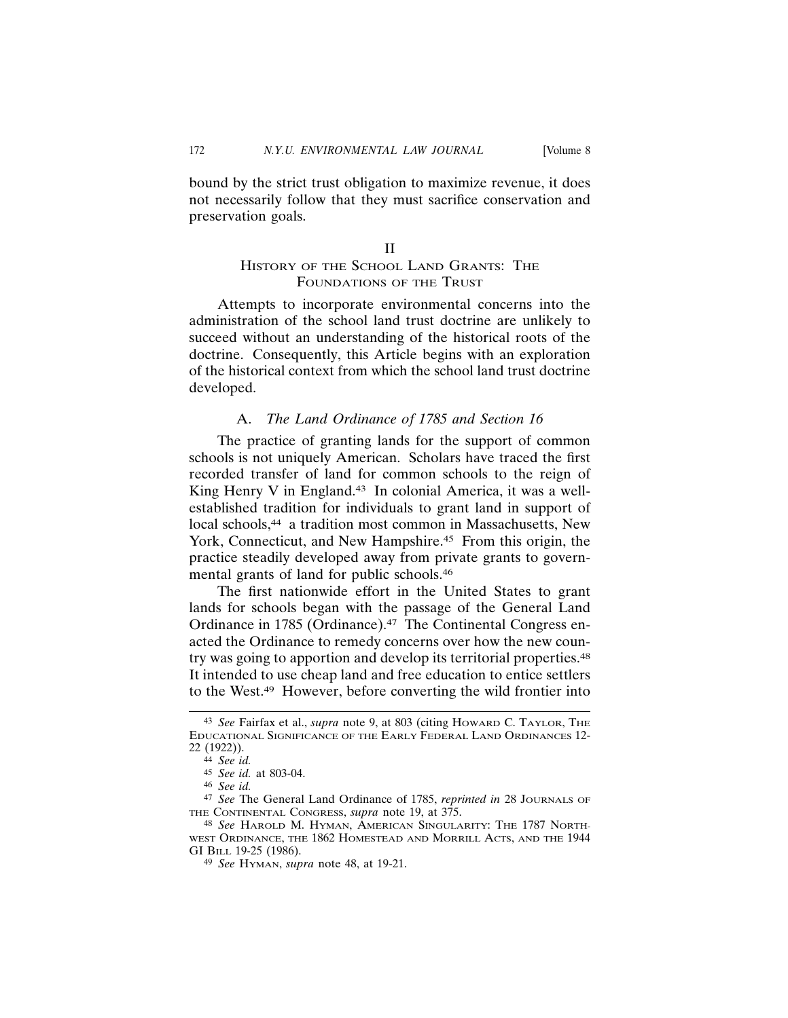bound by the strict trust obligation to maximize revenue, it does not necessarily follow that they must sacrifice conservation and preservation goals.

#### II

# HISTORY OF THE SCHOOL LAND GRANTS: THE FOUNDATIONS OF THE TRUST

Attempts to incorporate environmental concerns into the administration of the school land trust doctrine are unlikely to succeed without an understanding of the historical roots of the doctrine. Consequently, this Article begins with an exploration of the historical context from which the school land trust doctrine developed.

# A. *The Land Ordinance of 1785 and Section 16*

The practice of granting lands for the support of common schools is not uniquely American. Scholars have traced the first recorded transfer of land for common schools to the reign of King Henry V in England.<sup>43</sup> In colonial America, it was a wellestablished tradition for individuals to grant land in support of local schools,<sup>44</sup> a tradition most common in Massachusetts, New York, Connecticut, and New Hampshire.<sup>45</sup> From this origin, the practice steadily developed away from private grants to governmental grants of land for public schools.46

The first nationwide effort in the United States to grant lands for schools began with the passage of the General Land Ordinance in 1785 (Ordinance).<sup>47</sup> The Continental Congress enacted the Ordinance to remedy concerns over how the new country was going to apportion and develop its territorial properties.<sup>48</sup> It intended to use cheap land and free education to entice settlers to the West.49 However, before converting the wild frontier into

<sup>43</sup> *See* Fairfax et al., *supra* note 9, at 803 (citing HOWARD C. TAYLOR, THE EDUCATIONAL SIGNIFICANCE OF THE EARLY FEDERAL LAND ORDINANCES 12- 22 (1922)).

<sup>44</sup> *See id.*

<sup>45</sup> *See id.* at 803-04.

<sup>46</sup> *See id.*

<sup>47</sup> *See* The General Land Ordinance of 1785, *reprinted in* 28 JOURNALS OF THE CONTINENTAL CONGRESS, *supra* note 19, at 375.

<sup>48</sup> *See* HAROLD M. HYMAN, AMERICAN SINGULARITY: THE 1787 NORTH-WEST ORDINANCE, THE 1862 HOMESTEAD AND MORRILL ACTS, AND THE 1944 GI BILL 19-25 (1986).

<sup>49</sup> *See* HYMAN, *supra* note 48, at 19-21.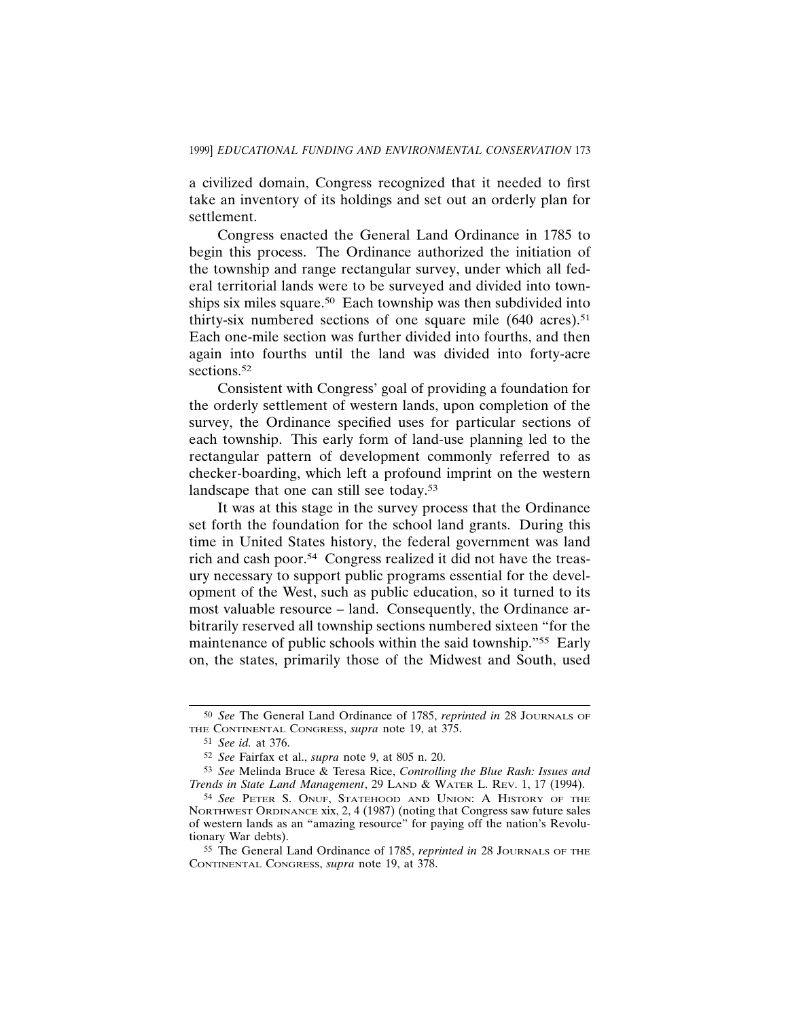a civilized domain, Congress recognized that it needed to first take an inventory of its holdings and set out an orderly plan for settlement.

Congress enacted the General Land Ordinance in 1785 to begin this process. The Ordinance authorized the initiation of the township and range rectangular survey, under which all federal territorial lands were to be surveyed and divided into townships six miles square.<sup>50</sup> Each township was then subdivided into thirty-six numbered sections of one square mile  $(640 \text{ acres})$ .<sup>51</sup> Each one-mile section was further divided into fourths, and then again into fourths until the land was divided into forty-acre sections.<sup>52</sup>

Consistent with Congress' goal of providing a foundation for the orderly settlement of western lands, upon completion of the survey, the Ordinance specified uses for particular sections of each township. This early form of land-use planning led to the rectangular pattern of development commonly referred to as checker-boarding, which left a profound imprint on the western landscape that one can still see today.<sup>53</sup>

It was at this stage in the survey process that the Ordinance set forth the foundation for the school land grants. During this time in United States history, the federal government was land rich and cash poor.54 Congress realized it did not have the treasury necessary to support public programs essential for the development of the West, such as public education, so it turned to its most valuable resource – land. Consequently, the Ordinance arbitrarily reserved all township sections numbered sixteen "for the maintenance of public schools within the said township."55 Early on, the states, primarily those of the Midwest and South, used

<sup>50</sup> *See* The General Land Ordinance of 1785, *reprinted in* 28 JOURNALS OF THE CONTINENTAL CONGRESS, *supra* note 19, at 375.

<sup>51</sup> *See id.* at 376.

<sup>52</sup> *See* Fairfax et al., *supra* note 9, at 805 n. 20.

<sup>53</sup> *See* Melinda Bruce & Teresa Rice, *Controlling the Blue Rash: Issues and Trends in State Land Management*, 29 LAND & WATER L. REV. 1, 17 (1994).

<sup>54</sup> *See* PETER S. ONUF, STATEHOOD AND UNION: A HISTORY OF THE NORTHWEST ORDINANCE xix, 2, 4 (1987) (noting that Congress saw future sales of western lands as an "amazing resource" for paying off the nation's Revolutionary War debts).

<sup>55</sup> The General Land Ordinance of 1785, *reprinted in* 28 JOURNALS OF THE CONTINENTAL CONGRESS, *supra* note 19, at 378.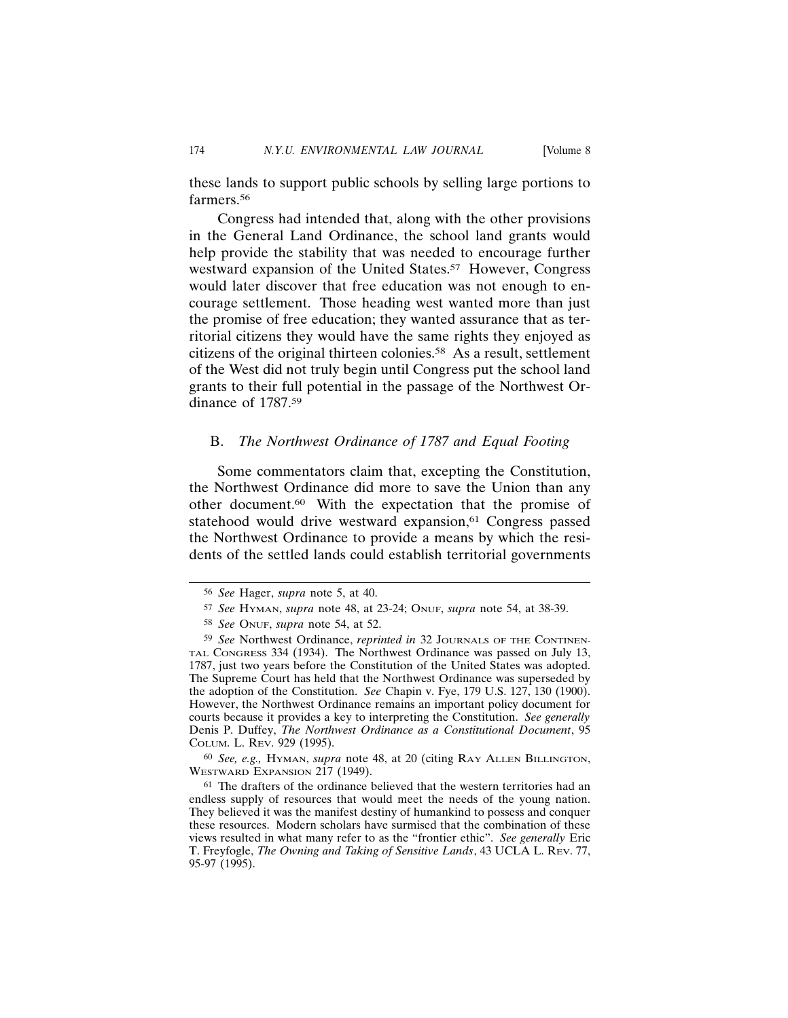these lands to support public schools by selling large portions to farmers.<sup>56</sup>

Congress had intended that, along with the other provisions in the General Land Ordinance, the school land grants would help provide the stability that was needed to encourage further westward expansion of the United States.<sup>57</sup> However, Congress would later discover that free education was not enough to encourage settlement. Those heading west wanted more than just the promise of free education; they wanted assurance that as territorial citizens they would have the same rights they enjoyed as citizens of the original thirteen colonies.<sup>58</sup> As a result, settlement of the West did not truly begin until Congress put the school land grants to their full potential in the passage of the Northwest Ordinance of 1787.59

#### B. *The Northwest Ordinance of 1787 and Equal Footing*

Some commentators claim that, excepting the Constitution, the Northwest Ordinance did more to save the Union than any other document.60 With the expectation that the promise of statehood would drive westward expansion,<sup>61</sup> Congress passed the Northwest Ordinance to provide a means by which the residents of the settled lands could establish territorial governments

60 *See, e.g.,* HYMAN, *supra* note 48, at 20 (citing RAY ALLEN BILLINGTON, WESTWARD EXPANSION 217 (1949).

<sup>56</sup> *See* Hager, *supra* note 5, at 40.

<sup>57</sup> *See* HYMAN, *supra* note 48, at 23-24; ONUF, *supra* note 54, at 38-39.

<sup>58</sup> *See* ONUF, *supra* note 54, at 52.

<sup>59</sup> *See* Northwest Ordinance, *reprinted in* 32 JOURNALS OF THE CONTINEN-TAL CONGRESS 334 (1934). The Northwest Ordinance was passed on July 13, 1787, just two years before the Constitution of the United States was adopted. The Supreme Court has held that the Northwest Ordinance was superseded by the adoption of the Constitution. *See* Chapin v. Fye, 179 U.S. 127, 130 (1900). However, the Northwest Ordinance remains an important policy document for courts because it provides a key to interpreting the Constitution. *See generally* Denis P. Duffey, *The Northwest Ordinance as a Constitutional Document*, 95 COLUM. L. REV. 929 (1995).

<sup>61</sup> The drafters of the ordinance believed that the western territories had an endless supply of resources that would meet the needs of the young nation. They believed it was the manifest destiny of humankind to possess and conquer these resources. Modern scholars have surmised that the combination of these views resulted in what many refer to as the "frontier ethic". *See generally* Eric T. Freyfogle, *The Owning and Taking of Sensitive Lands*, 43 UCLA L. REV. 77, 95-97 (1995).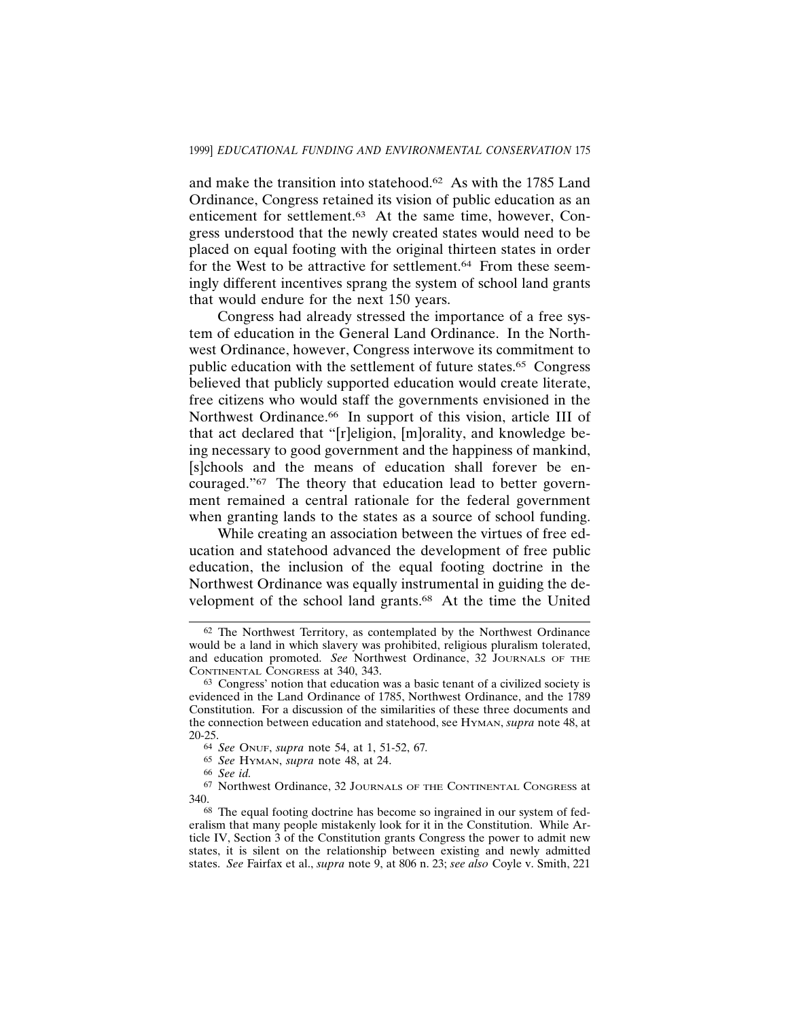and make the transition into statehood.62 As with the 1785 Land Ordinance, Congress retained its vision of public education as an enticement for settlement.63 At the same time, however, Congress understood that the newly created states would need to be placed on equal footing with the original thirteen states in order for the West to be attractive for settlement.<sup>64</sup> From these seemingly different incentives sprang the system of school land grants that would endure for the next 150 years.

Congress had already stressed the importance of a free system of education in the General Land Ordinance. In the Northwest Ordinance, however, Congress interwove its commitment to public education with the settlement of future states.65 Congress believed that publicly supported education would create literate, free citizens who would staff the governments envisioned in the Northwest Ordinance.<sup>66</sup> In support of this vision, article III of that act declared that "[r]eligion, [m]orality, and knowledge being necessary to good government and the happiness of mankind, [s]chools and the means of education shall forever be encouraged."67 The theory that education lead to better government remained a central rationale for the federal government when granting lands to the states as a source of school funding.

While creating an association between the virtues of free education and statehood advanced the development of free public education, the inclusion of the equal footing doctrine in the Northwest Ordinance was equally instrumental in guiding the development of the school land grants.<sup>68</sup> At the time the United

<sup>62</sup> The Northwest Territory, as contemplated by the Northwest Ordinance would be a land in which slavery was prohibited, religious pluralism tolerated, and education promoted. *See* Northwest Ordinance, 32 JOURNALS OF THE CONTINENTAL CONGRESS at 340, 343.

<sup>63</sup> Congress' notion that education was a basic tenant of a civilized society is evidenced in the Land Ordinance of 1785, Northwest Ordinance, and the 1789 Constitution. For a discussion of the similarities of these three documents and the connection between education and statehood, see HYMAN, *supra* note 48, at 20-25.

<sup>64</sup> *See* ONUF, *supra* note 54, at 1, 51-52, 67*.*

<sup>65</sup> *See* HYMAN, *supra* note 48, at 24.

<sup>66</sup> *See id.*

<sup>67</sup> Northwest Ordinance, 32 JOURNALS OF THE CONTINENTAL CONGRESS at 340.

<sup>68</sup> The equal footing doctrine has become so ingrained in our system of federalism that many people mistakenly look for it in the Constitution. While Article IV, Section 3 of the Constitution grants Congress the power to admit new states, it is silent on the relationship between existing and newly admitted states. *See* Fairfax et al., *supra* note 9, at 806 n. 23; *see also* Coyle v. Smith, 221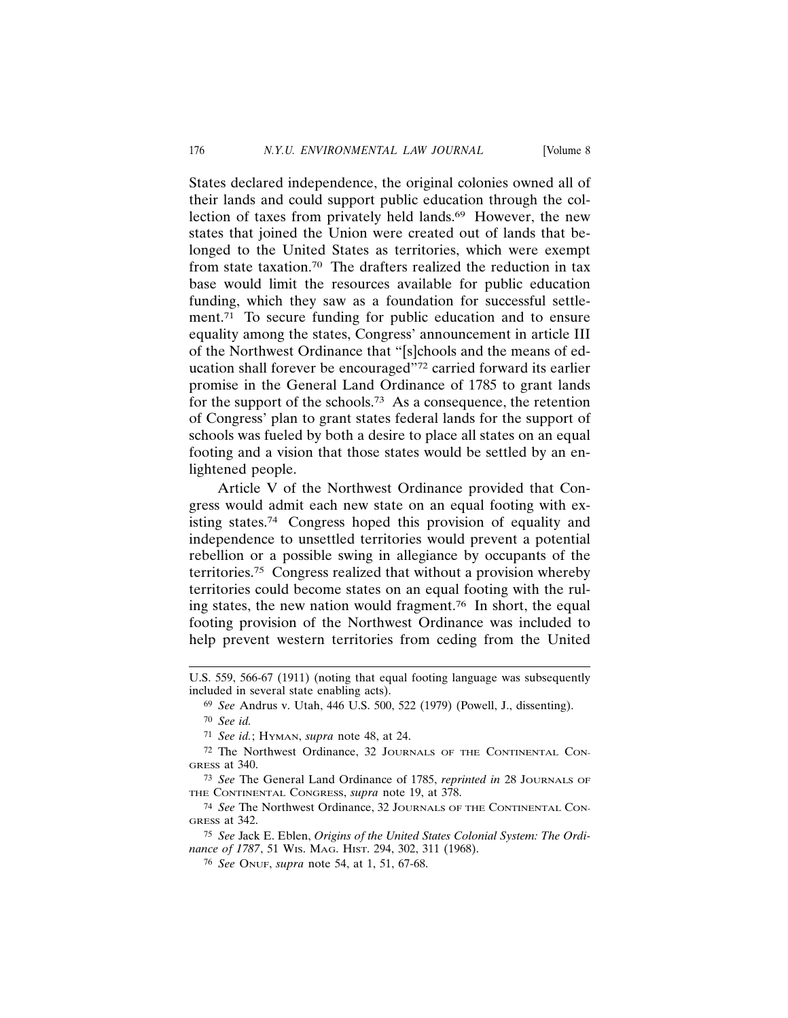States declared independence, the original colonies owned all of their lands and could support public education through the collection of taxes from privately held lands.<sup>69</sup> However, the new states that joined the Union were created out of lands that belonged to the United States as territories, which were exempt from state taxation.70 The drafters realized the reduction in tax base would limit the resources available for public education funding, which they saw as a foundation for successful settlement.<sup>71</sup> To secure funding for public education and to ensure equality among the states, Congress' announcement in article III of the Northwest Ordinance that "[s]chools and the means of education shall forever be encouraged"72 carried forward its earlier promise in the General Land Ordinance of 1785 to grant lands for the support of the schools.<sup>73</sup> As a consequence, the retention of Congress' plan to grant states federal lands for the support of schools was fueled by both a desire to place all states on an equal footing and a vision that those states would be settled by an enlightened people.

Article V of the Northwest Ordinance provided that Congress would admit each new state on an equal footing with existing states.74 Congress hoped this provision of equality and independence to unsettled territories would prevent a potential rebellion or a possible swing in allegiance by occupants of the territories.75 Congress realized that without a provision whereby territories could become states on an equal footing with the ruling states, the new nation would fragment.76 In short, the equal footing provision of the Northwest Ordinance was included to help prevent western territories from ceding from the United

75 *See* Jack E. Eblen, *Origins of the United States Colonial System: The Ordinance of 1787*, 51 WIS. MAG. HIST. 294, 302, 311 (1968).

U.S. 559, 566-67 (1911) (noting that equal footing language was subsequently included in several state enabling acts).

<sup>69</sup> *See* Andrus v. Utah, 446 U.S. 500, 522 (1979) (Powell, J., dissenting).

<sup>70</sup> *See id.*

<sup>71</sup> *See id.*; HYMAN, *supra* note 48, at 24.

<sup>72</sup> The Northwest Ordinance, 32 JOURNALS OF THE CONTINENTAL CON-GRESS at 340.

<sup>73</sup> *See* The General Land Ordinance of 1785, *reprinted in* 28 JOURNALS OF THE CONTINENTAL CONGRESS, *supra* note 19, at 378.

<sup>74</sup> *See* The Northwest Ordinance, 32 JOURNALS OF THE CONTINENTAL CON-GRESS at 342.

<sup>76</sup> *See* ONUF, *supra* note 54, at 1, 51, 67-68.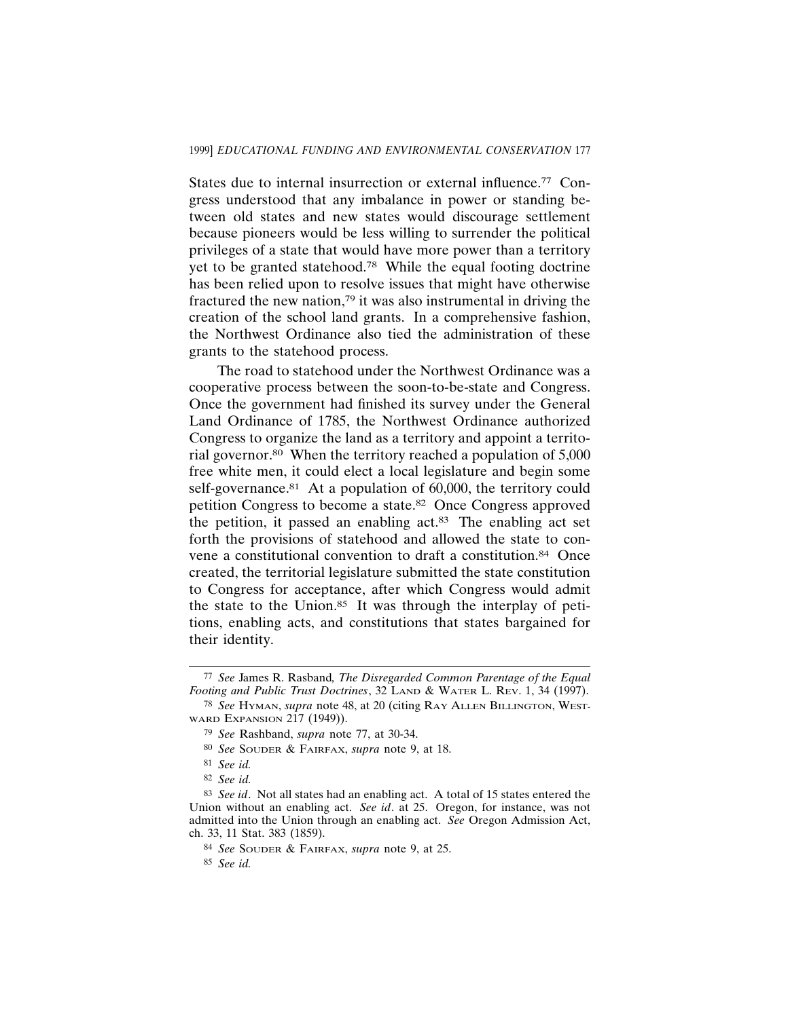States due to internal insurrection or external influence.<sup>77</sup> Congress understood that any imbalance in power or standing between old states and new states would discourage settlement because pioneers would be less willing to surrender the political privileges of a state that would have more power than a territory yet to be granted statehood.78 While the equal footing doctrine has been relied upon to resolve issues that might have otherwise fractured the new nation,<sup> $79$ </sup> it was also instrumental in driving the creation of the school land grants. In a comprehensive fashion, the Northwest Ordinance also tied the administration of these grants to the statehood process.

The road to statehood under the Northwest Ordinance was a cooperative process between the soon-to-be-state and Congress. Once the government had finished its survey under the General Land Ordinance of 1785, the Northwest Ordinance authorized Congress to organize the land as a territory and appoint a territorial governor.80 When the territory reached a population of 5,000 free white men, it could elect a local legislature and begin some self-governance.<sup>81</sup> At a population of 60,000, the territory could petition Congress to become a state.<sup>82</sup> Once Congress approved the petition, it passed an enabling act.83 The enabling act set forth the provisions of statehood and allowed the state to convene a constitutional convention to draft a constitution.84 Once created, the territorial legislature submitted the state constitution to Congress for acceptance, after which Congress would admit the state to the Union.85 It was through the interplay of petitions, enabling acts, and constitutions that states bargained for their identity.

85 *See id.*

<sup>77</sup> *See* James R. Rasband*, The Disregarded Common Parentage of the Equal Footing and Public Trust Doctrines*, 32 LAND & WATER L. REV. 1, 34 (1997).

<sup>78</sup> *See* HYMAN, *supra* note 48, at 20 (citing RAY ALLEN BILLINGTON, WEST-WARD EXPANSION 217 (1949)).

<sup>79</sup> *See* Rashband, *supra* note 77, at 30-34.

<sup>80</sup> *See* SOUDER & FAIRFAX, *supra* note 9, at 18.

<sup>81</sup> *See id.*

<sup>82</sup> *See id.*

<sup>83</sup> *See id*. Not all states had an enabling act. A total of 15 states entered the Union without an enabling act. *See id*. at 25. Oregon, for instance, was not admitted into the Union through an enabling act. *See* Oregon Admission Act, ch. 33, 11 Stat. 383 (1859).

<sup>84</sup> *See* SOUDER & FAIRFAX, *supra* note 9, at 25.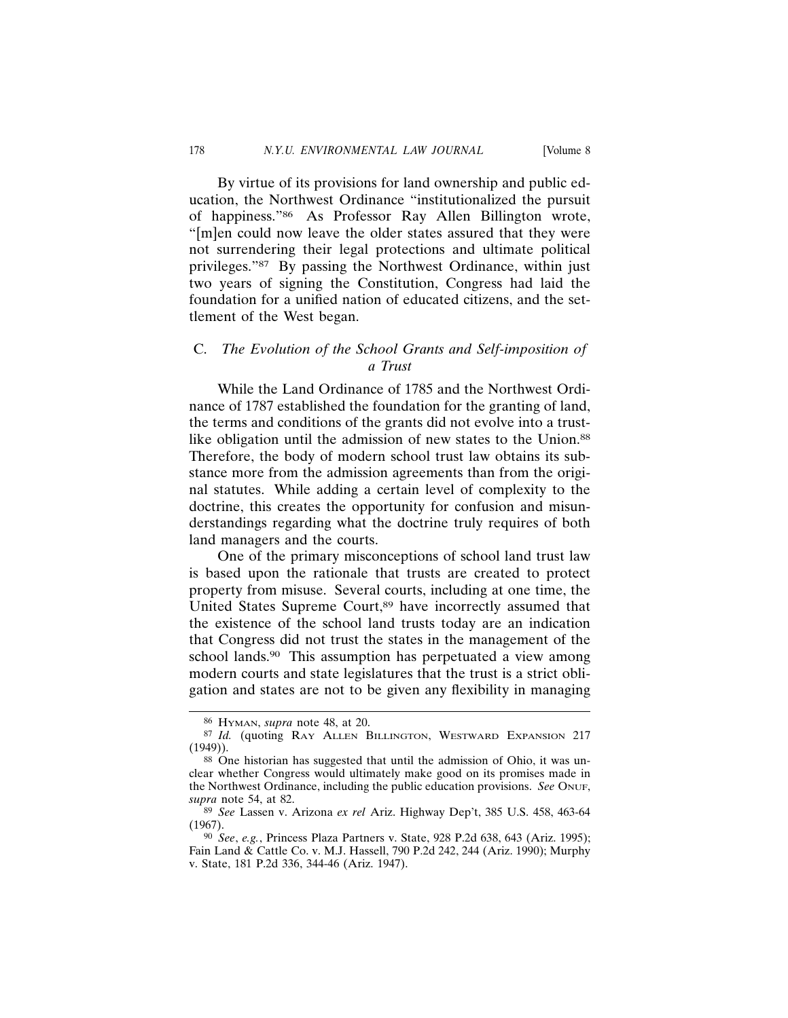By virtue of its provisions for land ownership and public education, the Northwest Ordinance "institutionalized the pursuit of happiness."86 As Professor Ray Allen Billington wrote, "[m]en could now leave the older states assured that they were not surrendering their legal protections and ultimate political privileges."87 By passing the Northwest Ordinance, within just two years of signing the Constitution, Congress had laid the foundation for a unified nation of educated citizens, and the settlement of the West began.

# C. *The Evolution of the School Grants and Self-imposition of a Trust*

While the Land Ordinance of 1785 and the Northwest Ordinance of 1787 established the foundation for the granting of land, the terms and conditions of the grants did not evolve into a trustlike obligation until the admission of new states to the Union.<sup>88</sup> Therefore, the body of modern school trust law obtains its substance more from the admission agreements than from the original statutes. While adding a certain level of complexity to the doctrine, this creates the opportunity for confusion and misunderstandings regarding what the doctrine truly requires of both land managers and the courts.

One of the primary misconceptions of school land trust law is based upon the rationale that trusts are created to protect property from misuse. Several courts, including at one time, the United States Supreme Court,<sup>89</sup> have incorrectly assumed that the existence of the school land trusts today are an indication that Congress did not trust the states in the management of the school lands.<sup>90</sup> This assumption has perpetuated a view among modern courts and state legislatures that the trust is a strict obligation and states are not to be given any flexibility in managing

<sup>86</sup> HYMAN, *supra* note 48, at 20.

<sup>87</sup> *Id.* (quoting RAY ALLEN BILLINGTON, WESTWARD EXPANSION 217 (1949)).

<sup>88</sup> One historian has suggested that until the admission of Ohio, it was unclear whether Congress would ultimately make good on its promises made in the Northwest Ordinance, including the public education provisions. *See* ONUF, *supra* note 54, at 82.

<sup>89</sup> *See* Lassen v. Arizona *ex rel* Ariz. Highway Dep't, 385 U.S. 458, 463-64 (1967).

<sup>90</sup> *See*, *e.g.*, Princess Plaza Partners v. State, 928 P.2d 638, 643 (Ariz. 1995); Fain Land & Cattle Co. v. M.J. Hassell, 790 P.2d 242, 244 (Ariz. 1990); Murphy v. State, 181 P.2d 336, 344-46 (Ariz. 1947).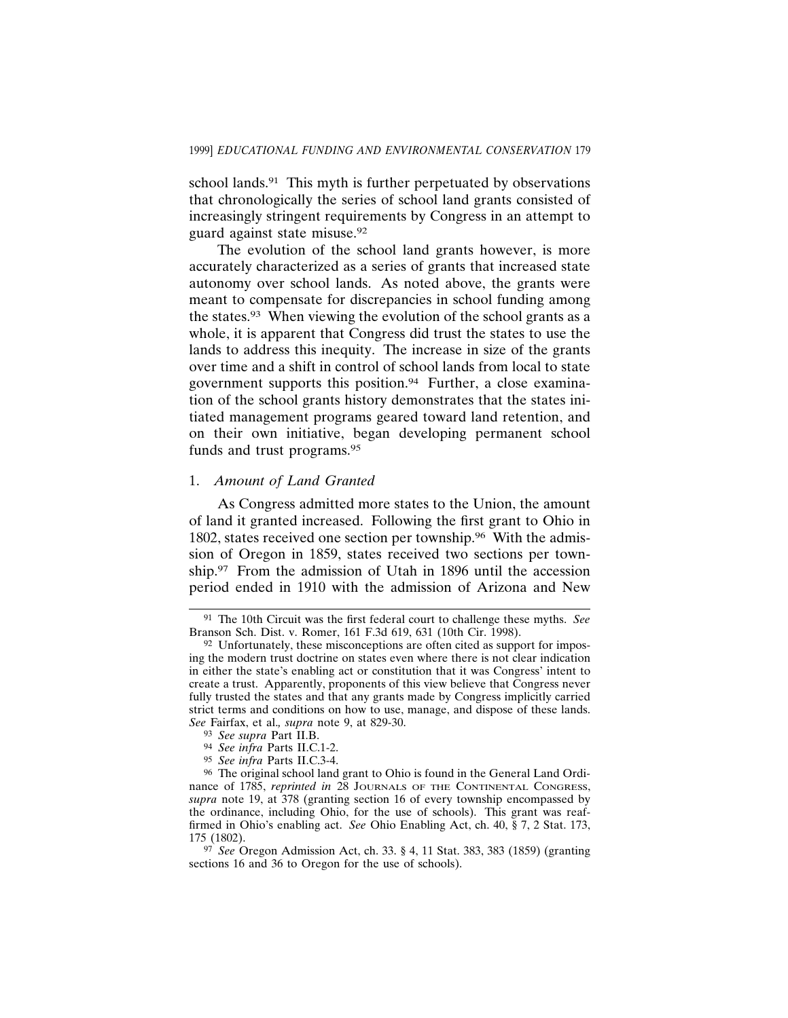school lands.<sup>91</sup> This myth is further perpetuated by observations that chronologically the series of school land grants consisted of increasingly stringent requirements by Congress in an attempt to guard against state misuse.92

The evolution of the school land grants however, is more accurately characterized as a series of grants that increased state autonomy over school lands. As noted above, the grants were meant to compensate for discrepancies in school funding among the states.93 When viewing the evolution of the school grants as a whole, it is apparent that Congress did trust the states to use the lands to address this inequity. The increase in size of the grants over time and a shift in control of school lands from local to state government supports this position.<sup>94</sup> Further, a close examination of the school grants history demonstrates that the states initiated management programs geared toward land retention, and on their own initiative, began developing permanent school funds and trust programs.95

### 1. *Amount of Land Granted*

As Congress admitted more states to the Union, the amount of land it granted increased. Following the first grant to Ohio in 1802, states received one section per township.96 With the admission of Oregon in 1859, states received two sections per township.97 From the admission of Utah in 1896 until the accession period ended in 1910 with the admission of Arizona and New

<sup>91</sup> The 10th Circuit was the first federal court to challenge these myths. *See* Branson Sch. Dist. v. Romer, 161 F.3d 619, 631 (10th Cir. 1998).

 $92$  Unfortunately, these misconceptions are often cited as support for imposing the modern trust doctrine on states even where there is not clear indication in either the state's enabling act or constitution that it was Congress' intent to create a trust. Apparently, proponents of this view believe that Congress never fully trusted the states and that any grants made by Congress implicitly carried strict terms and conditions on how to use, manage, and dispose of these lands. *See* Fairfax, et al.*, supra* note 9, at 829-30.

<sup>93</sup> *See supra* Part II.B.

<sup>94</sup> *See infra* Parts II.C.1-2.

<sup>95</sup> *See infra* Parts II.C.3-4.

<sup>96</sup> The original school land grant to Ohio is found in the General Land Ordinance of 1785, *reprinted in* 28 JOURNALS OF THE CONTINENTAL CONGRESS, *supra* note 19, at 378 (granting section 16 of every township encompassed by the ordinance, including Ohio, for the use of schools). This grant was reaffirmed in Ohio's enabling act. *See* Ohio Enabling Act, ch. 40, § 7, 2 Stat. 173, 175 (1802).

<sup>97</sup> *See* Oregon Admission Act, ch. 33. § 4, 11 Stat. 383, 383 (1859) (granting sections 16 and 36 to Oregon for the use of schools).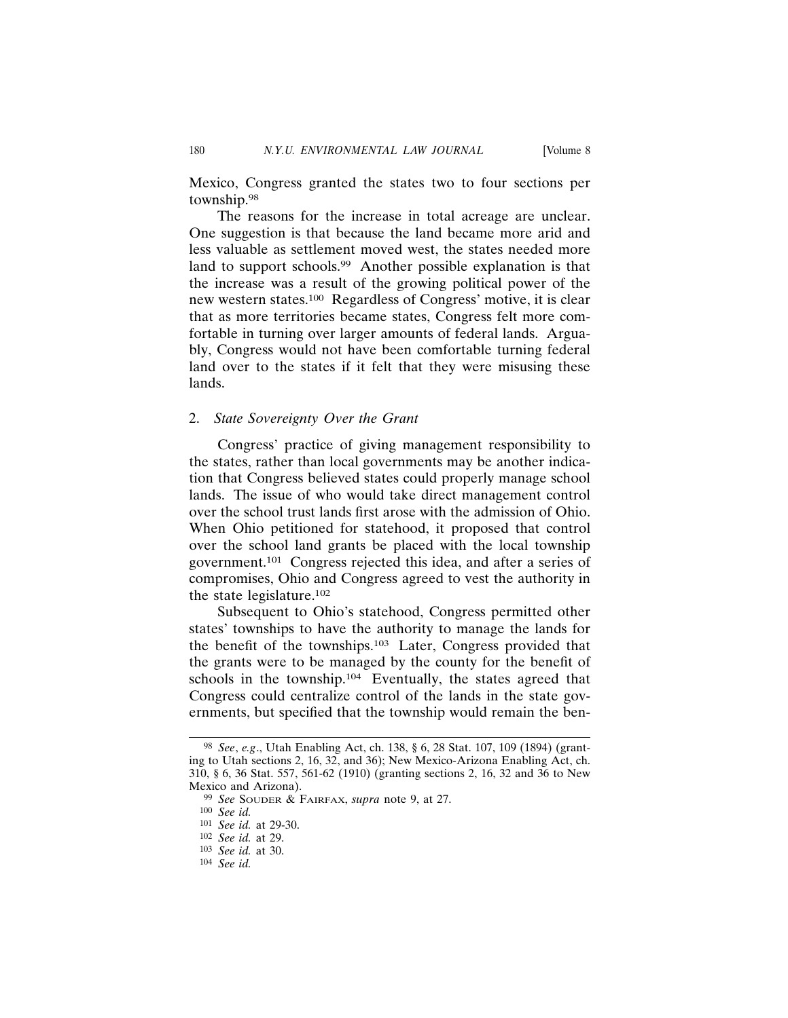Mexico, Congress granted the states two to four sections per township.98

The reasons for the increase in total acreage are unclear. One suggestion is that because the land became more arid and less valuable as settlement moved west, the states needed more land to support schools.<sup>99</sup> Another possible explanation is that the increase was a result of the growing political power of the new western states.100 Regardless of Congress' motive, it is clear that as more territories became states, Congress felt more comfortable in turning over larger amounts of federal lands. Arguably, Congress would not have been comfortable turning federal land over to the states if it felt that they were misusing these lands.

#### 2. *State Sovereignty Over the Grant*

Congress' practice of giving management responsibility to the states, rather than local governments may be another indication that Congress believed states could properly manage school lands. The issue of who would take direct management control over the school trust lands first arose with the admission of Ohio. When Ohio petitioned for statehood, it proposed that control over the school land grants be placed with the local township government.101 Congress rejected this idea, and after a series of compromises, Ohio and Congress agreed to vest the authority in the state legislature.102

Subsequent to Ohio's statehood, Congress permitted other states' townships to have the authority to manage the lands for the benefit of the townships.103 Later, Congress provided that the grants were to be managed by the county for the benefit of schools in the township.<sup>104</sup> Eventually, the states agreed that Congress could centralize control of the lands in the state governments, but specified that the township would remain the ben-

<sup>98</sup> *See*, *e.g*., Utah Enabling Act, ch. 138, § 6, 28 Stat. 107, 109 (1894) (granting to Utah sections 2, 16, 32, and 36); New Mexico-Arizona Enabling Act, ch. 310, § 6, 36 Stat. 557, 561-62 (1910) (granting sections 2, 16, 32 and 36 to New Mexico and Arizona).

<sup>99</sup> *See* SOUDER & FAIRFAX, *supra* note 9, at 27.

<sup>100</sup> *See id.*

<sup>101</sup> *See id.* at 29-30.

<sup>102</sup> *See id.* at 29.

<sup>103</sup> *See id.* at 30.

<sup>104</sup> *See id.*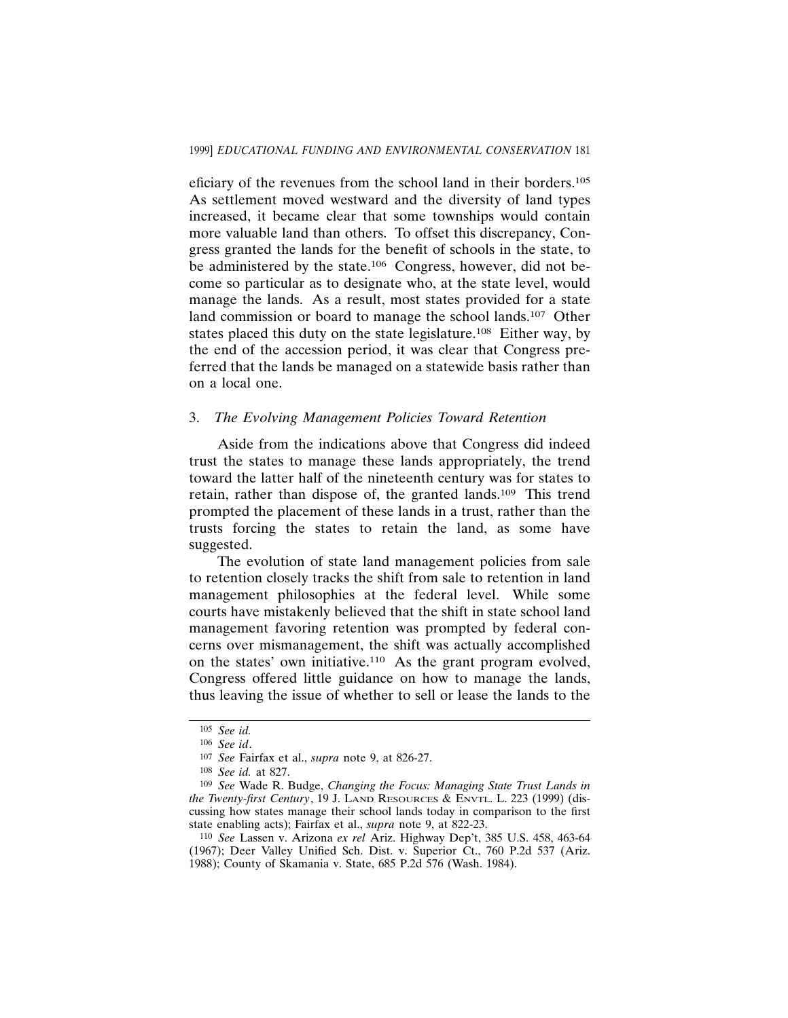eficiary of the revenues from the school land in their borders.105 As settlement moved westward and the diversity of land types increased, it became clear that some townships would contain more valuable land than others. To offset this discrepancy, Congress granted the lands for the benefit of schools in the state, to be administered by the state.<sup>106</sup> Congress, however, did not become so particular as to designate who, at the state level, would manage the lands. As a result, most states provided for a state land commission or board to manage the school lands.<sup>107</sup> Other states placed this duty on the state legislature.<sup>108</sup> Either way, by the end of the accession period, it was clear that Congress preferred that the lands be managed on a statewide basis rather than on a local one.

#### 3. *The Evolving Management Policies Toward Retention*

Aside from the indications above that Congress did indeed trust the states to manage these lands appropriately, the trend toward the latter half of the nineteenth century was for states to retain, rather than dispose of, the granted lands.109 This trend prompted the placement of these lands in a trust, rather than the trusts forcing the states to retain the land, as some have suggested.

The evolution of state land management policies from sale to retention closely tracks the shift from sale to retention in land management philosophies at the federal level. While some courts have mistakenly believed that the shift in state school land management favoring retention was prompted by federal concerns over mismanagement, the shift was actually accomplished on the states' own initiative.110 As the grant program evolved, Congress offered little guidance on how to manage the lands, thus leaving the issue of whether to sell or lease the lands to the

<sup>105</sup> *See id.*

<sup>106</sup> *See id*.

<sup>107</sup> *See* Fairfax et al., *supra* note 9, at 826-27.

<sup>108</sup> *See id.* at 827.

<sup>109</sup> *See* Wade R. Budge, *Changing the Focus: Managing State Trust Lands in the Twenty-first Century*, 19 J. LAND RESOURCES & ENVTL. L. 223 (1999) (discussing how states manage their school lands today in comparison to the first state enabling acts); Fairfax et al., *supra* note 9, at 822-23.

<sup>110</sup> *See* Lassen v. Arizona *ex rel* Ariz. Highway Dep't, 385 U.S. 458, 463-64 (1967); Deer Valley Unified Sch. Dist. v. Superior Ct., 760 P.2d 537 (Ariz. 1988); County of Skamania v. State, 685 P.2d 576 (Wash. 1984).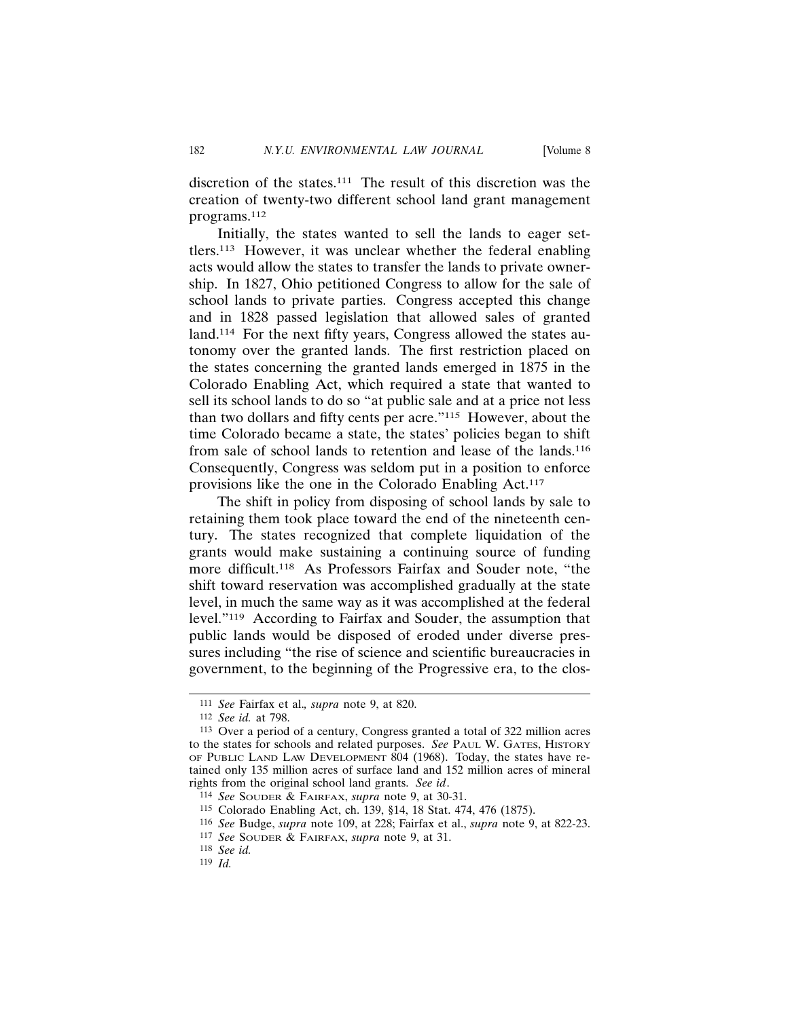discretion of the states.111 The result of this discretion was the creation of twenty-two different school land grant management programs.112

Initially, the states wanted to sell the lands to eager settlers.113 However, it was unclear whether the federal enabling acts would allow the states to transfer the lands to private ownership. In 1827, Ohio petitioned Congress to allow for the sale of school lands to private parties. Congress accepted this change and in 1828 passed legislation that allowed sales of granted land.114 For the next fifty years, Congress allowed the states autonomy over the granted lands. The first restriction placed on the states concerning the granted lands emerged in 1875 in the Colorado Enabling Act, which required a state that wanted to sell its school lands to do so "at public sale and at a price not less than two dollars and fifty cents per acre."115 However, about the time Colorado became a state, the states' policies began to shift from sale of school lands to retention and lease of the lands.116 Consequently, Congress was seldom put in a position to enforce provisions like the one in the Colorado Enabling Act.117

The shift in policy from disposing of school lands by sale to retaining them took place toward the end of the nineteenth century. The states recognized that complete liquidation of the grants would make sustaining a continuing source of funding more difficult.118 As Professors Fairfax and Souder note, "the shift toward reservation was accomplished gradually at the state level, in much the same way as it was accomplished at the federal level."119 According to Fairfax and Souder, the assumption that public lands would be disposed of eroded under diverse pressures including "the rise of science and scientific bureaucracies in government, to the beginning of the Progressive era, to the clos-

<sup>111</sup> *See* Fairfax et al.*, supra* note 9, at 820.

<sup>112</sup> *See id.* at 798.

<sup>113</sup> Over a period of a century, Congress granted a total of 322 million acres to the states for schools and related purposes. *See* PAUL W. GATES, HISTORY OF PUBLIC LAND LAW DEVELOPMENT 804 (1968). Today, the states have retained only 135 million acres of surface land and 152 million acres of mineral rights from the original school land grants. *See id*.

<sup>114</sup> *See* SOUDER & FAIRFAX, *supra* note 9, at 30-31.

<sup>115</sup> Colorado Enabling Act, ch. 139, §14, 18 Stat. 474, 476 (1875).

<sup>116</sup> *See* Budge, *supra* note 109, at 228; Fairfax et al., *supra* note 9, at 822-23.

<sup>117</sup> *See* SOUDER & FAIRFAX, *supra* note 9, at 31.

<sup>118</sup> *See id.*

<sup>119</sup> *Id.*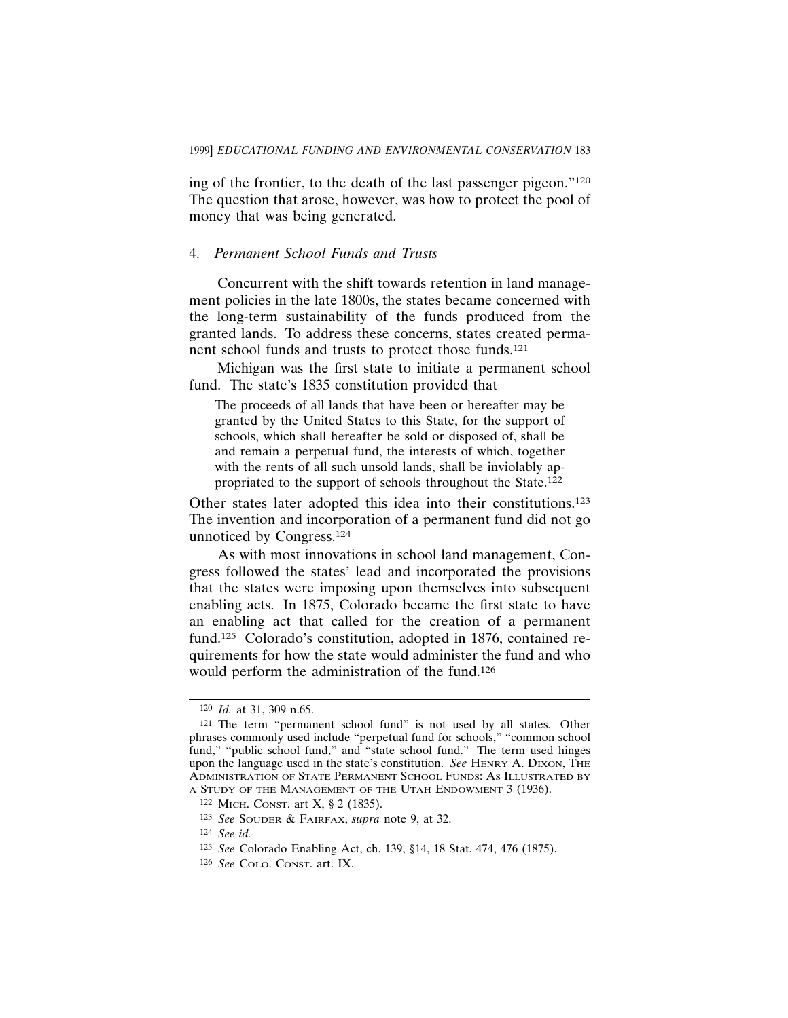ing of the frontier, to the death of the last passenger pigeon."120 The question that arose, however, was how to protect the pool of money that was being generated.

# 4. *Permanent School Funds and Trusts*

Concurrent with the shift towards retention in land management policies in the late 1800s, the states became concerned with the long-term sustainability of the funds produced from the granted lands. To address these concerns, states created permanent school funds and trusts to protect those funds.121

Michigan was the first state to initiate a permanent school fund. The state's 1835 constitution provided that

The proceeds of all lands that have been or hereafter may be granted by the United States to this State, for the support of schools, which shall hereafter be sold or disposed of, shall be and remain a perpetual fund, the interests of which, together with the rents of all such unsold lands, shall be inviolably appropriated to the support of schools throughout the State.122

Other states later adopted this idea into their constitutions.123 The invention and incorporation of a permanent fund did not go unnoticed by Congress.124

As with most innovations in school land management, Congress followed the states' lead and incorporated the provisions that the states were imposing upon themselves into subsequent enabling acts. In 1875, Colorado became the first state to have an enabling act that called for the creation of a permanent fund.125 Colorado's constitution, adopted in 1876, contained requirements for how the state would administer the fund and who would perform the administration of the fund.126

<sup>120</sup> *Id.* at 31, 309 n.65.

<sup>121</sup> The term "permanent school fund" is not used by all states. Other phrases commonly used include "perpetual fund for schools," "common school fund," "public school fund," and "state school fund." The term used hinges upon the language used in the state's constitution. *See* HENRY A. DIXON, THE ADMINISTRATION OF STATE PERMANENT SCHOOL FUNDS: AS ILLUSTRATED BY A STUDY OF THE MANAGEMENT OF THE UTAH ENDOWMENT 3 (1936).

<sup>122</sup> MICH. CONST. art X, § 2 (1835).

<sup>123</sup> *See* SOUDER & FAIRFAX, *supra* note 9, at 32.

<sup>124</sup> *See id.*

<sup>125</sup> *See* Colorado Enabling Act, ch. 139, §14, 18 Stat. 474, 476 (1875).

<sup>126</sup> *See* COLO. CONST. art. IX.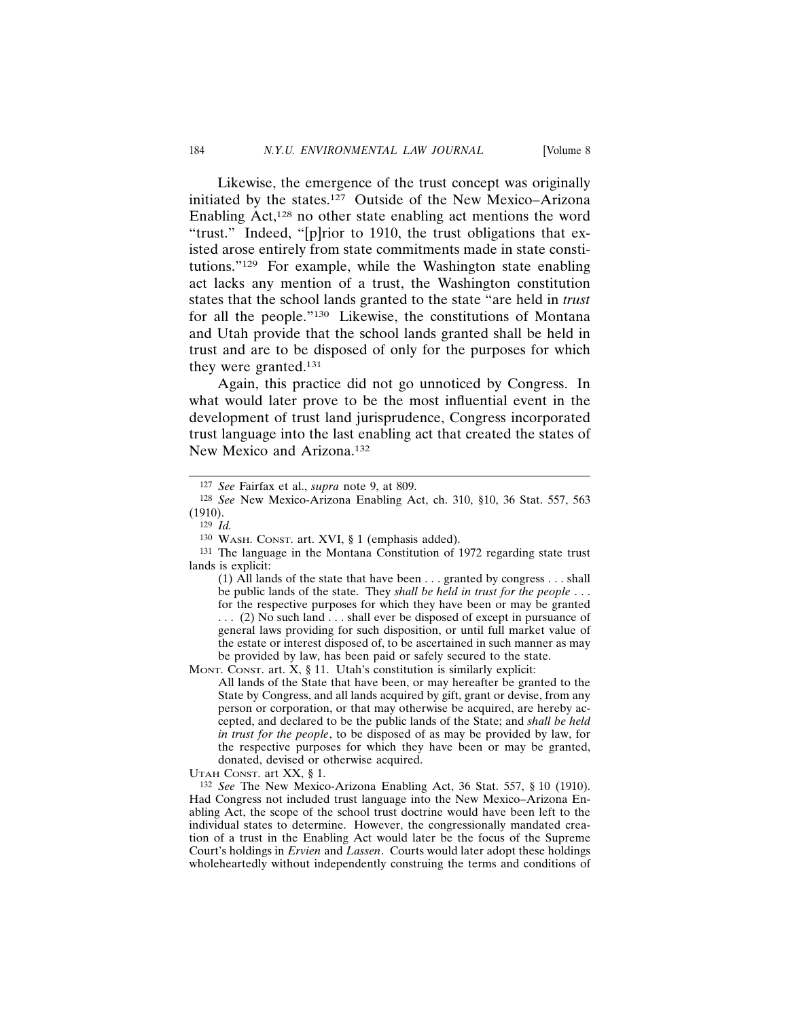Likewise, the emergence of the trust concept was originally initiated by the states.127 Outside of the New Mexico–Arizona Enabling Act, $128$  no other state enabling act mentions the word "trust." Indeed, "[p]rior to 1910, the trust obligations that existed arose entirely from state commitments made in state constitutions."129 For example, while the Washington state enabling act lacks any mention of a trust, the Washington constitution states that the school lands granted to the state "are held in *trust* for all the people."130 Likewise, the constitutions of Montana and Utah provide that the school lands granted shall be held in trust and are to be disposed of only for the purposes for which they were granted.131

Again, this practice did not go unnoticed by Congress. In what would later prove to be the most influential event in the development of trust land jurisprudence, Congress incorporated trust language into the last enabling act that created the states of New Mexico and Arizona.132

MONT. CONST. art. X, § 11. Utah's constitution is similarly explicit:

All lands of the State that have been, or may hereafter be granted to the State by Congress, and all lands acquired by gift, grant or devise, from any person or corporation, or that may otherwise be acquired, are hereby accepted, and declared to be the public lands of the State; and *shall be held in trust for the people*, to be disposed of as may be provided by law, for the respective purposes for which they have been or may be granted, donated, devised or otherwise acquired.

UTAH CONST. art XX, § 1.

132 *See* The New Mexico-Arizona Enabling Act, 36 Stat. 557, § 10 (1910). Had Congress not included trust language into the New Mexico–Arizona Enabling Act, the scope of the school trust doctrine would have been left to the individual states to determine. However, the congressionally mandated creation of a trust in the Enabling Act would later be the focus of the Supreme Court's holdings in *Ervien* and *Lassen*. Courts would later adopt these holdings wholeheartedly without independently construing the terms and conditions of

<sup>127</sup> *See* Fairfax et al., *supra* note 9, at 809.

<sup>128</sup> *See* New Mexico-Arizona Enabling Act, ch. 310, §10, 36 Stat. 557, 563 (1910).

<sup>129</sup> *Id.*

<sup>130</sup> WASH. CONST. art. XVI, § 1 (emphasis added).

<sup>131</sup> The language in the Montana Constitution of 1972 regarding state trust lands is explicit:

<sup>(1)</sup> All lands of the state that have been . . . granted by congress . . . shall be public lands of the state. They *shall be held in trust for the people* . . . for the respective purposes for which they have been or may be granted . . . (2) No such land . . . shall ever be disposed of except in pursuance of general laws providing for such disposition, or until full market value of the estate or interest disposed of, to be ascertained in such manner as may be provided by law, has been paid or safely secured to the state.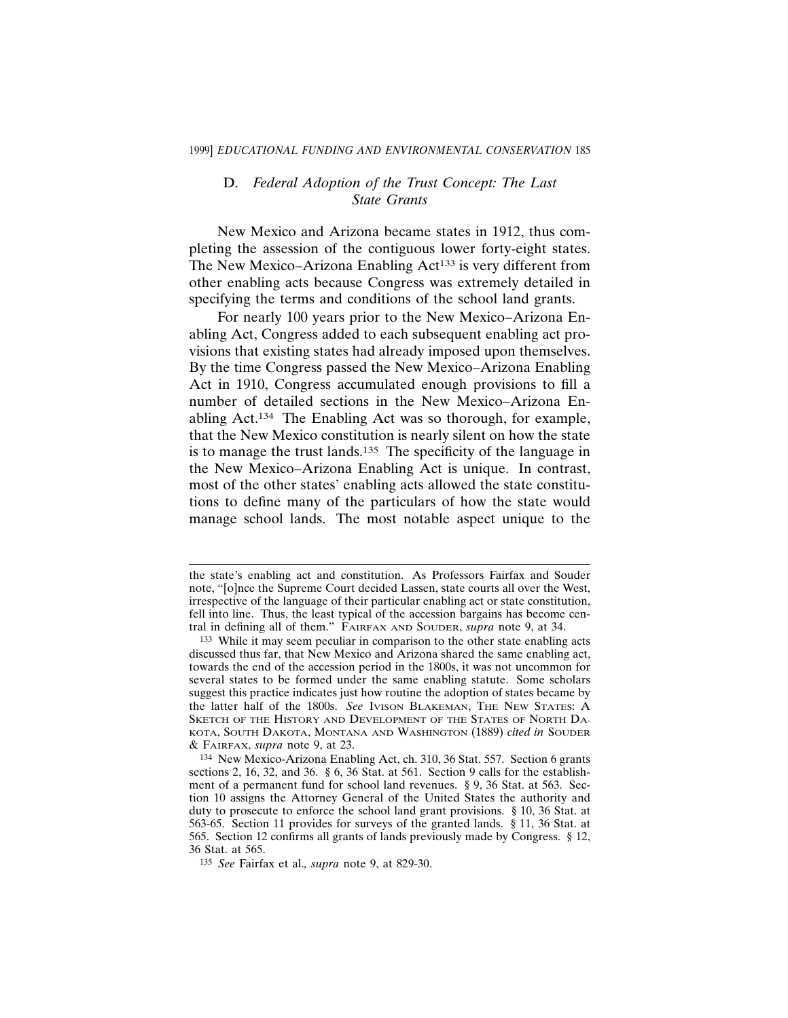# D. *Federal Adoption of the Trust Concept: The Last State Grants*

New Mexico and Arizona became states in 1912, thus completing the assession of the contiguous lower forty-eight states. The New Mexico–Arizona Enabling Act<sup>133</sup> is very different from other enabling acts because Congress was extremely detailed in specifying the terms and conditions of the school land grants.

For nearly 100 years prior to the New Mexico–Arizona Enabling Act, Congress added to each subsequent enabling act provisions that existing states had already imposed upon themselves. By the time Congress passed the New Mexico–Arizona Enabling Act in 1910, Congress accumulated enough provisions to fill a number of detailed sections in the New Mexico–Arizona Enabling Act.134 The Enabling Act was so thorough, for example, that the New Mexico constitution is nearly silent on how the state is to manage the trust lands.<sup>135</sup> The specificity of the language in the New Mexico–Arizona Enabling Act is unique. In contrast, most of the other states' enabling acts allowed the state constitutions to define many of the particulars of how the state would manage school lands. The most notable aspect unique to the

the state's enabling act and constitution. As Professors Fairfax and Souder note, "[o]nce the Supreme Court decided Lassen, state courts all over the West, irrespective of the language of their particular enabling act or state constitution, fell into line. Thus, the least typical of the accession bargains has become central in defining all of them." FAIRFAX AND SOUDER, *supra* note 9, at 34.

<sup>133</sup> While it may seem peculiar in comparison to the other state enabling acts discussed thus far, that New Mexico and Arizona shared the same enabling act, towards the end of the accession period in the 1800s, it was not uncommon for several states to be formed under the same enabling statute. Some scholars suggest this practice indicates just how routine the adoption of states became by the latter half of the 1800s. *See* IVISON BLAKEMAN, THE NEW STATES: A SKETCH OF THE HISTORY AND DEVELOPMENT OF THE STATES OF NORTH DA-KOTA, SOUTH DAKOTA, MONTANA AND WASHINGTON (1889) *cited in* SOUDER & FAIRFAX, *supra* note 9, at 23.

<sup>134</sup> New Mexico-Arizona Enabling Act, ch. 310, 36 Stat. 557. Section 6 grants sections 2, 16, 32, and 36. § 6, 36 Stat. at 561. Section 9 calls for the establishment of a permanent fund for school land revenues. § 9, 36 Stat. at 563. Section 10 assigns the Attorney General of the United States the authority and duty to prosecute to enforce the school land grant provisions. § 10, 36 Stat. at 563-65. Section 11 provides for surveys of the granted lands. § 11, 36 Stat. at 565. Section 12 confirms all grants of lands previously made by Congress. § 12, 36 Stat. at 565.

<sup>135</sup> *See* Fairfax et al.*, supra* note 9, at 829-30.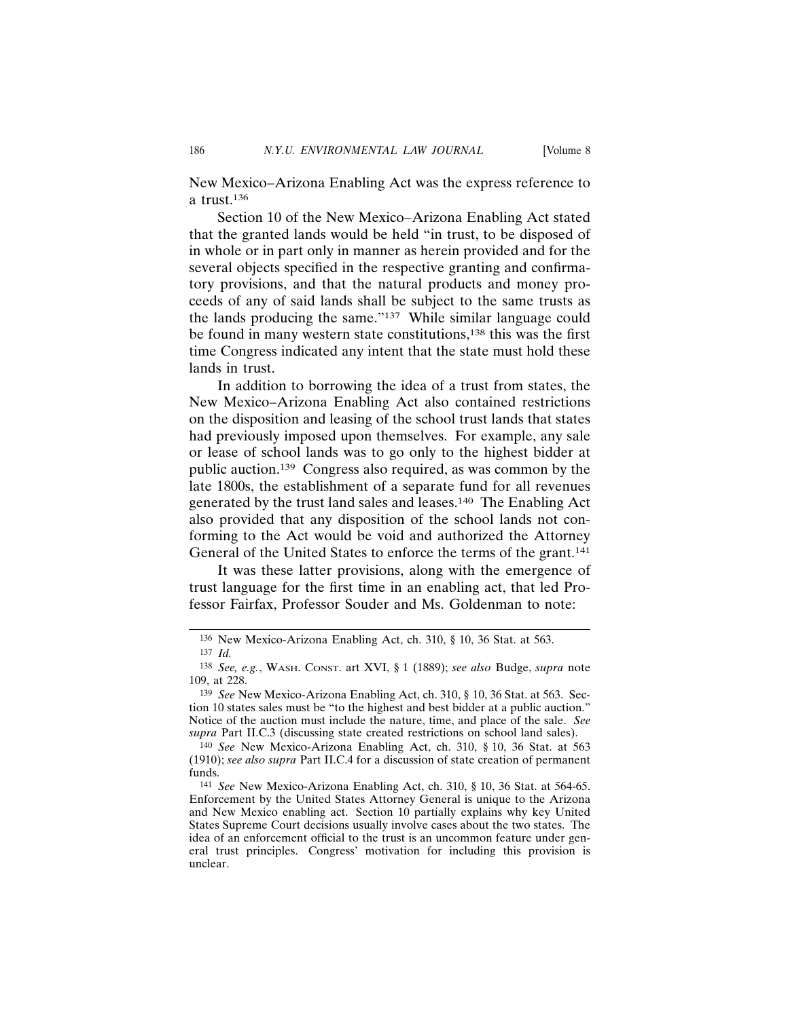New Mexico–Arizona Enabling Act was the express reference to a trust.136

Section 10 of the New Mexico–Arizona Enabling Act stated that the granted lands would be held "in trust, to be disposed of in whole or in part only in manner as herein provided and for the several objects specified in the respective granting and confirmatory provisions, and that the natural products and money proceeds of any of said lands shall be subject to the same trusts as the lands producing the same."137 While similar language could be found in many western state constitutions,<sup>138</sup> this was the first time Congress indicated any intent that the state must hold these lands in trust.

In addition to borrowing the idea of a trust from states, the New Mexico–Arizona Enabling Act also contained restrictions on the disposition and leasing of the school trust lands that states had previously imposed upon themselves. For example, any sale or lease of school lands was to go only to the highest bidder at public auction.139 Congress also required, as was common by the late 1800s, the establishment of a separate fund for all revenues generated by the trust land sales and leases.140 The Enabling Act also provided that any disposition of the school lands not conforming to the Act would be void and authorized the Attorney General of the United States to enforce the terms of the grant.141

It was these latter provisions, along with the emergence of trust language for the first time in an enabling act, that led Professor Fairfax, Professor Souder and Ms. Goldenman to note:

<sup>136</sup> New Mexico-Arizona Enabling Act, ch. 310, § 10, 36 Stat. at 563.

<sup>137</sup> *Id.*

<sup>138</sup> *See, e.g.*, WASH. CONST. art XVI, § 1 (1889); *see also* Budge, *supra* note 109, at 228.

<sup>139</sup> *See* New Mexico-Arizona Enabling Act, ch. 310, § 10, 36 Stat. at 563. Section 10 states sales must be "to the highest and best bidder at a public auction." Notice of the auction must include the nature, time, and place of the sale. *See supra* Part II.C.3 (discussing state created restrictions on school land sales).

<sup>140</sup> *See* New Mexico-Arizona Enabling Act, ch. 310, § 10, 36 Stat. at 563 (1910); *see also supra* Part II.C.4 for a discussion of state creation of permanent funds.

<sup>141</sup> *See* New Mexico-Arizona Enabling Act, ch. 310, § 10, 36 Stat. at 564-65. Enforcement by the United States Attorney General is unique to the Arizona and New Mexico enabling act. Section 10 partially explains why key United States Supreme Court decisions usually involve cases about the two states. The idea of an enforcement official to the trust is an uncommon feature under general trust principles. Congress' motivation for including this provision is unclear.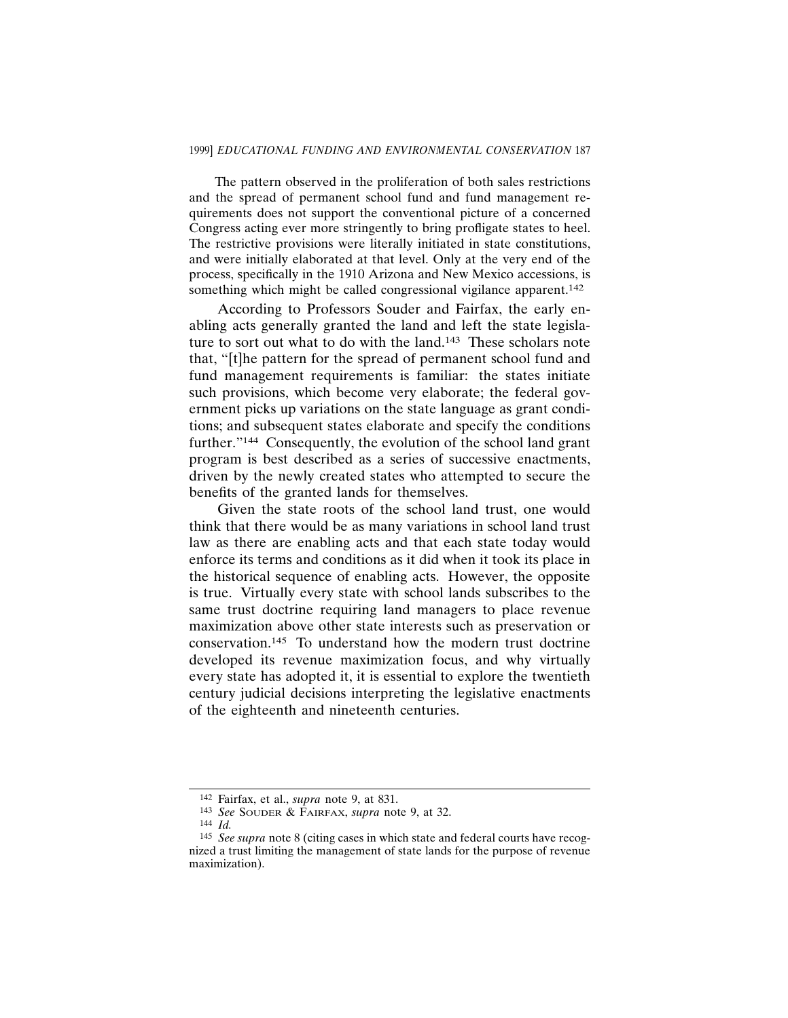The pattern observed in the proliferation of both sales restrictions and the spread of permanent school fund and fund management requirements does not support the conventional picture of a concerned Congress acting ever more stringently to bring profligate states to heel. The restrictive provisions were literally initiated in state constitutions, and were initially elaborated at that level. Only at the very end of the process, specifically in the 1910 Arizona and New Mexico accessions, is something which might be called congressional vigilance apparent.<sup>142</sup>

According to Professors Souder and Fairfax, the early enabling acts generally granted the land and left the state legislature to sort out what to do with the land.<sup>143</sup> These scholars note that, "[t]he pattern for the spread of permanent school fund and fund management requirements is familiar: the states initiate such provisions, which become very elaborate; the federal government picks up variations on the state language as grant conditions; and subsequent states elaborate and specify the conditions further."144 Consequently, the evolution of the school land grant program is best described as a series of successive enactments, driven by the newly created states who attempted to secure the benefits of the granted lands for themselves.

Given the state roots of the school land trust, one would think that there would be as many variations in school land trust law as there are enabling acts and that each state today would enforce its terms and conditions as it did when it took its place in the historical sequence of enabling acts. However, the opposite is true. Virtually every state with school lands subscribes to the same trust doctrine requiring land managers to place revenue maximization above other state interests such as preservation or conservation.145 To understand how the modern trust doctrine developed its revenue maximization focus, and why virtually every state has adopted it, it is essential to explore the twentieth century judicial decisions interpreting the legislative enactments of the eighteenth and nineteenth centuries.

<sup>142</sup> Fairfax, et al., *supra* note 9, at 831.

<sup>143</sup> *See* SOUDER & FAIRFAX, *supra* note 9, at 32.

<sup>144</sup> *Id.*

<sup>145</sup> *See supra* note 8 (citing cases in which state and federal courts have recognized a trust limiting the management of state lands for the purpose of revenue maximization).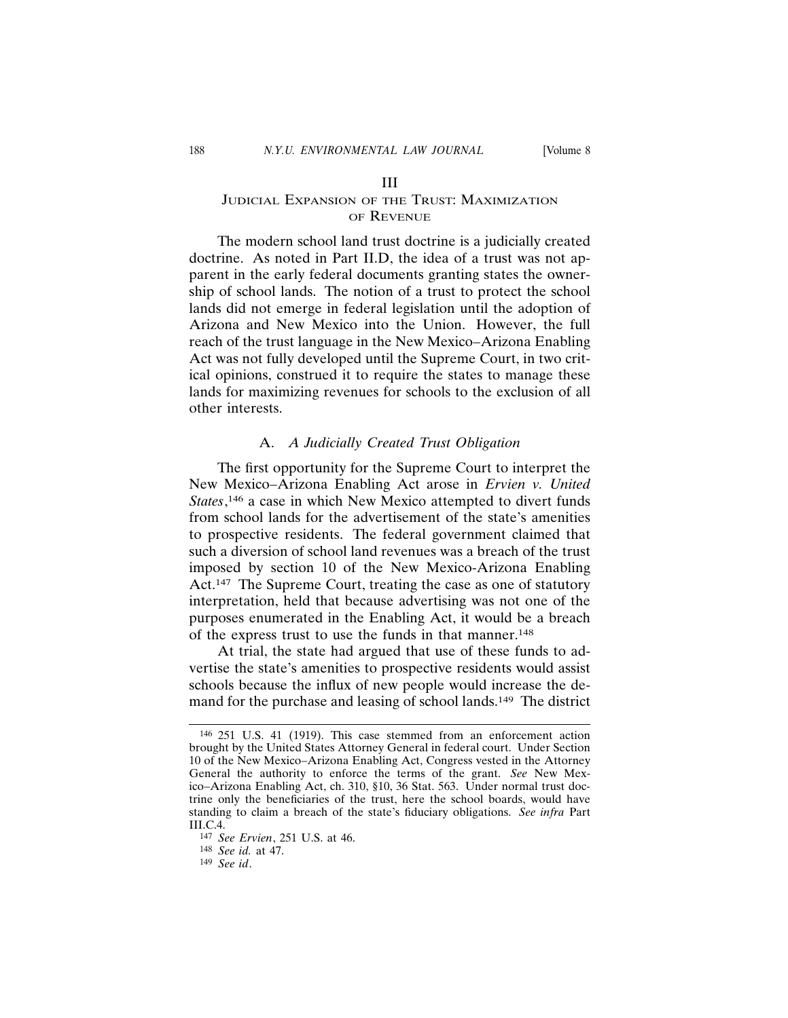# JUDICIAL EXPANSION OF THE TRUST: MAXIMIZATION OF REVENUE

The modern school land trust doctrine is a judicially created doctrine. As noted in Part II.D, the idea of a trust was not apparent in the early federal documents granting states the ownership of school lands. The notion of a trust to protect the school lands did not emerge in federal legislation until the adoption of Arizona and New Mexico into the Union. However, the full reach of the trust language in the New Mexico–Arizona Enabling Act was not fully developed until the Supreme Court, in two critical opinions, construed it to require the states to manage these lands for maximizing revenues for schools to the exclusion of all other interests.

#### A. *A Judicially Created Trust Obligation*

The first opportunity for the Supreme Court to interpret the New Mexico–Arizona Enabling Act arose in *Ervien v. United States*, 146 a case in which New Mexico attempted to divert funds from school lands for the advertisement of the state's amenities to prospective residents. The federal government claimed that such a diversion of school land revenues was a breach of the trust imposed by section 10 of the New Mexico-Arizona Enabling Act.<sup>147</sup> The Supreme Court, treating the case as one of statutory interpretation, held that because advertising was not one of the purposes enumerated in the Enabling Act, it would be a breach of the express trust to use the funds in that manner.148

At trial, the state had argued that use of these funds to advertise the state's amenities to prospective residents would assist schools because the influx of new people would increase the demand for the purchase and leasing of school lands.<sup>149</sup> The district

<sup>146</sup> 251 U.S. 41 (1919). This case stemmed from an enforcement action brought by the United States Attorney General in federal court. Under Section 10 of the New Mexico–Arizona Enabling Act, Congress vested in the Attorney General the authority to enforce the terms of the grant. *See* New Mexico–Arizona Enabling Act, ch. 310, §10, 36 Stat. 563. Under normal trust doctrine only the beneficiaries of the trust, here the school boards, would have standing to claim a breach of the state's fiduciary obligations. *See infra* Part III.C.4.

<sup>147</sup> *See Ervien*, 251 U.S. at 46.

<sup>148</sup> *See id.* at 47.

<sup>149</sup> *See id*.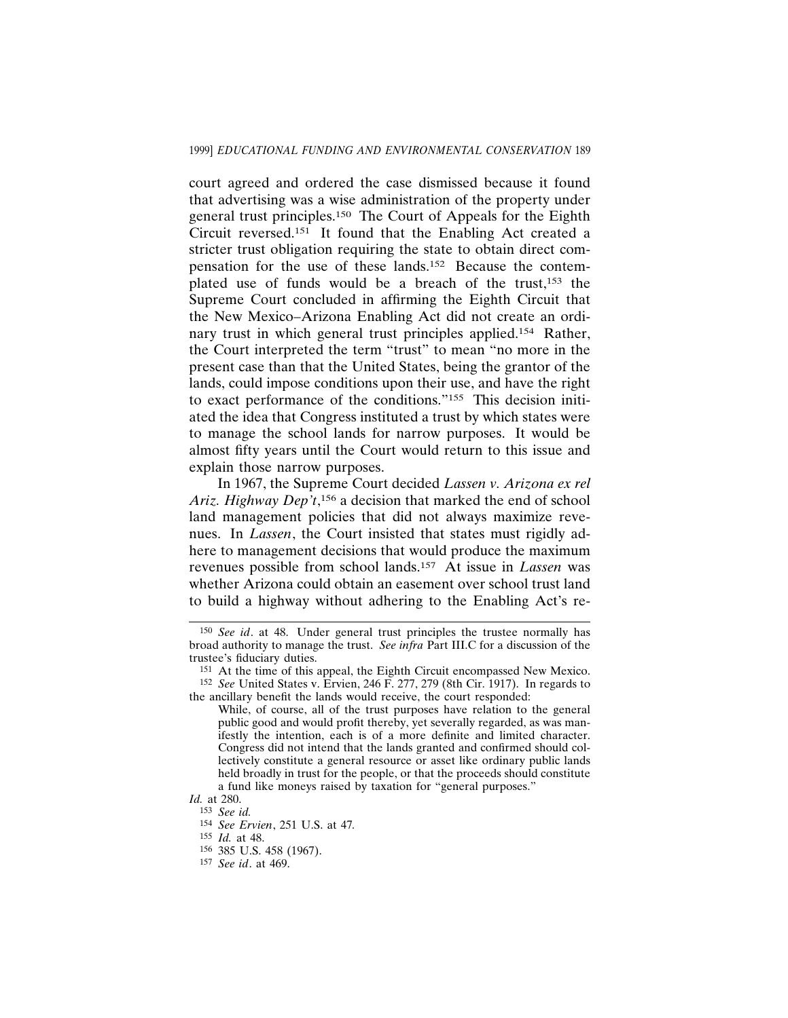court agreed and ordered the case dismissed because it found that advertising was a wise administration of the property under general trust principles.150 The Court of Appeals for the Eighth Circuit reversed.151 It found that the Enabling Act created a stricter trust obligation requiring the state to obtain direct compensation for the use of these lands.152 Because the contemplated use of funds would be a breach of the trust,153 the Supreme Court concluded in affirming the Eighth Circuit that the New Mexico–Arizona Enabling Act did not create an ordinary trust in which general trust principles applied.154 Rather, the Court interpreted the term "trust" to mean "no more in the present case than that the United States, being the grantor of the lands, could impose conditions upon their use, and have the right to exact performance of the conditions."155 This decision initiated the idea that Congress instituted a trust by which states were to manage the school lands for narrow purposes. It would be almost fifty years until the Court would return to this issue and explain those narrow purposes.

In 1967, the Supreme Court decided *Lassen v. Arizona ex rel Ariz. Highway Dep't*, 156 a decision that marked the end of school land management policies that did not always maximize revenues. In *Lassen*, the Court insisted that states must rigidly adhere to management decisions that would produce the maximum revenues possible from school lands.157 At issue in *Lassen* was whether Arizona could obtain an easement over school trust land to build a highway without adhering to the Enabling Act's re-

<sup>150</sup> *See id*. at 48. Under general trust principles the trustee normally has broad authority to manage the trust. *See infra* Part III.C for a discussion of the trustee's fiduciary duties.

<sup>151</sup> At the time of this appeal, the Eighth Circuit encompassed New Mexico. 152 *See* United States v. Ervien, 246 F. 277, 279 (8th Cir. 1917). In regards to the ancillary benefit the lands would receive, the court responded:

While, of course, all of the trust purposes have relation to the general public good and would profit thereby, yet severally regarded, as was manifestly the intention, each is of a more definite and limited character. Congress did not intend that the lands granted and confirmed should collectively constitute a general resource or asset like ordinary public lands held broadly in trust for the people, or that the proceeds should constitute a fund like moneys raised by taxation for "general purposes."

*Id.* at 280.

<sup>153</sup> *See id.*

<sup>154</sup> *See Ervien*, 251 U.S. at 47*.*

<sup>155</sup> *Id.* at 48.

<sup>156</sup> 385 U.S. 458 (1967).

<sup>157</sup> *See id*. at 469.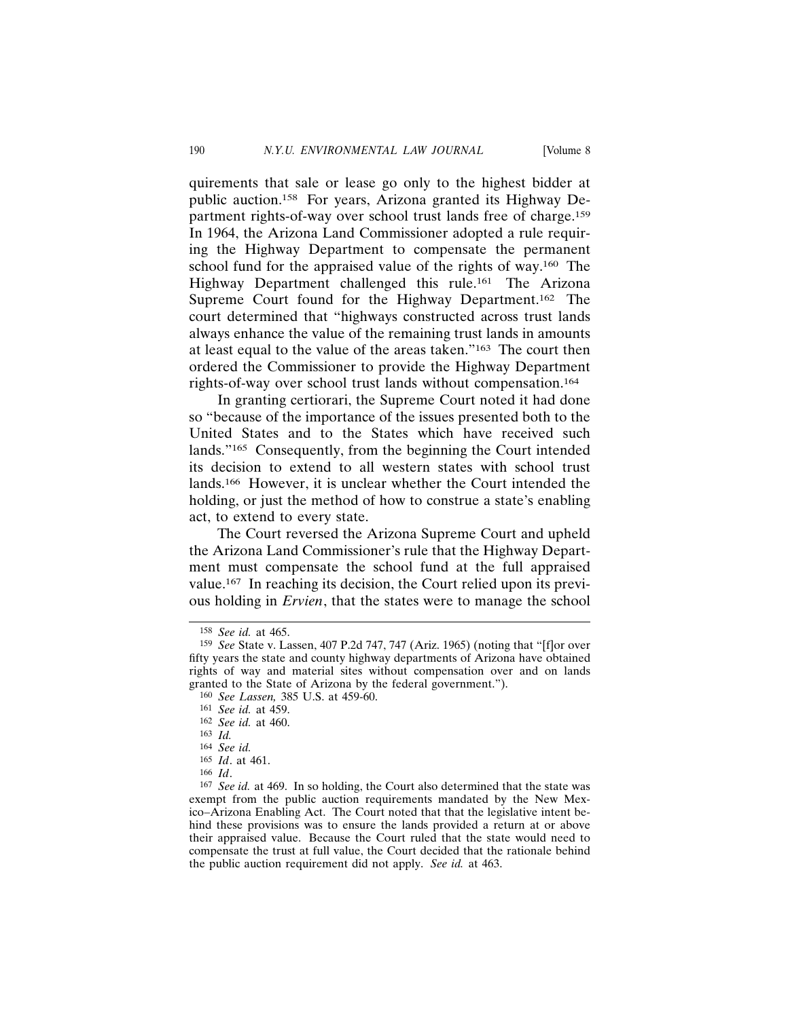quirements that sale or lease go only to the highest bidder at public auction.158 For years, Arizona granted its Highway Department rights-of-way over school trust lands free of charge.159 In 1964, the Arizona Land Commissioner adopted a rule requiring the Highway Department to compensate the permanent school fund for the appraised value of the rights of way.160 The Highway Department challenged this rule.<sup>161</sup> The Arizona Supreme Court found for the Highway Department.162 The court determined that "highways constructed across trust lands always enhance the value of the remaining trust lands in amounts at least equal to the value of the areas taken."163 The court then ordered the Commissioner to provide the Highway Department rights-of-way over school trust lands without compensation.164

In granting certiorari, the Supreme Court noted it had done so "because of the importance of the issues presented both to the United States and to the States which have received such lands."165 Consequently, from the beginning the Court intended its decision to extend to all western states with school trust lands.166 However, it is unclear whether the Court intended the holding, or just the method of how to construe a state's enabling act, to extend to every state.

The Court reversed the Arizona Supreme Court and upheld the Arizona Land Commissioner's rule that the Highway Department must compensate the school fund at the full appraised value.167 In reaching its decision, the Court relied upon its previous holding in *Ervien*, that the states were to manage the school

<sup>158</sup> *See id.* at 465.

<sup>159</sup> *See* State v. Lassen, 407 P.2d 747, 747 (Ariz. 1965) (noting that "[f]or over fifty years the state and county highway departments of Arizona have obtained rights of way and material sites without compensation over and on lands granted to the State of Arizona by the federal government.").

<sup>160</sup> *See Lassen,* 385 U.S. at 459-60.

<sup>161</sup> *See id.* at 459.

<sup>162</sup> *See id.* at 460.

<sup>163</sup> *Id.*

<sup>164</sup> *See id.*

<sup>165</sup> *Id*. at 461.

<sup>166</sup> *Id*.

<sup>167</sup> *See id.* at 469. In so holding, the Court also determined that the state was exempt from the public auction requirements mandated by the New Mexico–Arizona Enabling Act. The Court noted that that the legislative intent behind these provisions was to ensure the lands provided a return at or above their appraised value. Because the Court ruled that the state would need to compensate the trust at full value, the Court decided that the rationale behind the public auction requirement did not apply. *See id.* at 463.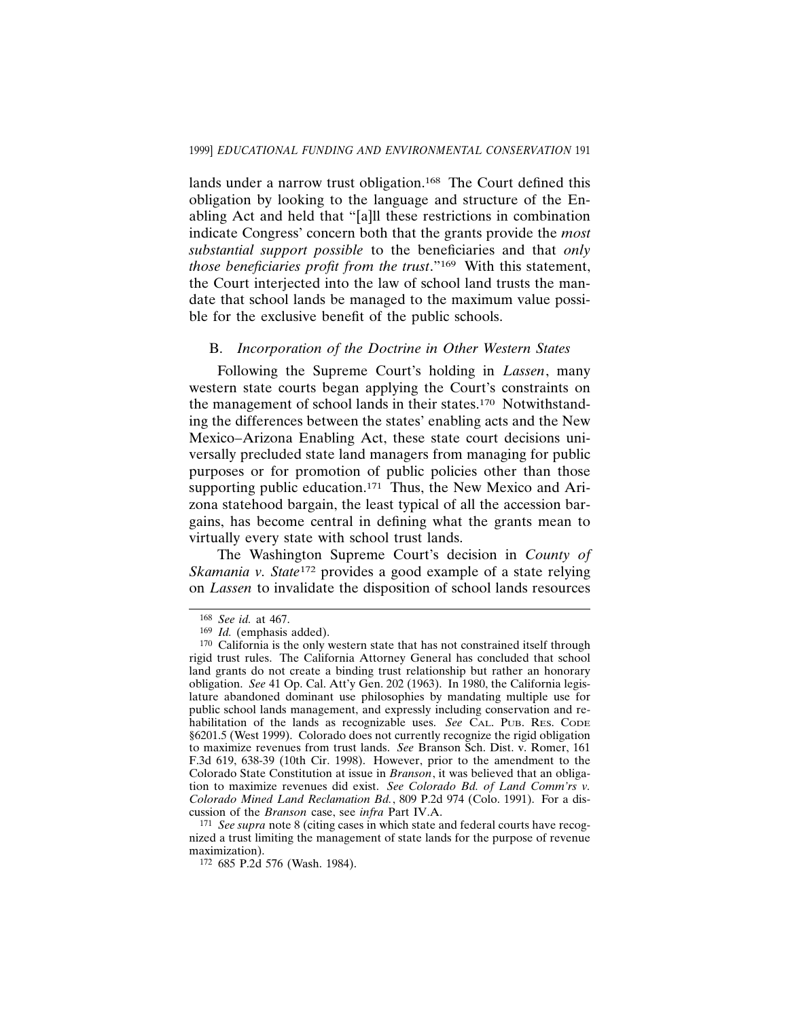lands under a narrow trust obligation.<sup>168</sup> The Court defined this obligation by looking to the language and structure of the Enabling Act and held that "[a]ll these restrictions in combination indicate Congress' concern both that the grants provide the *most substantial support possible* to the beneficiaries and that *only those beneficiaries profit from the trust.*"<sup>169</sup> With this statement, the Court interjected into the law of school land trusts the mandate that school lands be managed to the maximum value possible for the exclusive benefit of the public schools.

# B. *Incorporation of the Doctrine in Other Western States*

Following the Supreme Court's holding in *Lassen*, many western state courts began applying the Court's constraints on the management of school lands in their states.170 Notwithstanding the differences between the states' enabling acts and the New Mexico–Arizona Enabling Act, these state court decisions universally precluded state land managers from managing for public purposes or for promotion of public policies other than those supporting public education.<sup>171</sup> Thus, the New Mexico and Arizona statehood bargain, the least typical of all the accession bargains, has become central in defining what the grants mean to virtually every state with school trust lands.

The Washington Supreme Court's decision in *County of Skamania v. State*172 provides a good example of a state relying on *Lassen* to invalidate the disposition of school lands resources

171 *See supra* note 8 (citing cases in which state and federal courts have recognized a trust limiting the management of state lands for the purpose of revenue maximization).

<sup>168</sup> *See id.* at 467.

<sup>169</sup> *Id.* (emphasis added).

 $170$  California is the only western state that has not constrained itself through rigid trust rules. The California Attorney General has concluded that school land grants do not create a binding trust relationship but rather an honorary obligation. *See* 41 Op. Cal. Att'y Gen. 202 (1963). In 1980, the California legislature abandoned dominant use philosophies by mandating multiple use for public school lands management, and expressly including conservation and rehabilitation of the lands as recognizable uses. *See* CAL. PUB. RES. CODE §6201.5 (West 1999). Colorado does not currently recognize the rigid obligation to maximize revenues from trust lands. *See* Branson Sch. Dist. v. Romer, 161 F.3d 619, 638-39 (10th Cir. 1998). However, prior to the amendment to the Colorado State Constitution at issue in *Branson*, it was believed that an obligation to maximize revenues did exist. *See Colorado Bd. of Land Comm'rs v. Colorado Mined Land Reclamation Bd.*, 809 P.2d 974 (Colo. 1991). For a discussion of the *Branson* case, see *infra* Part IV.A.

<sup>172</sup> 685 P.2d 576 (Wash. 1984).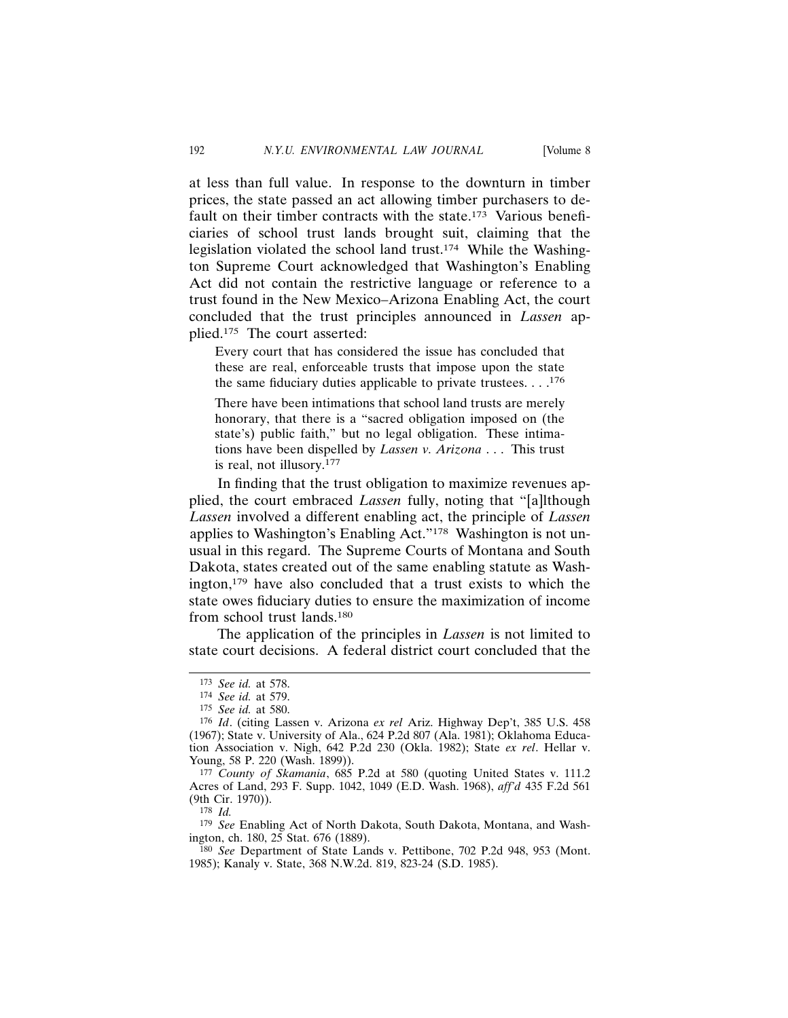at less than full value. In response to the downturn in timber prices, the state passed an act allowing timber purchasers to default on their timber contracts with the state.<sup>173</sup> Various beneficiaries of school trust lands brought suit, claiming that the legislation violated the school land trust.174 While the Washington Supreme Court acknowledged that Washington's Enabling Act did not contain the restrictive language or reference to a trust found in the New Mexico–Arizona Enabling Act, the court concluded that the trust principles announced in *Lassen* applied.175 The court asserted:

Every court that has considered the issue has concluded that these are real, enforceable trusts that impose upon the state the same fiduciary duties applicable to private trustees.  $\dots$ <sup>176</sup>

There have been intimations that school land trusts are merely honorary, that there is a "sacred obligation imposed on (the state's) public faith," but no legal obligation. These intimations have been dispelled by *Lassen v. Arizona* . . . This trust is real, not illusory.177

In finding that the trust obligation to maximize revenues applied, the court embraced *Lassen* fully, noting that "[a]lthough *Lassen* involved a different enabling act, the principle of *Lassen* applies to Washington's Enabling Act."178 Washington is not unusual in this regard. The Supreme Courts of Montana and South Dakota, states created out of the same enabling statute as Washington, $179$  have also concluded that a trust exists to which the state owes fiduciary duties to ensure the maximization of income from school trust lands.180

The application of the principles in *Lassen* is not limited to state court decisions. A federal district court concluded that the

178 *Id.*

179 *See* Enabling Act of North Dakota, South Dakota, Montana, and Washington, ch. 180, 25 Stat. 676 (1889).

<sup>173</sup> *See id.* at 578.

<sup>174</sup> *See id.* at 579.

<sup>175</sup> *See id.* at 580.

<sup>176</sup> *Id*. (citing Lassen v. Arizona *ex rel* Ariz. Highway Dep't, 385 U.S. 458 (1967); State v. University of Ala., 624 P.2d 807 (Ala. 1981); Oklahoma Education Association v. Nigh, 642 P.2d 230 (Okla. 1982); State *ex rel*. Hellar v. Young, 58 P. 220 (Wash. 1899)).

<sup>177</sup> *County of Skamania*, 685 P.2d at 580 (quoting United States v. 111.2 Acres of Land, 293 F. Supp. 1042, 1049 (E.D. Wash. 1968), *aff'd* 435 F.2d 561 (9th Cir. 1970)).

<sup>180</sup> *See* Department of State Lands v. Pettibone, 702 P.2d 948, 953 (Mont. 1985); Kanaly v. State, 368 N.W.2d. 819, 823-24 (S.D. 1985).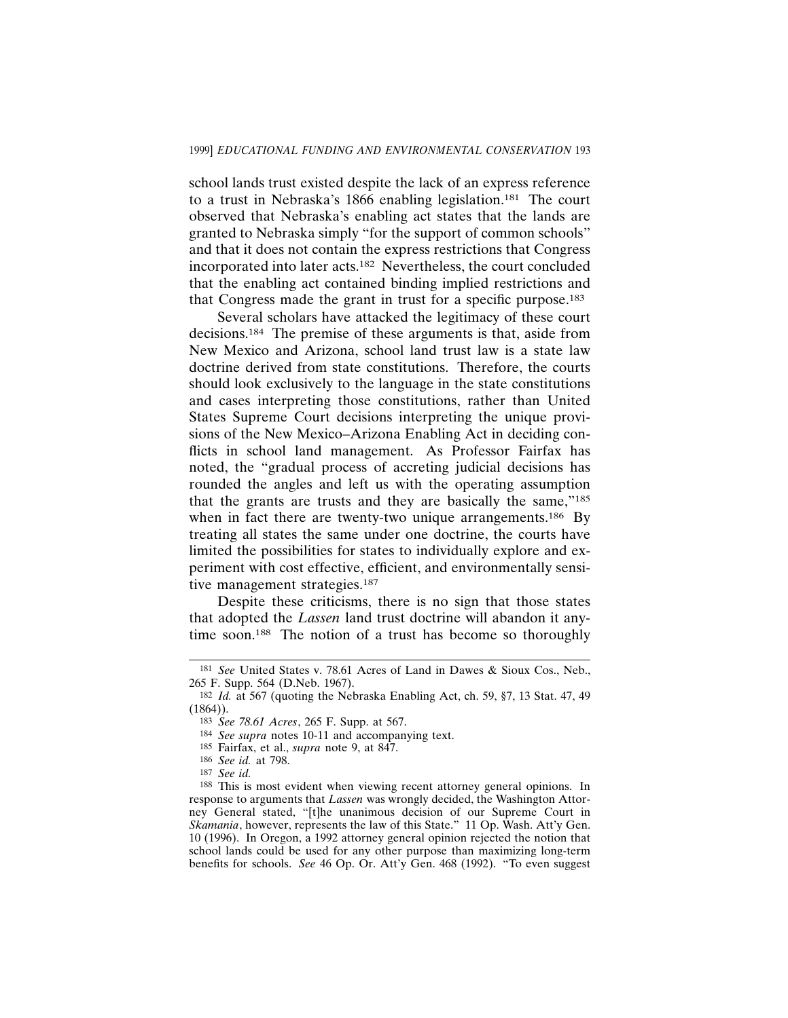school lands trust existed despite the lack of an express reference to a trust in Nebraska's 1866 enabling legislation.181 The court observed that Nebraska's enabling act states that the lands are granted to Nebraska simply "for the support of common schools" and that it does not contain the express restrictions that Congress incorporated into later acts.182 Nevertheless, the court concluded that the enabling act contained binding implied restrictions and that Congress made the grant in trust for a specific purpose.183

Several scholars have attacked the legitimacy of these court decisions.184 The premise of these arguments is that, aside from New Mexico and Arizona, school land trust law is a state law doctrine derived from state constitutions. Therefore, the courts should look exclusively to the language in the state constitutions and cases interpreting those constitutions, rather than United States Supreme Court decisions interpreting the unique provisions of the New Mexico–Arizona Enabling Act in deciding conflicts in school land management. As Professor Fairfax has noted, the "gradual process of accreting judicial decisions has rounded the angles and left us with the operating assumption that the grants are trusts and they are basically the same,"185 when in fact there are twenty-two unique arrangements.<sup>186</sup> By treating all states the same under one doctrine, the courts have limited the possibilities for states to individually explore and experiment with cost effective, efficient, and environmentally sensitive management strategies.<sup>187</sup>

Despite these criticisms, there is no sign that those states that adopted the *Lassen* land trust doctrine will abandon it anytime soon.188 The notion of a trust has become so thoroughly

<sup>181</sup> *See* United States v. 78.61 Acres of Land in Dawes & Sioux Cos., Neb., 265 F. Supp. 564 (D.Neb. 1967).

<sup>182</sup> *Id.* at 567 (quoting the Nebraska Enabling Act, ch. 59, §7, 13 Stat. 47, 49  $(1864)$ ).

<sup>183</sup> *See 78.61 Acres*, 265 F. Supp. at 567.

<sup>184</sup> *See supra* notes 10-11 and accompanying text.

<sup>185</sup> Fairfax, et al., *supra* note 9, at 847.

<sup>186</sup> *See id.* at 798.

<sup>187</sup> *See id.*

<sup>188</sup> This is most evident when viewing recent attorney general opinions. In response to arguments that *Lassen* was wrongly decided, the Washington Attorney General stated, "[t]he unanimous decision of our Supreme Court in *Skamania*, however, represents the law of this State." 11 Op. Wash. Att'y Gen. 10 (1996). In Oregon, a 1992 attorney general opinion rejected the notion that school lands could be used for any other purpose than maximizing long-term benefits for schools. *See* 46 Op. Or. Att'y Gen. 468 (1992). "To even suggest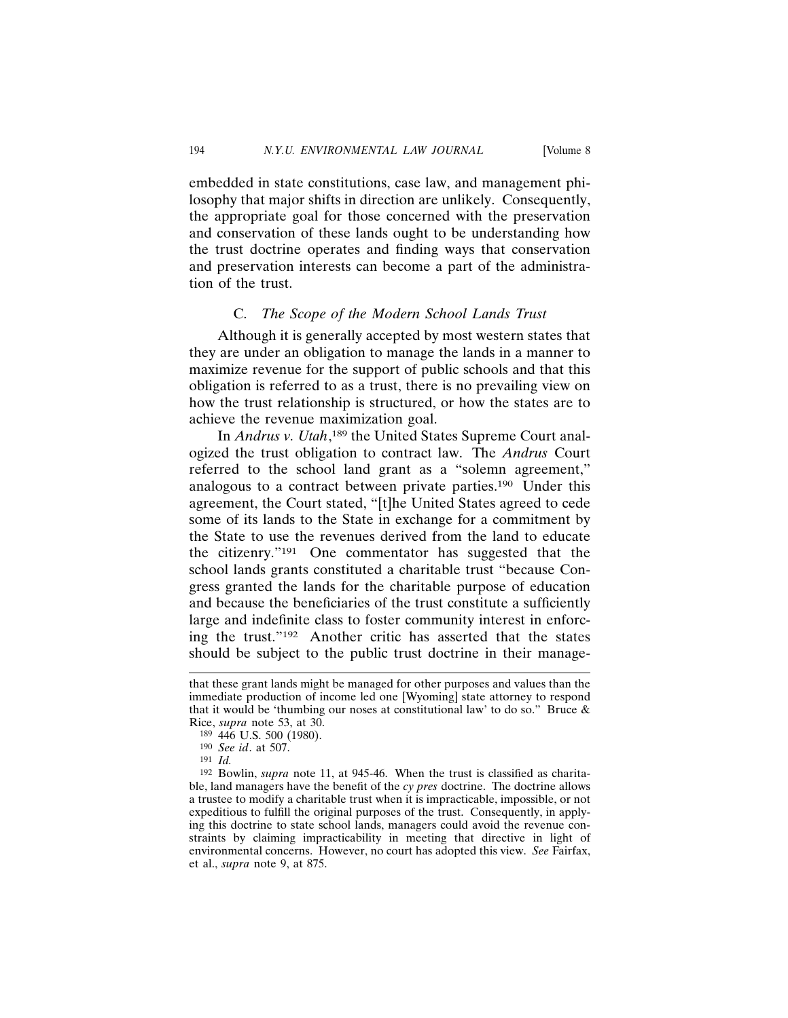embedded in state constitutions, case law, and management philosophy that major shifts in direction are unlikely. Consequently, the appropriate goal for those concerned with the preservation and conservation of these lands ought to be understanding how the trust doctrine operates and finding ways that conservation and preservation interests can become a part of the administration of the trust.

#### C. *The Scope of the Modern School Lands Trust*

Although it is generally accepted by most western states that they are under an obligation to manage the lands in a manner to maximize revenue for the support of public schools and that this obligation is referred to as a trust, there is no prevailing view on how the trust relationship is structured, or how the states are to achieve the revenue maximization goal.

In *Andrus v. Utah*,<sup>189</sup> the United States Supreme Court analogized the trust obligation to contract law. The *Andrus* Court referred to the school land grant as a "solemn agreement," analogous to a contract between private parties.190 Under this agreement, the Court stated, "[t]he United States agreed to cede some of its lands to the State in exchange for a commitment by the State to use the revenues derived from the land to educate the citizenry."191 One commentator has suggested that the school lands grants constituted a charitable trust "because Congress granted the lands for the charitable purpose of education and because the beneficiaries of the trust constitute a sufficiently large and indefinite class to foster community interest in enforcing the trust."192 Another critic has asserted that the states should be subject to the public trust doctrine in their manage-

that these grant lands might be managed for other purposes and values than the immediate production of income led one [Wyoming] state attorney to respond that it would be 'thumbing our noses at constitutional law' to do so." Bruce & Rice, *supra* note 53, at 30.

<sup>189</sup> 446 U.S. 500 (1980).

<sup>190</sup> *See id*. at 507.

<sup>191</sup> *Id.*

<sup>192</sup> Bowlin, *supra* note 11, at 945-46. When the trust is classified as charitable, land managers have the benefit of the *cy pres* doctrine. The doctrine allows a trustee to modify a charitable trust when it is impracticable, impossible, or not expeditious to fulfill the original purposes of the trust. Consequently, in applying this doctrine to state school lands, managers could avoid the revenue constraints by claiming impracticability in meeting that directive in light of environmental concerns. However, no court has adopted this view. *See* Fairfax, et al., *supra* note 9, at 875.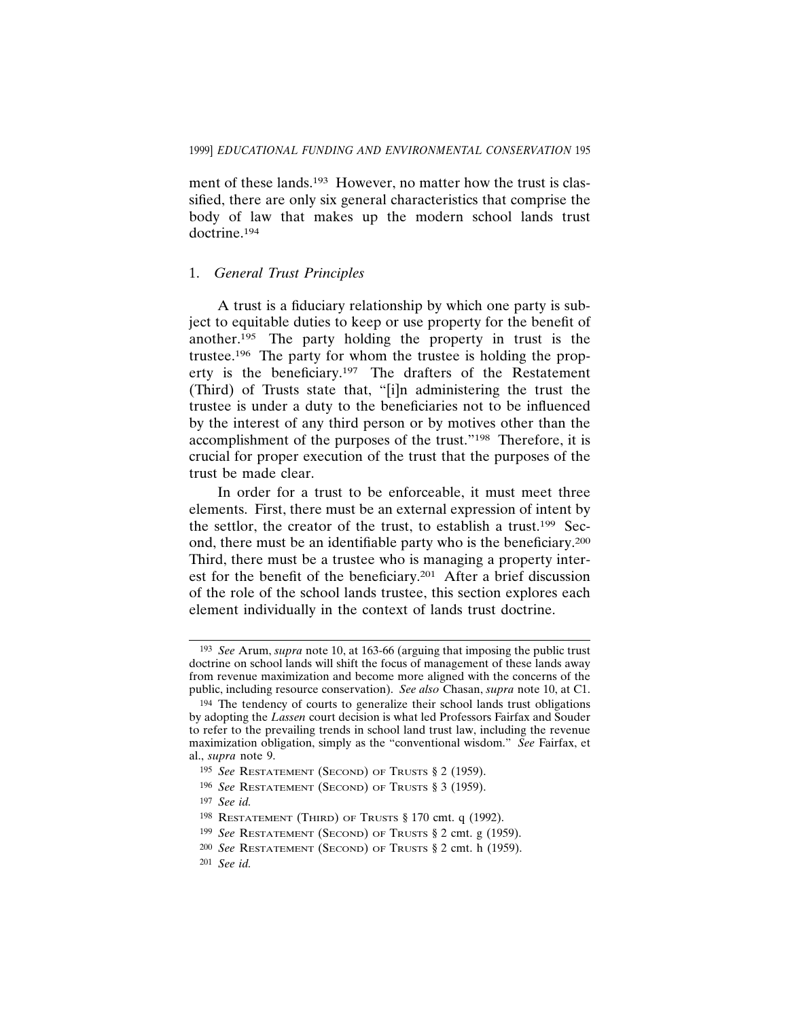ment of these lands.<sup>193</sup> However, no matter how the trust is classified, there are only six general characteristics that comprise the body of law that makes up the modern school lands trust doctrine.194

#### 1. *General Trust Principles*

A trust is a fiduciary relationship by which one party is subject to equitable duties to keep or use property for the benefit of another.195 The party holding the property in trust is the trustee.196 The party for whom the trustee is holding the property is the beneficiary.197 The drafters of the Restatement (Third) of Trusts state that, "[i]n administering the trust the trustee is under a duty to the beneficiaries not to be influenced by the interest of any third person or by motives other than the accomplishment of the purposes of the trust."198 Therefore, it is crucial for proper execution of the trust that the purposes of the trust be made clear.

In order for a trust to be enforceable, it must meet three elements. First, there must be an external expression of intent by the settlor, the creator of the trust, to establish a trust.199 Second, there must be an identifiable party who is the beneficiary.200 Third, there must be a trustee who is managing a property interest for the benefit of the beneficiary.201 After a brief discussion of the role of the school lands trustee, this section explores each element individually in the context of lands trust doctrine.

<sup>193</sup> *See* Arum, *supra* note 10, at 163-66 (arguing that imposing the public trust doctrine on school lands will shift the focus of management of these lands away from revenue maximization and become more aligned with the concerns of the public, including resource conservation). *See also* Chasan, *supra* note 10, at C1.

<sup>194</sup> The tendency of courts to generalize their school lands trust obligations by adopting the *Lassen* court decision is what led Professors Fairfax and Souder to refer to the prevailing trends in school land trust law, including the revenue maximization obligation, simply as the "conventional wisdom." *See* Fairfax, et al., *supra* note 9.

<sup>195</sup> *See* RESTATEMENT (SECOND) OF TRUSTS § 2 (1959).

<sup>196</sup> *See* RESTATEMENT (SECOND) OF TRUSTS § 3 (1959).

<sup>197</sup> *See id.*

<sup>198</sup> RESTATEMENT (THIRD) OF TRUSTS § 170 cmt. q (1992).

<sup>199</sup> *See* RESTATEMENT (SECOND) OF TRUSTS § 2 cmt. g (1959).

<sup>200</sup> *See* RESTATEMENT (SECOND) OF TRUSTS § 2 cmt. h (1959).

<sup>201</sup> *See id.*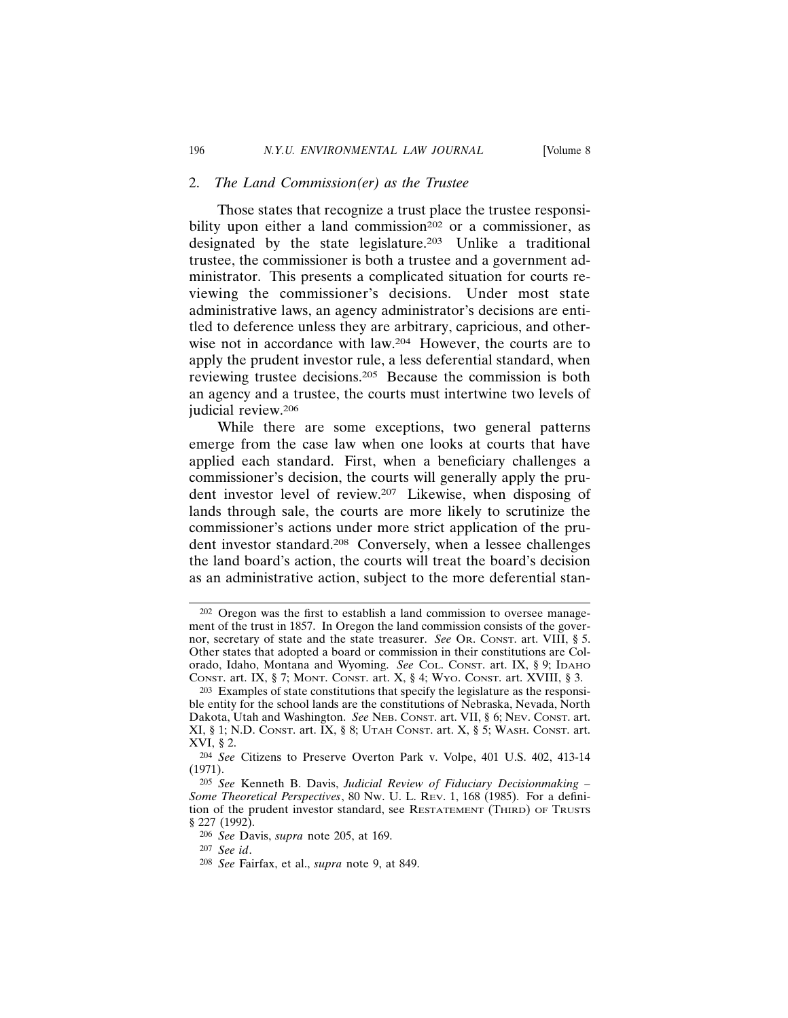#### 2. *The Land Commission(er) as the Trustee*

Those states that recognize a trust place the trustee responsibility upon either a land commission<sup>202</sup> or a commissioner, as designated by the state legislature.203 Unlike a traditional trustee, the commissioner is both a trustee and a government administrator. This presents a complicated situation for courts reviewing the commissioner's decisions. Under most state administrative laws, an agency administrator's decisions are entitled to deference unless they are arbitrary, capricious, and otherwise not in accordance with law.204 However, the courts are to apply the prudent investor rule, a less deferential standard, when reviewing trustee decisions.205 Because the commission is both an agency and a trustee, the courts must intertwine two levels of judicial review.206

While there are some exceptions, two general patterns emerge from the case law when one looks at courts that have applied each standard. First, when a beneficiary challenges a commissioner's decision, the courts will generally apply the prudent investor level of review.207 Likewise, when disposing of lands through sale, the courts are more likely to scrutinize the commissioner's actions under more strict application of the prudent investor standard.208 Conversely, when a lessee challenges the land board's action, the courts will treat the board's decision as an administrative action, subject to the more deferential stan-

<sup>202</sup> Oregon was the first to establish a land commission to oversee management of the trust in 1857. In Oregon the land commission consists of the governor, secretary of state and the state treasurer. *See* OR. CONST. art. VIII, § 5. Other states that adopted a board or commission in their constitutions are Colorado, Idaho, Montana and Wyoming. *See* COL. CONST. art. IX, § 9; IDAHO CONST. art. IX, § 7; MONT. CONST. art. X, § 4; WYO. CONST. art. XVIII, § 3.

<sup>203</sup> Examples of state constitutions that specify the legislature as the responsible entity for the school lands are the constitutions of Nebraska, Nevada, North Dakota, Utah and Washington. *See* NEB. CONST. art. VII, § 6; NEV. CONST. art.  $XI, § 1; N.D.$  CONST. art.  $IX, § 8$ ; UTAH CONST. art.  $X, § 5$ ; WASH. CONST. art. XVI, § 2.

<sup>204</sup> *See* Citizens to Preserve Overton Park v. Volpe, 401 U.S. 402, 413-14 (1971).

<sup>205</sup> *See* Kenneth B. Davis, *Judicial Review of Fiduciary Decisionmaking – Some Theoretical Perspectives*, 80 NW. U. L. REV. 1, 168 (1985). For a definition of the prudent investor standard, see RESTATEMENT (THIRD) OF TRUSTS § 227 (1992).

<sup>206</sup> *See* Davis, *supra* note 205, at 169.

<sup>207</sup> *See id*.

<sup>208</sup> *See* Fairfax, et al., *supra* note 9, at 849.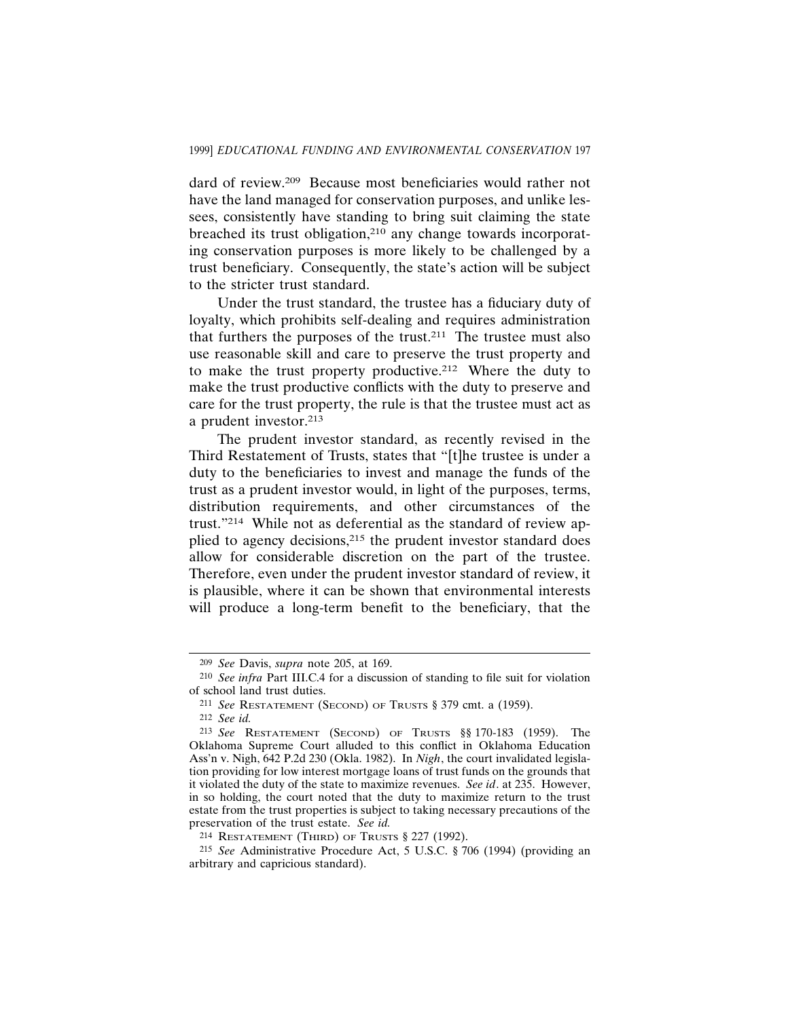dard of review.209 Because most beneficiaries would rather not have the land managed for conservation purposes, and unlike lessees, consistently have standing to bring suit claiming the state breached its trust obligation,210 any change towards incorporating conservation purposes is more likely to be challenged by a trust beneficiary. Consequently, the state's action will be subject to the stricter trust standard.

Under the trust standard, the trustee has a fiduciary duty of loyalty, which prohibits self-dealing and requires administration that furthers the purposes of the trust.<sup>211</sup> The trustee must also use reasonable skill and care to preserve the trust property and to make the trust property productive.212 Where the duty to make the trust productive conflicts with the duty to preserve and care for the trust property, the rule is that the trustee must act as a prudent investor.213

The prudent investor standard, as recently revised in the Third Restatement of Trusts, states that "[t]he trustee is under a duty to the beneficiaries to invest and manage the funds of the trust as a prudent investor would, in light of the purposes, terms, distribution requirements, and other circumstances of the trust."214 While not as deferential as the standard of review applied to agency decisions,215 the prudent investor standard does allow for considerable discretion on the part of the trustee. Therefore, even under the prudent investor standard of review, it is plausible, where it can be shown that environmental interests will produce a long-term benefit to the beneficiary, that the

<sup>209</sup> *See* Davis, *supra* note 205, at 169.

<sup>210</sup> *See infra* Part III.C.4 for a discussion of standing to file suit for violation of school land trust duties.

<sup>211</sup> *See* RESTATEMENT (SECOND) OF TRUSTS § 379 cmt. a (1959).

<sup>212</sup> *See id.*

<sup>213</sup> *See* RESTATEMENT (SECOND) OF TRUSTS §§ 170-183 (1959). The Oklahoma Supreme Court alluded to this conflict in Oklahoma Education Ass'n v. Nigh, 642 P.2d 230 (Okla. 1982). In *Nigh*, the court invalidated legislation providing for low interest mortgage loans of trust funds on the grounds that it violated the duty of the state to maximize revenues. *See id*. at 235. However, in so holding, the court noted that the duty to maximize return to the trust estate from the trust properties is subject to taking necessary precautions of the preservation of the trust estate. *See id.*

<sup>214</sup> RESTATEMENT (THIRD) OF TRUSTS § 227 (1992).

<sup>215</sup> *See* Administrative Procedure Act, 5 U.S.C. § 706 (1994) (providing an arbitrary and capricious standard).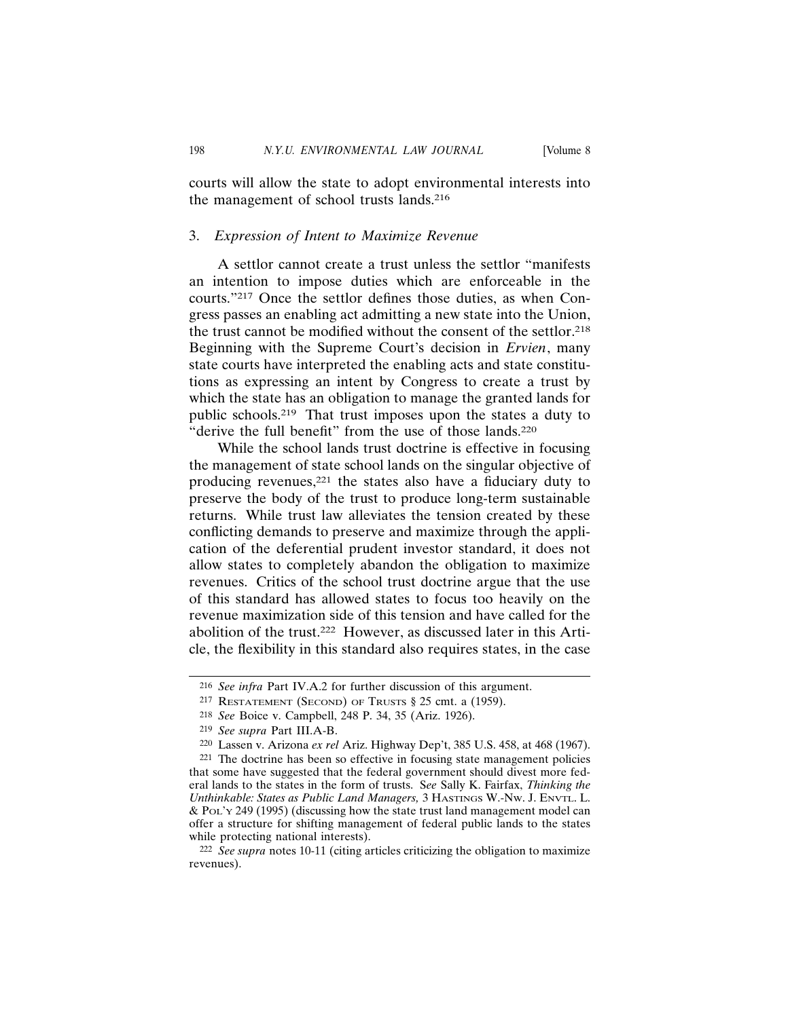courts will allow the state to adopt environmental interests into the management of school trusts lands.216

#### 3. *Expression of Intent to Maximize Revenue*

A settlor cannot create a trust unless the settlor "manifests an intention to impose duties which are enforceable in the courts."217 Once the settlor defines those duties, as when Congress passes an enabling act admitting a new state into the Union, the trust cannot be modified without the consent of the settlor.218 Beginning with the Supreme Court's decision in *Ervien*, many state courts have interpreted the enabling acts and state constitutions as expressing an intent by Congress to create a trust by which the state has an obligation to manage the granted lands for public schools.219 That trust imposes upon the states a duty to "derive the full benefit" from the use of those lands.<sup>220</sup>

While the school lands trust doctrine is effective in focusing the management of state school lands on the singular objective of producing revenues,221 the states also have a fiduciary duty to preserve the body of the trust to produce long-term sustainable returns. While trust law alleviates the tension created by these conflicting demands to preserve and maximize through the application of the deferential prudent investor standard, it does not allow states to completely abandon the obligation to maximize revenues. Critics of the school trust doctrine argue that the use of this standard has allowed states to focus too heavily on the revenue maximization side of this tension and have called for the abolition of the trust.222 However, as discussed later in this Article, the flexibility in this standard also requires states, in the case

<sup>216</sup> *See infra* Part IV.A.2 for further discussion of this argument.

<sup>217</sup> RESTATEMENT (SECOND) OF TRUSTS § 25 cmt. a (1959).

<sup>218</sup> *See* Boice v. Campbell, 248 P. 34, 35 (Ariz. 1926).

<sup>219</sup> *See supra* Part III.A-B.

<sup>220</sup> Lassen v. Arizona *ex rel* Ariz. Highway Dep't, 385 U.S. 458, at 468 (1967).

<sup>221</sup> The doctrine has been so effective in focusing state management policies that some have suggested that the federal government should divest more federal lands to the states in the form of trusts. S*ee* Sally K. Fairfax, *Thinking the Unthinkable: States as Public Land Managers,* 3 HASTINGS W.-NW. J. ENVTL. L. & POL'Y 249 (1995) (discussing how the state trust land management model can offer a structure for shifting management of federal public lands to the states while protecting national interests).

<sup>222</sup> *See supra* notes 10-11 (citing articles criticizing the obligation to maximize revenues).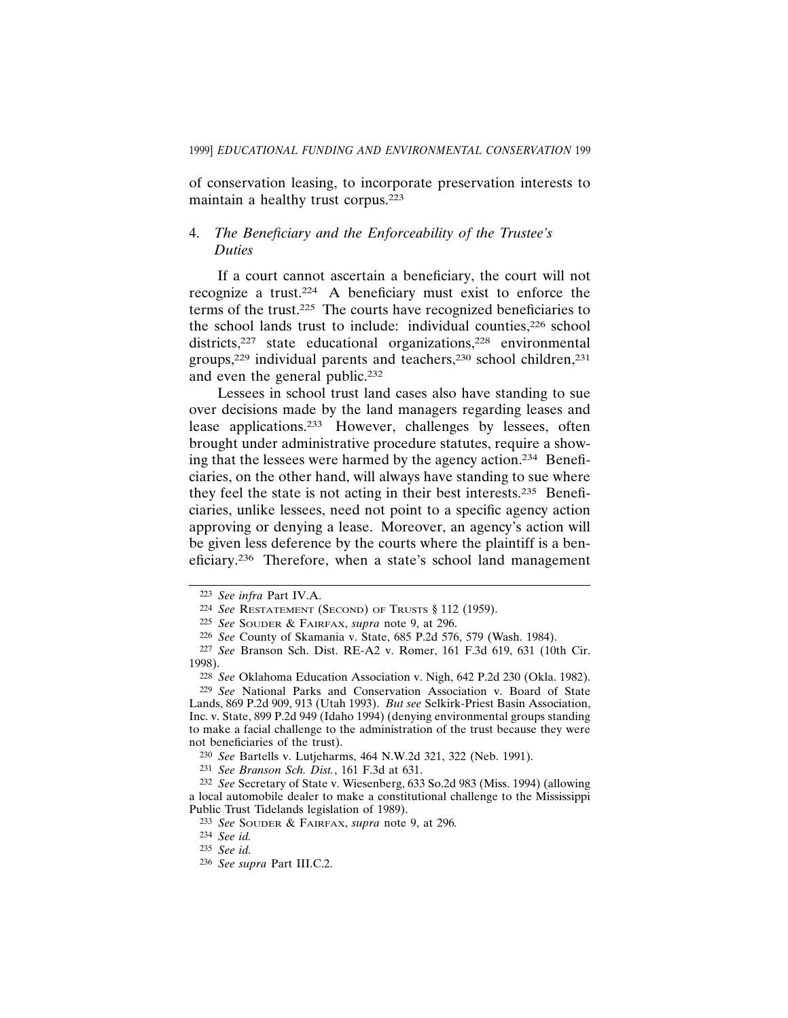of conservation leasing, to incorporate preservation interests to maintain a healthy trust corpus.223

## 4. *The Beneficiary and the Enforceability of the Trustee's Duties*

If a court cannot ascertain a beneficiary, the court will not recognize a trust.224 A beneficiary must exist to enforce the terms of the trust.225 The courts have recognized beneficiaries to the school lands trust to include: individual counties,226 school districts,<sup>227</sup> state educational organizations,<sup>228</sup> environmental groups,<sup>229</sup> individual parents and teachers,<sup>230</sup> school children,<sup>231</sup> and even the general public.232

Lessees in school trust land cases also have standing to sue over decisions made by the land managers regarding leases and lease applications.233 However, challenges by lessees, often brought under administrative procedure statutes, require a showing that the lessees were harmed by the agency action.234 Beneficiaries, on the other hand, will always have standing to sue where they feel the state is not acting in their best interests.235 Beneficiaries, unlike lessees, need not point to a specific agency action approving or denying a lease. Moreover, an agency's action will be given less deference by the courts where the plaintiff is a beneficiary.236 Therefore, when a state's school land management

<sup>223</sup> *See infra* Part IV.A.

<sup>224</sup> *See* RESTATEMENT (SECOND) OF TRUSTS § 112 (1959).

<sup>225</sup> *See* SOUDER & FAIRFAX, *supra* note 9, at 296.

<sup>226</sup> *See* County of Skamania v. State, 685 P.2d 576, 579 (Wash. 1984).

<sup>227</sup> *See* Branson Sch. Dist. RE-A2 v. Romer, 161 F.3d 619, 631 (10th Cir. 1998).

<sup>228</sup> *See* Oklahoma Education Association v. Nigh, 642 P.2d 230 (Okla. 1982). 229 *See* National Parks and Conservation Association v. Board of State Lands, 869 P.2d 909, 913 (Utah 1993). *But see* Selkirk-Priest Basin Association, Inc. v. State, 899 P.2d 949 (Idaho 1994) (denying environmental groups standing to make a facial challenge to the administration of the trust because they were not beneficiaries of the trust).

<sup>230</sup> *See* Bartells v. Lutjeharms, 464 N.W.2d 321, 322 (Neb. 1991).

<sup>231</sup> *See Branson Sch. Dist.*, 161 F.3d at 631.

<sup>232</sup> *See* Secretary of State v. Wiesenberg, 633 So.2d 983 (Miss. 1994) (allowing a local automobile dealer to make a constitutional challenge to the Mississippi Public Trust Tidelands legislation of 1989).

<sup>233</sup> *See* SOUDER & FAIRFAX, *supra* note 9, at 296*.*

<sup>234</sup> *See id.*

<sup>235</sup> *See id.*

<sup>236</sup> *See supra* Part III.C.2.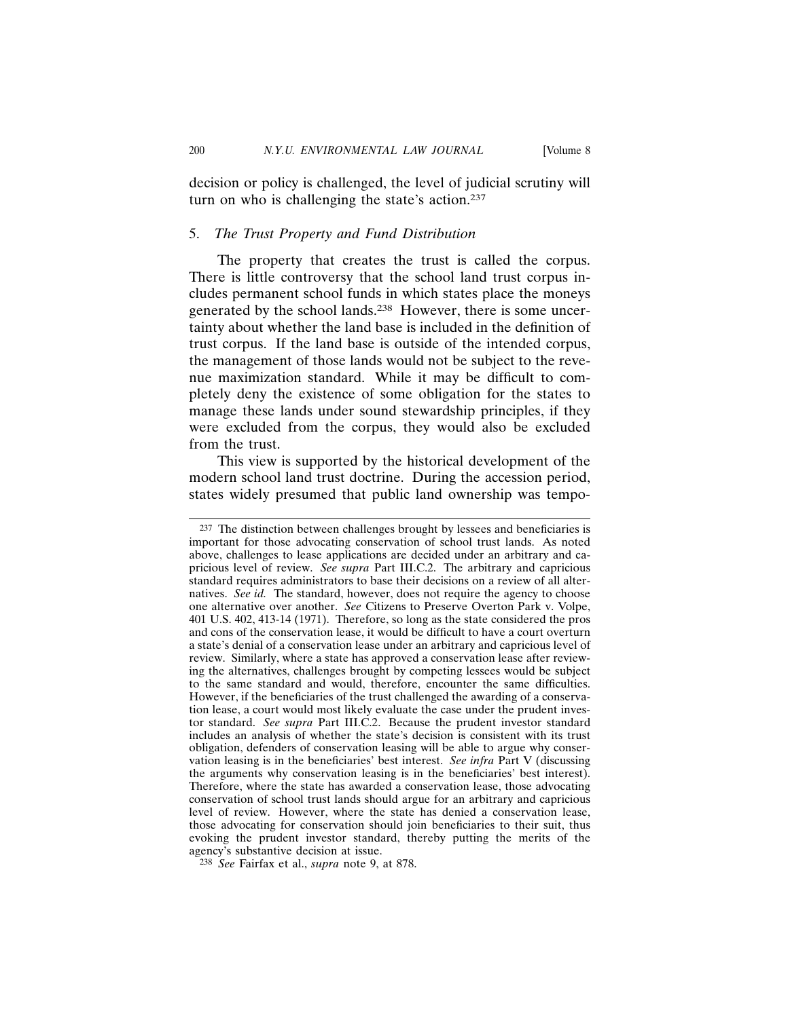decision or policy is challenged, the level of judicial scrutiny will turn on who is challenging the state's action.<sup>237</sup>

#### 5. *The Trust Property and Fund Distribution*

The property that creates the trust is called the corpus. There is little controversy that the school land trust corpus includes permanent school funds in which states place the moneys generated by the school lands.238 However, there is some uncertainty about whether the land base is included in the definition of trust corpus. If the land base is outside of the intended corpus, the management of those lands would not be subject to the revenue maximization standard. While it may be difficult to completely deny the existence of some obligation for the states to manage these lands under sound stewardship principles, if they were excluded from the corpus, they would also be excluded from the trust.

This view is supported by the historical development of the modern school land trust doctrine. During the accession period, states widely presumed that public land ownership was tempo-

<sup>237</sup> The distinction between challenges brought by lessees and beneficiaries is important for those advocating conservation of school trust lands. As noted above, challenges to lease applications are decided under an arbitrary and capricious level of review. *See supra* Part III.C.2. The arbitrary and capricious standard requires administrators to base their decisions on a review of all alternatives. *See id.* The standard, however, does not require the agency to choose one alternative over another. *See* Citizens to Preserve Overton Park v. Volpe, 401 U.S. 402, 413-14 (1971). Therefore, so long as the state considered the pros and cons of the conservation lease, it would be difficult to have a court overturn a state's denial of a conservation lease under an arbitrary and capricious level of review. Similarly, where a state has approved a conservation lease after reviewing the alternatives, challenges brought by competing lessees would be subject to the same standard and would, therefore, encounter the same difficulties. However, if the beneficiaries of the trust challenged the awarding of a conservation lease, a court would most likely evaluate the case under the prudent investor standard. *See supra* Part III.C.2. Because the prudent investor standard includes an analysis of whether the state's decision is consistent with its trust obligation, defenders of conservation leasing will be able to argue why conservation leasing is in the beneficiaries' best interest. *See infra* Part V (discussing the arguments why conservation leasing is in the beneficiaries' best interest). Therefore, where the state has awarded a conservation lease, those advocating conservation of school trust lands should argue for an arbitrary and capricious level of review. However, where the state has denied a conservation lease, those advocating for conservation should join beneficiaries to their suit, thus evoking the prudent investor standard, thereby putting the merits of the agency's substantive decision at issue.

<sup>238</sup> *See* Fairfax et al., *supra* note 9, at 878.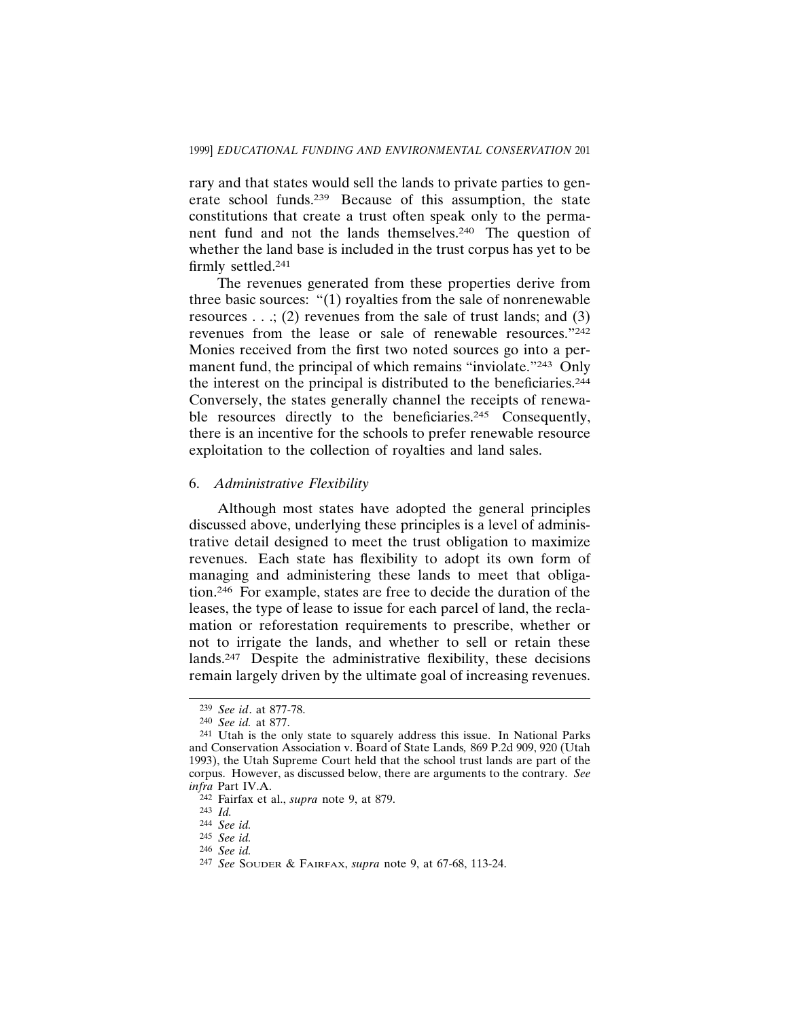rary and that states would sell the lands to private parties to generate school funds.239 Because of this assumption, the state constitutions that create a trust often speak only to the permanent fund and not the lands themselves.240 The question of whether the land base is included in the trust corpus has yet to be firmly settled.241

The revenues generated from these properties derive from three basic sources: "(1) royalties from the sale of nonrenewable resources  $\ldots$ ; (2) revenues from the sale of trust lands; and (3) revenues from the lease or sale of renewable resources."242 Monies received from the first two noted sources go into a permanent fund, the principal of which remains "inviolate."<sup>243</sup> Only the interest on the principal is distributed to the beneficiaries.244 Conversely, the states generally channel the receipts of renewable resources directly to the beneficiaries.<sup>245</sup> Consequently, there is an incentive for the schools to prefer renewable resource exploitation to the collection of royalties and land sales.

#### 6. *Administrative Flexibility*

Although most states have adopted the general principles discussed above, underlying these principles is a level of administrative detail designed to meet the trust obligation to maximize revenues. Each state has flexibility to adopt its own form of managing and administering these lands to meet that obligation.246 For example, states are free to decide the duration of the leases, the type of lease to issue for each parcel of land, the reclamation or reforestation requirements to prescribe, whether or not to irrigate the lands, and whether to sell or retain these lands.247 Despite the administrative flexibility, these decisions remain largely driven by the ultimate goal of increasing revenues.

<sup>239</sup> *See id*. at 877-78.

<sup>240</sup> *See id.* at 877.

<sup>241</sup> Utah is the only state to squarely address this issue. In National Parks and Conservation Association v. Board of State Lands*,* 869 P.2d 909, 920 (Utah 1993), the Utah Supreme Court held that the school trust lands are part of the corpus. However, as discussed below, there are arguments to the contrary. *See infra* Part IV.A.

<sup>242</sup> Fairfax et al., *supra* note 9, at 879.

<sup>243</sup> *Id.*

<sup>244</sup> *See id.*

<sup>245</sup> *See id.*

<sup>246</sup> *See id.*

<sup>247</sup> *See* SOUDER & FAIRFAX, *supra* note 9, at 67-68, 113-24.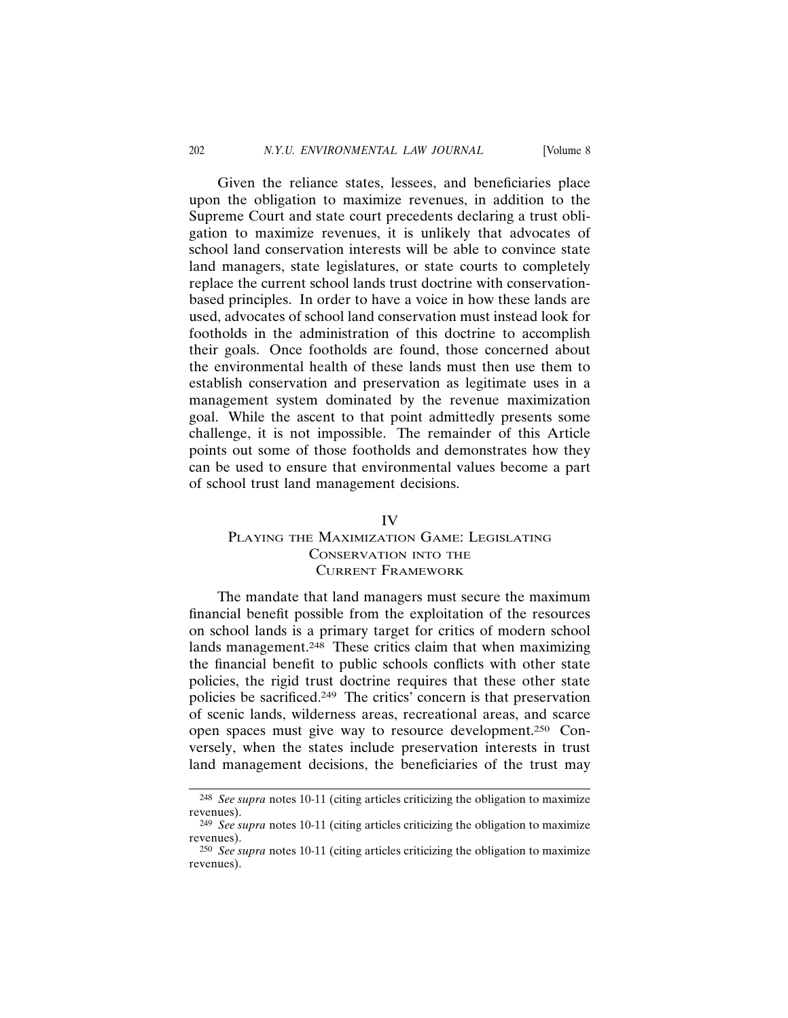Given the reliance states, lessees, and beneficiaries place upon the obligation to maximize revenues, in addition to the Supreme Court and state court precedents declaring a trust obligation to maximize revenues, it is unlikely that advocates of school land conservation interests will be able to convince state land managers, state legislatures, or state courts to completely replace the current school lands trust doctrine with conservationbased principles. In order to have a voice in how these lands are used, advocates of school land conservation must instead look for footholds in the administration of this doctrine to accomplish their goals. Once footholds are found, those concerned about the environmental health of these lands must then use them to establish conservation and preservation as legitimate uses in a management system dominated by the revenue maximization goal. While the ascent to that point admittedly presents some challenge, it is not impossible. The remainder of this Article points out some of those footholds and demonstrates how they can be used to ensure that environmental values become a part of school trust land management decisions.

#### IV

# PLAYING THE MAXIMIZATION GAME: LEGISLATING CONSERVATION INTO THE CURRENT FRAMEWORK

The mandate that land managers must secure the maximum financial benefit possible from the exploitation of the resources on school lands is a primary target for critics of modern school lands management.<sup>248</sup> These critics claim that when maximizing the financial benefit to public schools conflicts with other state policies, the rigid trust doctrine requires that these other state policies be sacrificed.249 The critics' concern is that preservation of scenic lands, wilderness areas, recreational areas, and scarce open spaces must give way to resource development.250 Conversely, when the states include preservation interests in trust land management decisions, the beneficiaries of the trust may

<sup>248</sup> *See supra* notes 10-11 (citing articles criticizing the obligation to maximize revenues).

<sup>249</sup> *See supra* notes 10-11 (citing articles criticizing the obligation to maximize revenues).

<sup>250</sup> *See supra* notes 10-11 (citing articles criticizing the obligation to maximize revenues).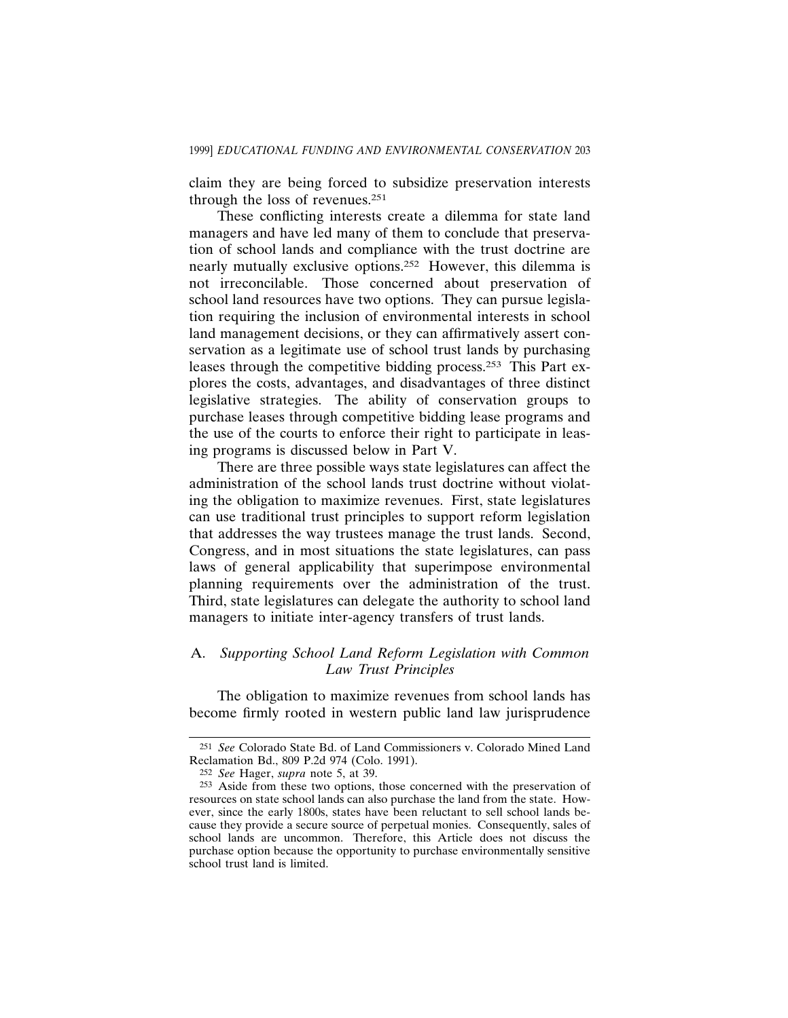claim they are being forced to subsidize preservation interests through the loss of revenues.251

These conflicting interests create a dilemma for state land managers and have led many of them to conclude that preservation of school lands and compliance with the trust doctrine are nearly mutually exclusive options.252 However, this dilemma is not irreconcilable. Those concerned about preservation of school land resources have two options. They can pursue legislation requiring the inclusion of environmental interests in school land management decisions, or they can affirmatively assert conservation as a legitimate use of school trust lands by purchasing leases through the competitive bidding process.253 This Part explores the costs, advantages, and disadvantages of three distinct legislative strategies. The ability of conservation groups to purchase leases through competitive bidding lease programs and the use of the courts to enforce their right to participate in leasing programs is discussed below in Part V.

There are three possible ways state legislatures can affect the administration of the school lands trust doctrine without violating the obligation to maximize revenues. First, state legislatures can use traditional trust principles to support reform legislation that addresses the way trustees manage the trust lands. Second, Congress, and in most situations the state legislatures, can pass laws of general applicability that superimpose environmental planning requirements over the administration of the trust. Third, state legislatures can delegate the authority to school land managers to initiate inter-agency transfers of trust lands.

# A. *Supporting School Land Reform Legislation with Common Law Trust Principles*

The obligation to maximize revenues from school lands has become firmly rooted in western public land law jurisprudence

<sup>251</sup> *See* Colorado State Bd. of Land Commissioners v. Colorado Mined Land Reclamation Bd., 809 P.2d 974 (Colo. 1991).

<sup>252</sup> *See* Hager, *supra* note 5, at 39.

<sup>253</sup> Aside from these two options, those concerned with the preservation of resources on state school lands can also purchase the land from the state. However, since the early 1800s, states have been reluctant to sell school lands because they provide a secure source of perpetual monies. Consequently, sales of school lands are uncommon. Therefore, this Article does not discuss the purchase option because the opportunity to purchase environmentally sensitive school trust land is limited.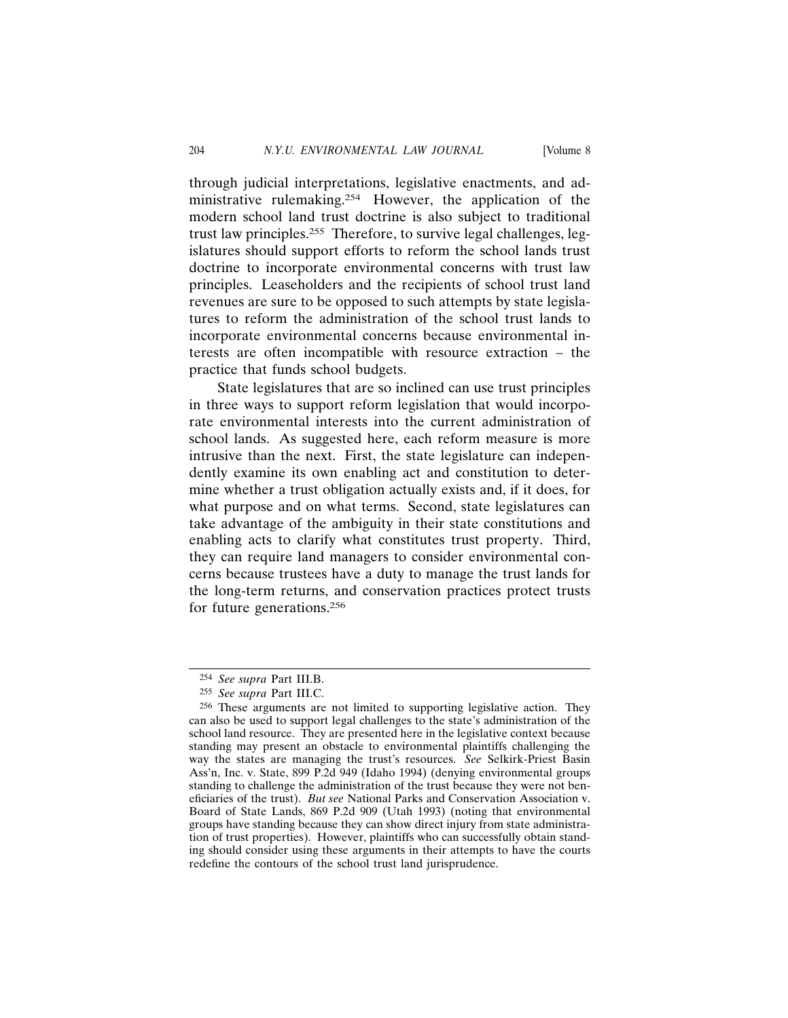through judicial interpretations, legislative enactments, and administrative rulemaking.254 However, the application of the modern school land trust doctrine is also subject to traditional trust law principles.255 Therefore, to survive legal challenges, legislatures should support efforts to reform the school lands trust doctrine to incorporate environmental concerns with trust law principles. Leaseholders and the recipients of school trust land revenues are sure to be opposed to such attempts by state legislatures to reform the administration of the school trust lands to incorporate environmental concerns because environmental interests are often incompatible with resource extraction – the practice that funds school budgets.

State legislatures that are so inclined can use trust principles in three ways to support reform legislation that would incorporate environmental interests into the current administration of school lands. As suggested here, each reform measure is more intrusive than the next. First, the state legislature can independently examine its own enabling act and constitution to determine whether a trust obligation actually exists and, if it does, for what purpose and on what terms. Second, state legislatures can take advantage of the ambiguity in their state constitutions and enabling acts to clarify what constitutes trust property. Third, they can require land managers to consider environmental concerns because trustees have a duty to manage the trust lands for the long-term returns, and conservation practices protect trusts for future generations.256

<sup>254</sup> *See supra* Part III.B.

<sup>255</sup> *See supra* Part III.C.

<sup>256</sup> These arguments are not limited to supporting legislative action. They can also be used to support legal challenges to the state's administration of the school land resource. They are presented here in the legislative context because standing may present an obstacle to environmental plaintiffs challenging the way the states are managing the trust's resources. *See* Selkirk-Priest Basin Ass'n, Inc. v. State, 899 P.2d 949 (Idaho 1994) (denying environmental groups standing to challenge the administration of the trust because they were not beneficiaries of the trust). *But see* National Parks and Conservation Association v. Board of State Lands, 869 P.2d 909 (Utah 1993) (noting that environmental groups have standing because they can show direct injury from state administration of trust properties). However, plaintiffs who can successfully obtain standing should consider using these arguments in their attempts to have the courts redefine the contours of the school trust land jurisprudence.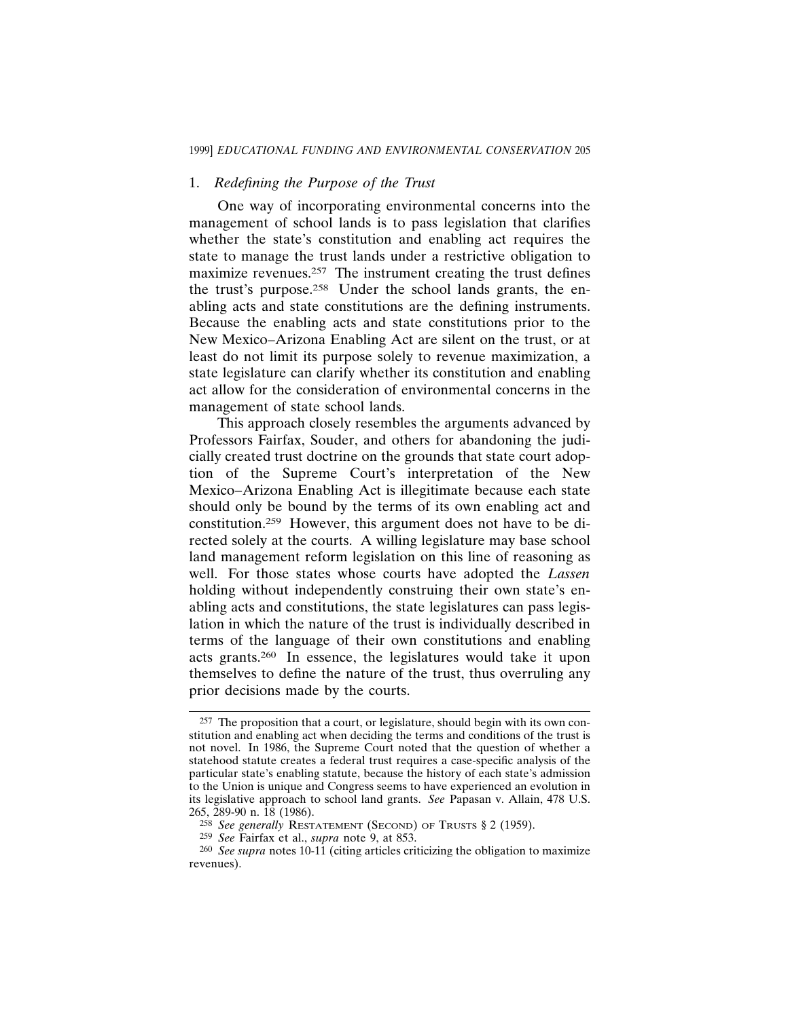### 1. *Redefining the Purpose of the Trust*

One way of incorporating environmental concerns into the management of school lands is to pass legislation that clarifies whether the state's constitution and enabling act requires the state to manage the trust lands under a restrictive obligation to maximize revenues.<sup>257</sup> The instrument creating the trust defines the trust's purpose.258 Under the school lands grants, the enabling acts and state constitutions are the defining instruments. Because the enabling acts and state constitutions prior to the New Mexico–Arizona Enabling Act are silent on the trust, or at least do not limit its purpose solely to revenue maximization, a state legislature can clarify whether its constitution and enabling act allow for the consideration of environmental concerns in the management of state school lands.

This approach closely resembles the arguments advanced by Professors Fairfax, Souder, and others for abandoning the judicially created trust doctrine on the grounds that state court adoption of the Supreme Court's interpretation of the New Mexico–Arizona Enabling Act is illegitimate because each state should only be bound by the terms of its own enabling act and constitution.259 However, this argument does not have to be directed solely at the courts. A willing legislature may base school land management reform legislation on this line of reasoning as well. For those states whose courts have adopted the *Lassen* holding without independently construing their own state's enabling acts and constitutions, the state legislatures can pass legislation in which the nature of the trust is individually described in terms of the language of their own constitutions and enabling acts grants.260 In essence, the legislatures would take it upon themselves to define the nature of the trust, thus overruling any prior decisions made by the courts.

<sup>257</sup> The proposition that a court, or legislature, should begin with its own constitution and enabling act when deciding the terms and conditions of the trust is not novel. In 1986, the Supreme Court noted that the question of whether a statehood statute creates a federal trust requires a case-specific analysis of the particular state's enabling statute, because the history of each state's admission to the Union is unique and Congress seems to have experienced an evolution in its legislative approach to school land grants. *See* Papasan v. Allain, 478 U.S. 265, 289-90 n. 18 (1986).

<sup>258</sup> *See generally* RESTATEMENT (SECOND) OF TRUSTS § 2 (1959).

<sup>259</sup> *See* Fairfax et al., *supra* note 9, at 853.

<sup>260</sup> *See supra* notes 10-11 (citing articles criticizing the obligation to maximize revenues).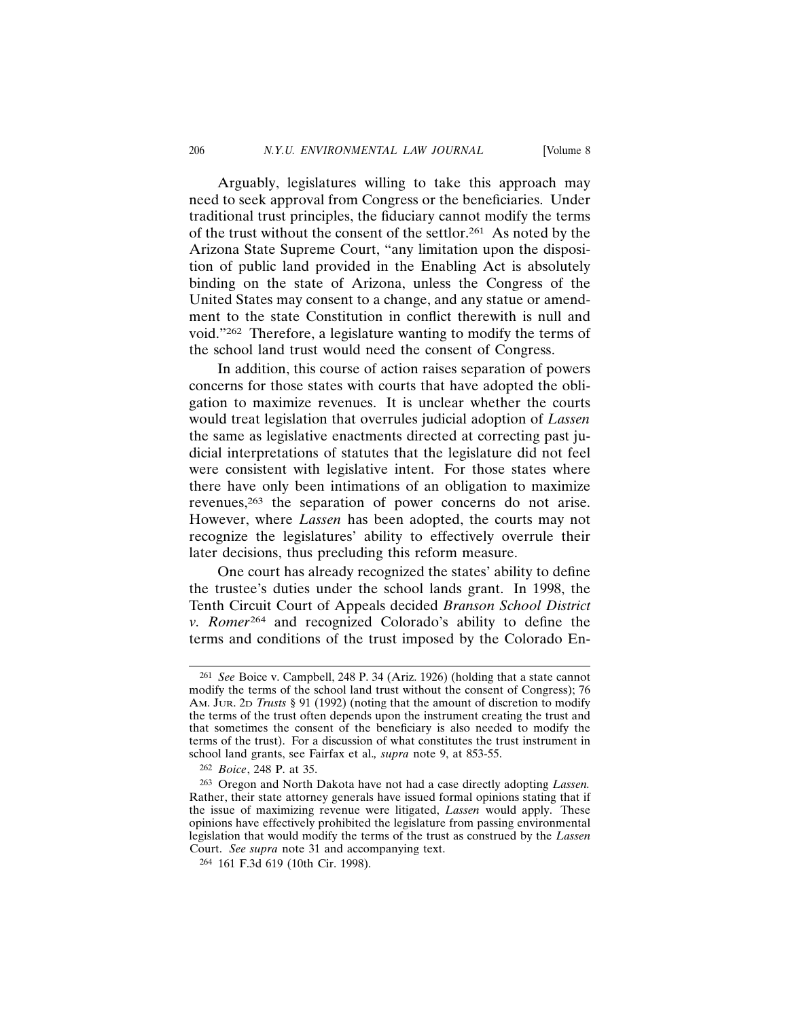Arguably, legislatures willing to take this approach may need to seek approval from Congress or the beneficiaries. Under traditional trust principles, the fiduciary cannot modify the terms of the trust without the consent of the settlor.261 As noted by the Arizona State Supreme Court, "any limitation upon the disposition of public land provided in the Enabling Act is absolutely binding on the state of Arizona, unless the Congress of the United States may consent to a change, and any statue or amendment to the state Constitution in conflict therewith is null and void."262 Therefore, a legislature wanting to modify the terms of the school land trust would need the consent of Congress.

In addition, this course of action raises separation of powers concerns for those states with courts that have adopted the obligation to maximize revenues. It is unclear whether the courts would treat legislation that overrules judicial adoption of *Lassen* the same as legislative enactments directed at correcting past judicial interpretations of statutes that the legislature did not feel were consistent with legislative intent. For those states where there have only been intimations of an obligation to maximize revenues,263 the separation of power concerns do not arise. However, where *Lassen* has been adopted, the courts may not recognize the legislatures' ability to effectively overrule their later decisions, thus precluding this reform measure.

One court has already recognized the states' ability to define the trustee's duties under the school lands grant. In 1998, the Tenth Circuit Court of Appeals decided *Branson School District v. Romer*264 and recognized Colorado's ability to define the terms and conditions of the trust imposed by the Colorado En-

<sup>261</sup> *See* Boice v. Campbell, 248 P. 34 (Ariz. 1926) (holding that a state cannot modify the terms of the school land trust without the consent of Congress); 76 AM. JUR. 2D *Trusts* § 91 (1992) (noting that the amount of discretion to modify the terms of the trust often depends upon the instrument creating the trust and that sometimes the consent of the beneficiary is also needed to modify the terms of the trust). For a discussion of what constitutes the trust instrument in school land grants, see Fairfax et al.*, supra* note 9, at 853-55.

<sup>262</sup> *Boice*, 248 P. at 35.

<sup>263</sup> Oregon and North Dakota have not had a case directly adopting *Lassen.* Rather, their state attorney generals have issued formal opinions stating that if the issue of maximizing revenue were litigated, *Lassen* would apply. These opinions have effectively prohibited the legislature from passing environmental legislation that would modify the terms of the trust as construed by the *Lassen* Court. *See supra* note 31 and accompanying text.

<sup>264</sup> 161 F.3d 619 (10th Cir. 1998).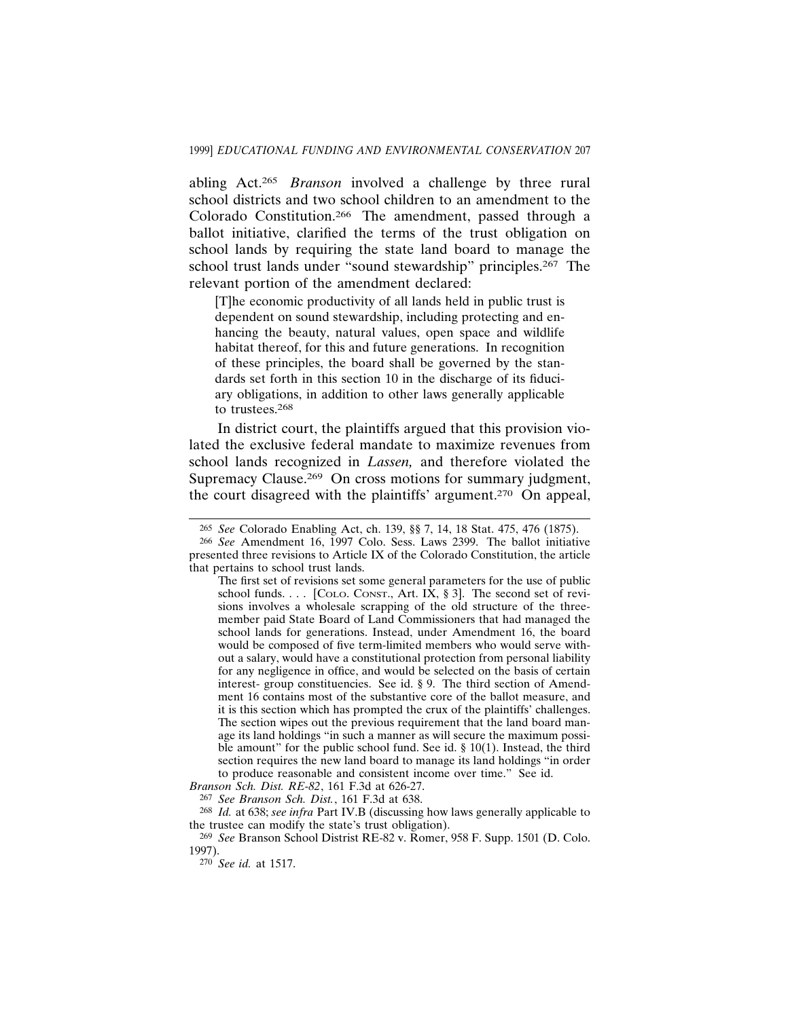abling Act.265 *Branson* involved a challenge by three rural school districts and two school children to an amendment to the Colorado Constitution.266 The amendment, passed through a ballot initiative, clarified the terms of the trust obligation on school lands by requiring the state land board to manage the school trust lands under "sound stewardship" principles.<sup>267</sup> The relevant portion of the amendment declared:

[T]he economic productivity of all lands held in public trust is dependent on sound stewardship, including protecting and enhancing the beauty, natural values, open space and wildlife habitat thereof, for this and future generations. In recognition of these principles, the board shall be governed by the standards set forth in this section 10 in the discharge of its fiduciary obligations, in addition to other laws generally applicable to trustees.268

In district court, the plaintiffs argued that this provision violated the exclusive federal mandate to maximize revenues from school lands recognized in *Lassen,* and therefore violated the Supremacy Clause.<sup>269</sup> On cross motions for summary judgment, the court disagreed with the plaintiffs' argument.270 On appeal,

<sup>265</sup> *See* Colorado Enabling Act, ch. 139, §§ 7, 14, 18 Stat. 475, 476 (1875).

<sup>266</sup> *See* Amendment 16, 1997 Colo. Sess. Laws 2399. The ballot initiative presented three revisions to Article IX of the Colorado Constitution, the article that pertains to school trust lands.

The first set of revisions set some general parameters for the use of public school funds. . . . [COLO. CONST., Art. IX,  $\S 3$ ]. The second set of revisions involves a wholesale scrapping of the old structure of the threemember paid State Board of Land Commissioners that had managed the school lands for generations. Instead, under Amendment 16, the board would be composed of five term-limited members who would serve without a salary, would have a constitutional protection from personal liability for any negligence in office, and would be selected on the basis of certain interest- group constituencies. See id. § 9. The third section of Amendment 16 contains most of the substantive core of the ballot measure, and it is this section which has prompted the crux of the plaintiffs' challenges. The section wipes out the previous requirement that the land board manage its land holdings "in such a manner as will secure the maximum possible amount" for the public school fund. See id. § 10(1). Instead, the third section requires the new land board to manage its land holdings "in order to produce reasonable and consistent income over time." See id.

*Branson Sch. Dist. RE-82*, 161 F.3d at 626-27.

<sup>267</sup> *See Branson Sch. Dist.*, 161 F.3d at 638.

<sup>268</sup> *Id.* at 638; *see infra* Part IV.B (discussing how laws generally applicable to the trustee can modify the state's trust obligation).

<sup>269</sup> *See* Branson School Distrist RE-82 v. Romer, 958 F. Supp. 1501 (D. Colo. 1997).

<sup>270</sup> *See id.* at 1517.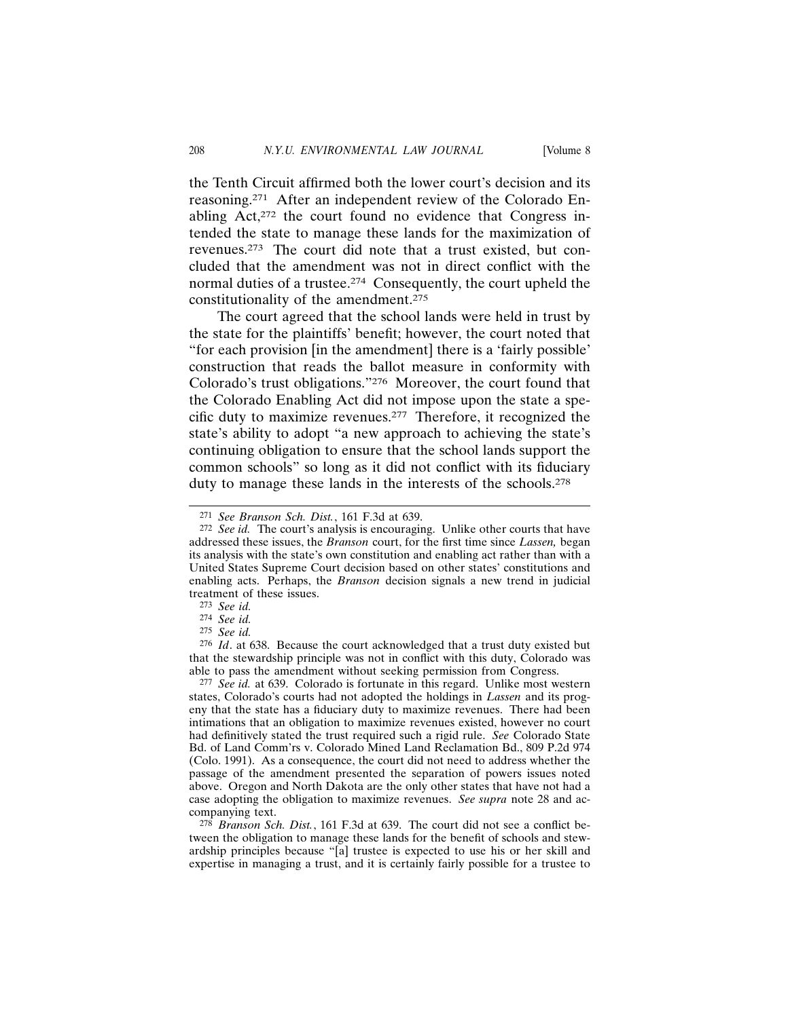the Tenth Circuit affirmed both the lower court's decision and its reasoning.271 After an independent review of the Colorado Enabling Act,272 the court found no evidence that Congress intended the state to manage these lands for the maximization of revenues.273 The court did note that a trust existed, but concluded that the amendment was not in direct conflict with the normal duties of a trustee.274 Consequently, the court upheld the constitutionality of the amendment.275

The court agreed that the school lands were held in trust by the state for the plaintiffs' benefit; however, the court noted that "for each provision [in the amendment] there is a 'fairly possible' construction that reads the ballot measure in conformity with Colorado's trust obligations."276 Moreover, the court found that the Colorado Enabling Act did not impose upon the state a specific duty to maximize revenues.277 Therefore, it recognized the state's ability to adopt "a new approach to achieving the state's continuing obligation to ensure that the school lands support the common schools" so long as it did not conflict with its fiduciary duty to manage these lands in the interests of the schools.278

277 *See id.* at 639. Colorado is fortunate in this regard. Unlike most western states, Colorado's courts had not adopted the holdings in *Lassen* and its progeny that the state has a fiduciary duty to maximize revenues. There had been intimations that an obligation to maximize revenues existed, however no court had definitively stated the trust required such a rigid rule. *See* Colorado State Bd. of Land Comm'rs v. Colorado Mined Land Reclamation Bd., 809 P.2d 974 (Colo. 1991). As a consequence, the court did not need to address whether the passage of the amendment presented the separation of powers issues noted above. Oregon and North Dakota are the only other states that have not had a case adopting the obligation to maximize revenues. *See supra* note 28 and accompanying text.

278 *Branson Sch. Dist.*, 161 F.3d at 639. The court did not see a conflict between the obligation to manage these lands for the benefit of schools and stewardship principles because "[a] trustee is expected to use his or her skill and expertise in managing a trust, and it is certainly fairly possible for a trustee to

<sup>271</sup> *See Branson Sch. Dist.*, 161 F.3d at 639.

<sup>272</sup> *See id.* The court's analysis is encouraging. Unlike other courts that have addressed these issues, the *Branson* court, for the first time since *Lassen,* began its analysis with the state's own constitution and enabling act rather than with a United States Supreme Court decision based on other states' constitutions and enabling acts. Perhaps, the *Branson* decision signals a new trend in judicial treatment of these issues.

<sup>273</sup> *See id.*

<sup>274</sup> *See id.*

<sup>275</sup> *See id.*

<sup>276</sup> *Id*. at 638. Because the court acknowledged that a trust duty existed but that the stewardship principle was not in conflict with this duty, Colorado was able to pass the amendment without seeking permission from Congress.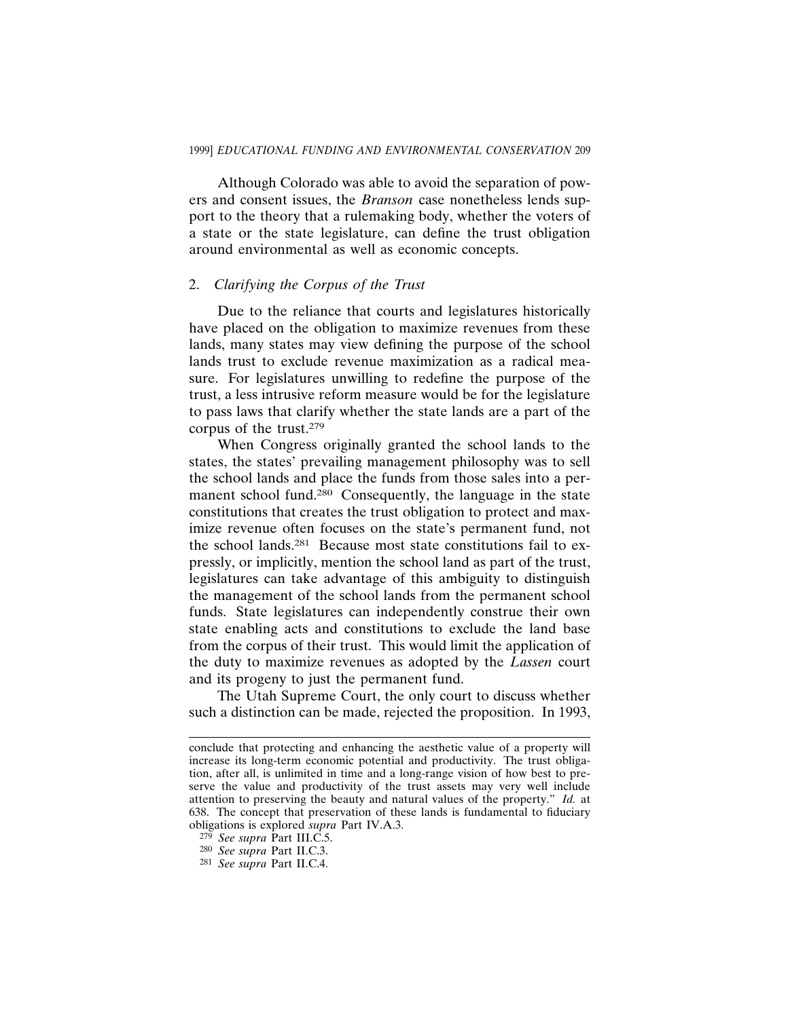Although Colorado was able to avoid the separation of powers and consent issues, the *Branson* case nonetheless lends support to the theory that a rulemaking body, whether the voters of a state or the state legislature, can define the trust obligation around environmental as well as economic concepts.

#### 2. *Clarifying the Corpus of the Trust*

Due to the reliance that courts and legislatures historically have placed on the obligation to maximize revenues from these lands, many states may view defining the purpose of the school lands trust to exclude revenue maximization as a radical measure. For legislatures unwilling to redefine the purpose of the trust, a less intrusive reform measure would be for the legislature to pass laws that clarify whether the state lands are a part of the corpus of the trust.279

When Congress originally granted the school lands to the states, the states' prevailing management philosophy was to sell the school lands and place the funds from those sales into a permanent school fund.<sup>280</sup> Consequently, the language in the state constitutions that creates the trust obligation to protect and maximize revenue often focuses on the state's permanent fund, not the school lands.281 Because most state constitutions fail to expressly, or implicitly, mention the school land as part of the trust, legislatures can take advantage of this ambiguity to distinguish the management of the school lands from the permanent school funds. State legislatures can independently construe their own state enabling acts and constitutions to exclude the land base from the corpus of their trust. This would limit the application of the duty to maximize revenues as adopted by the *Lassen* court and its progeny to just the permanent fund.

The Utah Supreme Court, the only court to discuss whether such a distinction can be made, rejected the proposition. In 1993,

conclude that protecting and enhancing the aesthetic value of a property will increase its long-term economic potential and productivity. The trust obligation, after all, is unlimited in time and a long-range vision of how best to preserve the value and productivity of the trust assets may very well include attention to preserving the beauty and natural values of the property." *Id.* at 638. The concept that preservation of these lands is fundamental to fiduciary obligations is explored *supra* Part IV.A.3.

<sup>279</sup> *See supra* Part III.C.5.

<sup>280</sup> *See supra* Part II.C.3.

<sup>281</sup> *See supra* Part II.C.4.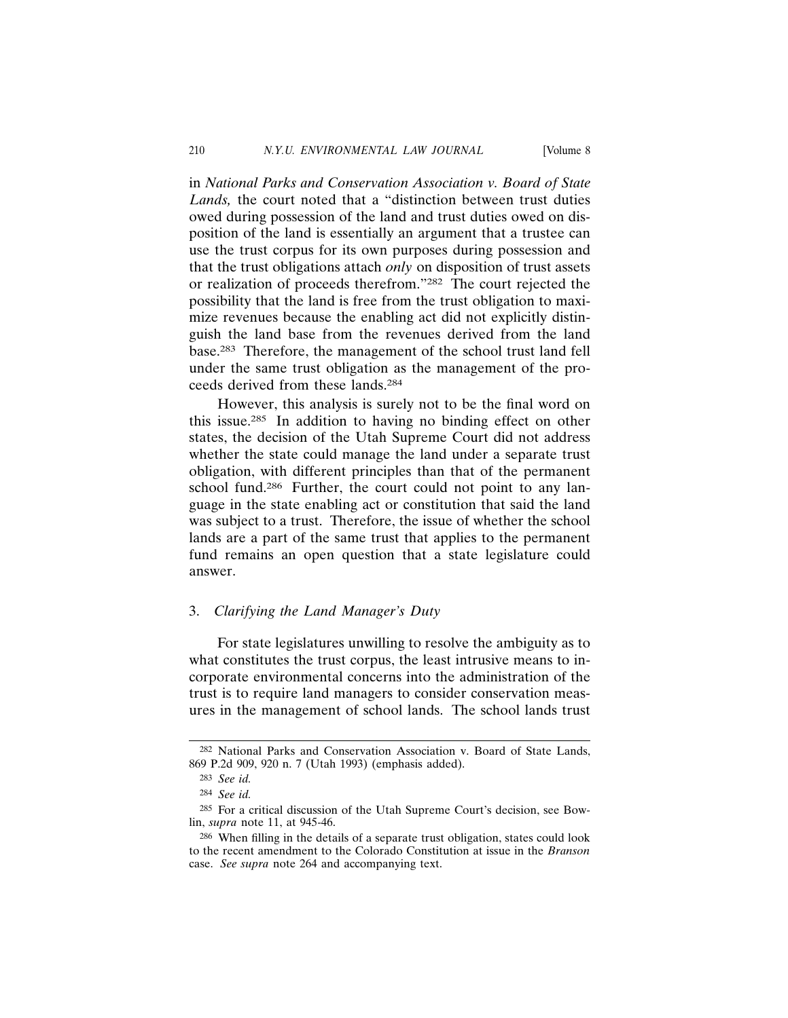in *National Parks and Conservation Association v. Board of State Lands,* the court noted that a "distinction between trust duties owed during possession of the land and trust duties owed on disposition of the land is essentially an argument that a trustee can use the trust corpus for its own purposes during possession and that the trust obligations attach *only* on disposition of trust assets or realization of proceeds therefrom."282 The court rejected the possibility that the land is free from the trust obligation to maximize revenues because the enabling act did not explicitly distinguish the land base from the revenues derived from the land base.283 Therefore, the management of the school trust land fell under the same trust obligation as the management of the proceeds derived from these lands.284

However, this analysis is surely not to be the final word on this issue.285 In addition to having no binding effect on other states, the decision of the Utah Supreme Court did not address whether the state could manage the land under a separate trust obligation, with different principles than that of the permanent school fund.<sup>286</sup> Further, the court could not point to any language in the state enabling act or constitution that said the land was subject to a trust. Therefore, the issue of whether the school lands are a part of the same trust that applies to the permanent fund remains an open question that a state legislature could answer.

## 3. *Clarifying the Land Manager's Duty*

For state legislatures unwilling to resolve the ambiguity as to what constitutes the trust corpus, the least intrusive means to incorporate environmental concerns into the administration of the trust is to require land managers to consider conservation measures in the management of school lands. The school lands trust

<sup>282</sup> National Parks and Conservation Association v. Board of State Lands, 869 P.2d 909, 920 n. 7 (Utah 1993) (emphasis added).

<sup>283</sup> *See id.*

<sup>284</sup> *See id.*

<sup>285</sup> For a critical discussion of the Utah Supreme Court's decision, see Bowlin, *supra* note 11, at 945-46.

<sup>286</sup> When filling in the details of a separate trust obligation, states could look to the recent amendment to the Colorado Constitution at issue in the *Branson* case. *See supra* note 264 and accompanying text.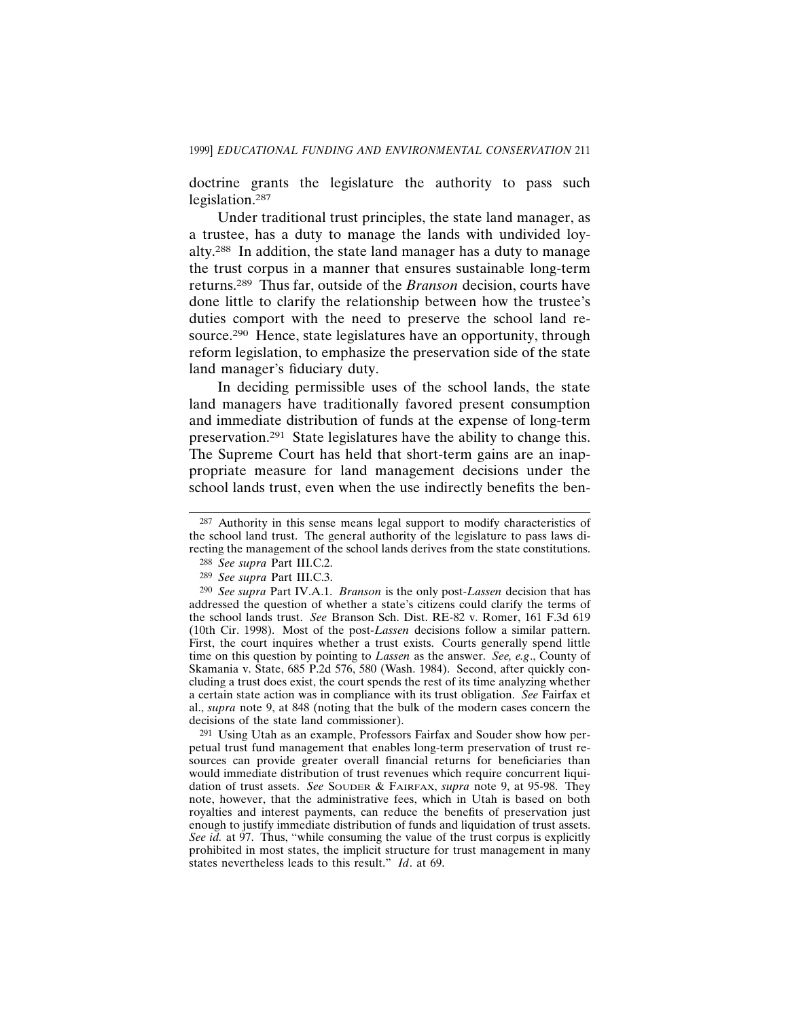doctrine grants the legislature the authority to pass such legislation.287

Under traditional trust principles, the state land manager, as a trustee, has a duty to manage the lands with undivided loyalty.288 In addition, the state land manager has a duty to manage the trust corpus in a manner that ensures sustainable long-term returns.289 Thus far, outside of the *Branson* decision, courts have done little to clarify the relationship between how the trustee's duties comport with the need to preserve the school land resource.290 Hence, state legislatures have an opportunity, through reform legislation, to emphasize the preservation side of the state land manager's fiduciary duty.

In deciding permissible uses of the school lands, the state land managers have traditionally favored present consumption and immediate distribution of funds at the expense of long-term preservation.291 State legislatures have the ability to change this. The Supreme Court has held that short-term gains are an inappropriate measure for land management decisions under the school lands trust, even when the use indirectly benefits the ben-

<sup>287</sup> Authority in this sense means legal support to modify characteristics of the school land trust. The general authority of the legislature to pass laws directing the management of the school lands derives from the state constitutions.

<sup>288</sup> *See supra* Part III.C.2.

<sup>289</sup> *See supra* Part III.C.3.

<sup>290</sup> *See supra* Part IV.A.1. *Branson* is the only post-*Lassen* decision that has addressed the question of whether a state's citizens could clarify the terms of the school lands trust. *See* Branson Sch. Dist. RE-82 v. Romer, 161 F.3d 619 (10th Cir. 1998). Most of the post-*Lassen* decisions follow a similar pattern. First, the court inquires whether a trust exists. Courts generally spend little time on this question by pointing to *Lassen* as the answer. *See, e.g*., County of Skamania v. State, 685 P.2d 576, 580 (Wash. 1984). Second, after quickly concluding a trust does exist, the court spends the rest of its time analyzing whether a certain state action was in compliance with its trust obligation. *See* Fairfax et al., *supra* note 9, at 848 (noting that the bulk of the modern cases concern the decisions of the state land commissioner).

<sup>291</sup> Using Utah as an example, Professors Fairfax and Souder show how perpetual trust fund management that enables long-term preservation of trust resources can provide greater overall financial returns for beneficiaries than would immediate distribution of trust revenues which require concurrent liquidation of trust assets. *See* SOUDER & FAIRFAX, *supra* note 9, at 95-98. They note, however, that the administrative fees, which in Utah is based on both royalties and interest payments, can reduce the benefits of preservation just enough to justify immediate distribution of funds and liquidation of trust assets. *See id.* at 97. Thus, "while consuming the value of the trust corpus is explicitly prohibited in most states, the implicit structure for trust management in many states nevertheless leads to this result." *Id*. at 69.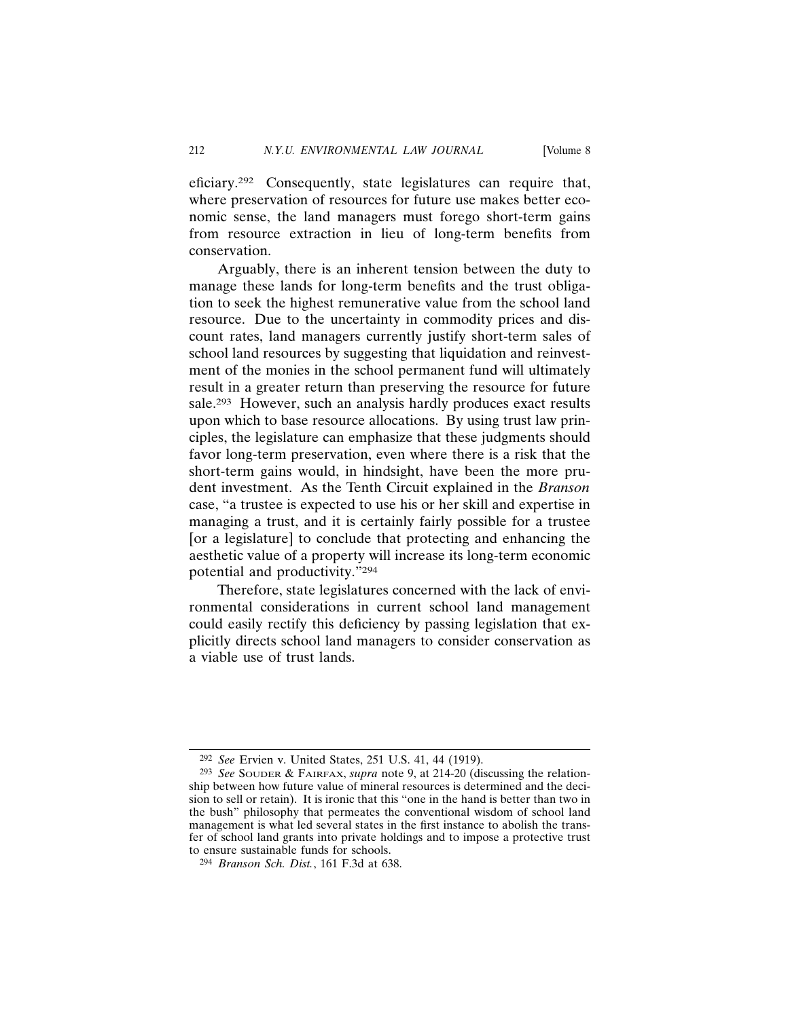eficiary.292 Consequently, state legislatures can require that, where preservation of resources for future use makes better economic sense, the land managers must forego short-term gains from resource extraction in lieu of long-term benefits from conservation.

Arguably, there is an inherent tension between the duty to manage these lands for long-term benefits and the trust obligation to seek the highest remunerative value from the school land resource. Due to the uncertainty in commodity prices and discount rates, land managers currently justify short-term sales of school land resources by suggesting that liquidation and reinvestment of the monies in the school permanent fund will ultimately result in a greater return than preserving the resource for future sale.<sup>293</sup> However, such an analysis hardly produces exact results upon which to base resource allocations. By using trust law principles, the legislature can emphasize that these judgments should favor long-term preservation, even where there is a risk that the short-term gains would, in hindsight, have been the more prudent investment. As the Tenth Circuit explained in the *Branson* case, "a trustee is expected to use his or her skill and expertise in managing a trust, and it is certainly fairly possible for a trustee [or a legislature] to conclude that protecting and enhancing the aesthetic value of a property will increase its long-term economic potential and productivity."294

Therefore, state legislatures concerned with the lack of environmental considerations in current school land management could easily rectify this deficiency by passing legislation that explicitly directs school land managers to consider conservation as a viable use of trust lands.

<sup>292</sup> *See* Ervien v. United States, 251 U.S. 41, 44 (1919).

<sup>293</sup> *See* SOUDER & FAIRFAX, *supra* note 9, at 214-20 (discussing the relationship between how future value of mineral resources is determined and the decision to sell or retain). It is ironic that this "one in the hand is better than two in the bush" philosophy that permeates the conventional wisdom of school land management is what led several states in the first instance to abolish the transfer of school land grants into private holdings and to impose a protective trust to ensure sustainable funds for schools.

<sup>294</sup> *Branson Sch. Dist.*, 161 F.3d at 638.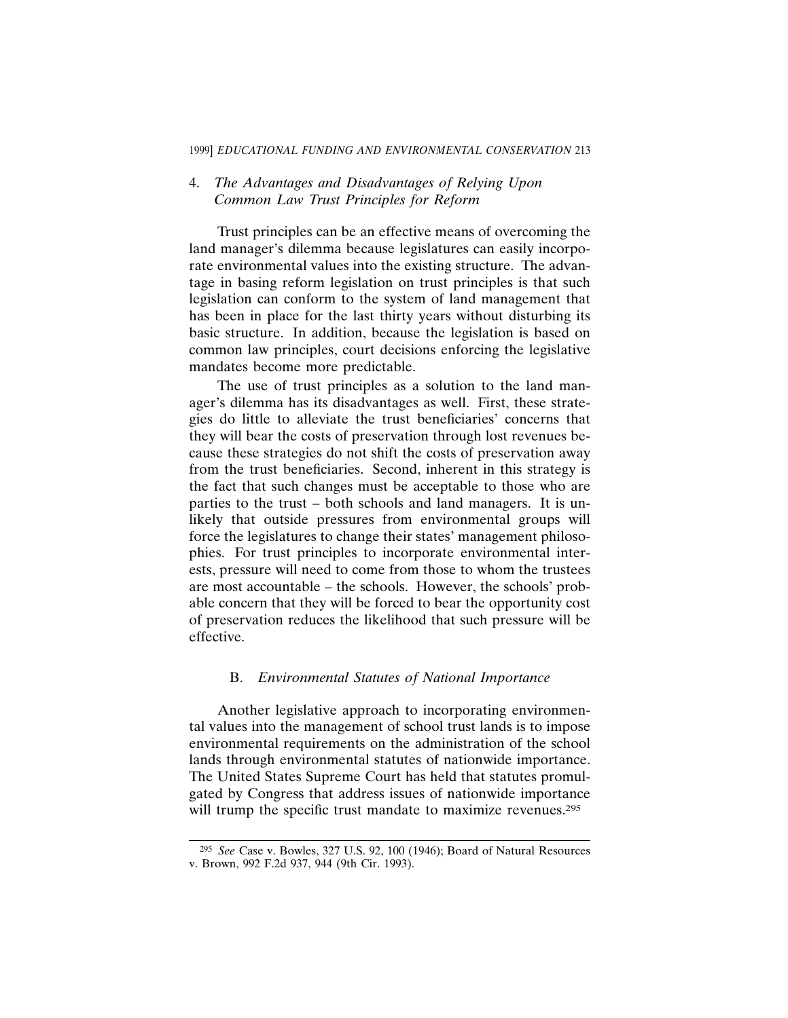#### 1999] *EDUCATIONAL FUNDING AND ENVIRONMENTAL CONSERVATION* 213

## 4. *The Advantages and Disadvantages of Relying Upon Common Law Trust Principles for Reform*

Trust principles can be an effective means of overcoming the land manager's dilemma because legislatures can easily incorporate environmental values into the existing structure. The advantage in basing reform legislation on trust principles is that such legislation can conform to the system of land management that has been in place for the last thirty years without disturbing its basic structure. In addition, because the legislation is based on common law principles, court decisions enforcing the legislative mandates become more predictable.

The use of trust principles as a solution to the land manager's dilemma has its disadvantages as well. First, these strategies do little to alleviate the trust beneficiaries' concerns that they will bear the costs of preservation through lost revenues because these strategies do not shift the costs of preservation away from the trust beneficiaries. Second, inherent in this strategy is the fact that such changes must be acceptable to those who are parties to the trust – both schools and land managers. It is unlikely that outside pressures from environmental groups will force the legislatures to change their states' management philosophies. For trust principles to incorporate environmental interests, pressure will need to come from those to whom the trustees are most accountable – the schools. However, the schools' probable concern that they will be forced to bear the opportunity cost of preservation reduces the likelihood that such pressure will be effective.

### B. *Environmental Statutes of National Importance*

Another legislative approach to incorporating environmental values into the management of school trust lands is to impose environmental requirements on the administration of the school lands through environmental statutes of nationwide importance. The United States Supreme Court has held that statutes promulgated by Congress that address issues of nationwide importance will trump the specific trust mandate to maximize revenues.<sup>295</sup>

<sup>295</sup> *See* Case v. Bowles, 327 U.S. 92, 100 (1946); Board of Natural Resources v. Brown, 992 F.2d 937, 944 (9th Cir. 1993).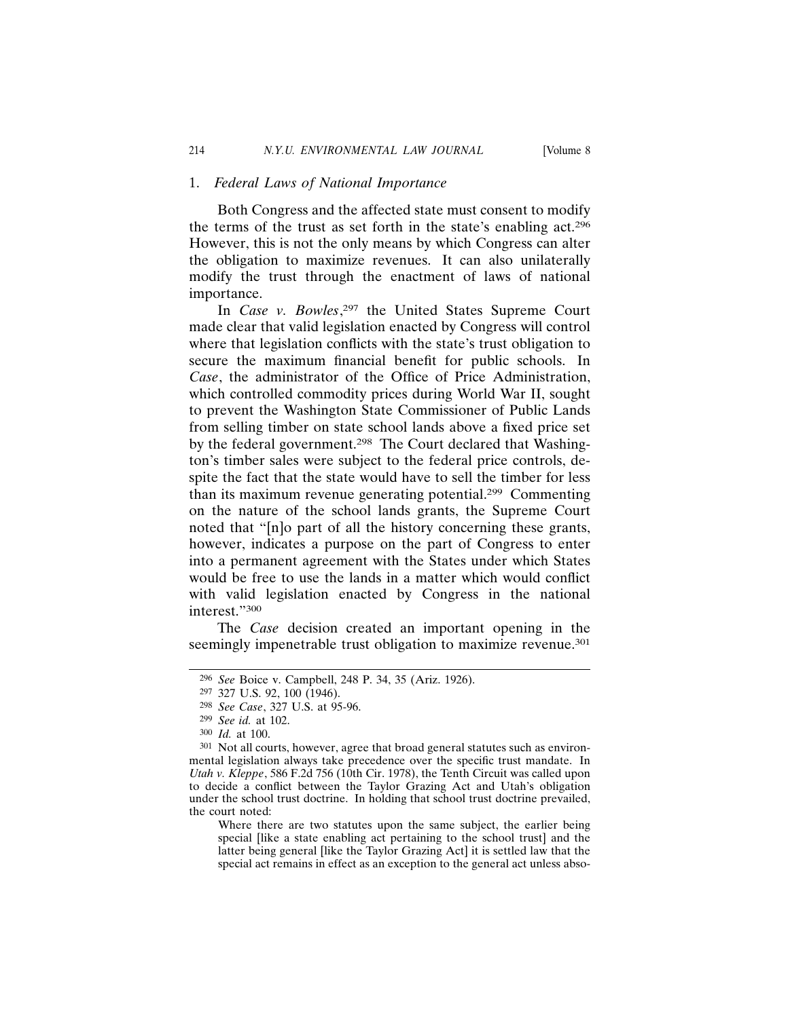#### 1. *Federal Laws of National Importance*

Both Congress and the affected state must consent to modify the terms of the trust as set forth in the state's enabling act.296 However, this is not the only means by which Congress can alter the obligation to maximize revenues. It can also unilaterally modify the trust through the enactment of laws of national importance.

In *Case v. Bowles*, 297 the United States Supreme Court made clear that valid legislation enacted by Congress will control where that legislation conflicts with the state's trust obligation to secure the maximum financial benefit for public schools. In *Case*, the administrator of the Office of Price Administration, which controlled commodity prices during World War II, sought to prevent the Washington State Commissioner of Public Lands from selling timber on state school lands above a fixed price set by the federal government.<sup>298</sup> The Court declared that Washington's timber sales were subject to the federal price controls, despite the fact that the state would have to sell the timber for less than its maximum revenue generating potential.299 Commenting on the nature of the school lands grants, the Supreme Court noted that "[n]o part of all the history concerning these grants, however, indicates a purpose on the part of Congress to enter into a permanent agreement with the States under which States would be free to use the lands in a matter which would conflict with valid legislation enacted by Congress in the national interest."300

The *Case* decision created an important opening in the seemingly impenetrable trust obligation to maximize revenue.<sup>301</sup>

<sup>296</sup> *See* Boice v. Campbell, 248 P. 34, 35 (Ariz. 1926).

<sup>297</sup> 327 U.S. 92, 100 (1946).

<sup>298</sup> *See Case*, 327 U.S. at 95-96.

<sup>299</sup> *See id.* at 102.

<sup>300</sup> *Id.* at 100.

<sup>301</sup> Not all courts, however, agree that broad general statutes such as environmental legislation always take precedence over the specific trust mandate. In *Utah v. Kleppe*, 586 F.2d 756 (10th Cir. 1978), the Tenth Circuit was called upon to decide a conflict between the Taylor Grazing Act and Utah's obligation under the school trust doctrine. In holding that school trust doctrine prevailed, the court noted:

Where there are two statutes upon the same subject, the earlier being special [like a state enabling act pertaining to the school trust] and the latter being general [like the Taylor Grazing Act] it is settled law that the special act remains in effect as an exception to the general act unless abso-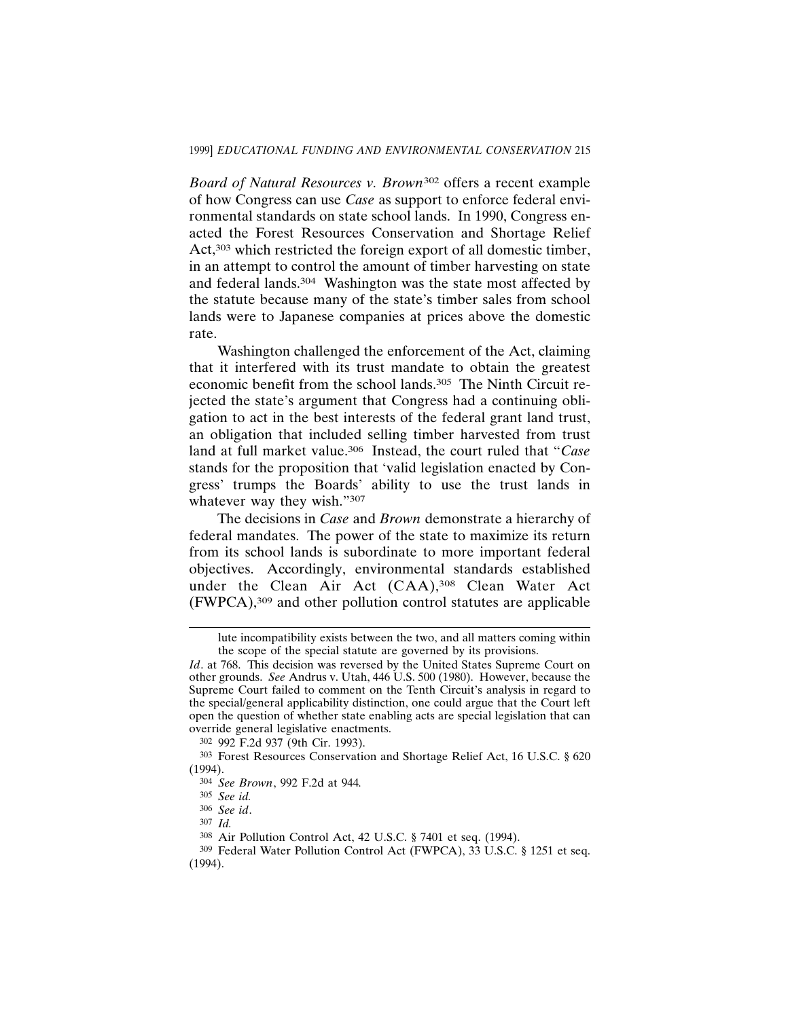*Board of Natural Resources v. Brown*302 offers a recent example of how Congress can use *Case* as support to enforce federal environmental standards on state school lands. In 1990, Congress enacted the Forest Resources Conservation and Shortage Relief Act,<sup>303</sup> which restricted the foreign export of all domestic timber, in an attempt to control the amount of timber harvesting on state and federal lands.304 Washington was the state most affected by the statute because many of the state's timber sales from school lands were to Japanese companies at prices above the domestic rate.

Washington challenged the enforcement of the Act, claiming that it interfered with its trust mandate to obtain the greatest economic benefit from the school lands.305 The Ninth Circuit rejected the state's argument that Congress had a continuing obligation to act in the best interests of the federal grant land trust, an obligation that included selling timber harvested from trust land at full market value.306 Instead, the court ruled that "*Case* stands for the proposition that 'valid legislation enacted by Congress' trumps the Boards' ability to use the trust lands in whatever way they wish."307

The decisions in *Case* and *Brown* demonstrate a hierarchy of federal mandates. The power of the state to maximize its return from its school lands is subordinate to more important federal objectives. Accordingly, environmental standards established under the Clean Air Act (CAA),<sup>308</sup> Clean Water Act (FWPCA),309 and other pollution control statutes are applicable

304 *See Brown*, 992 F.2d at 944*.*

lute incompatibility exists between the two, and all matters coming within the scope of the special statute are governed by its provisions.

*Id*. at 768. This decision was reversed by the United States Supreme Court on other grounds. *See* Andrus v. Utah, 446 U.S. 500 (1980). However, because the Supreme Court failed to comment on the Tenth Circuit's analysis in regard to the special/general applicability distinction, one could argue that the Court left open the question of whether state enabling acts are special legislation that can override general legislative enactments.

<sup>302</sup> 992 F.2d 937 (9th Cir. 1993).

<sup>303</sup> Forest Resources Conservation and Shortage Relief Act, 16 U.S.C. § 620 (1994).

<sup>305</sup> *See id.*

<sup>306</sup> *See id*.

<sup>307</sup> *Id.*

<sup>308</sup> Air Pollution Control Act, 42 U.S.C. § 7401 et seq. (1994).

<sup>309</sup> Federal Water Pollution Control Act (FWPCA), 33 U.S.C. § 1251 et seq. (1994).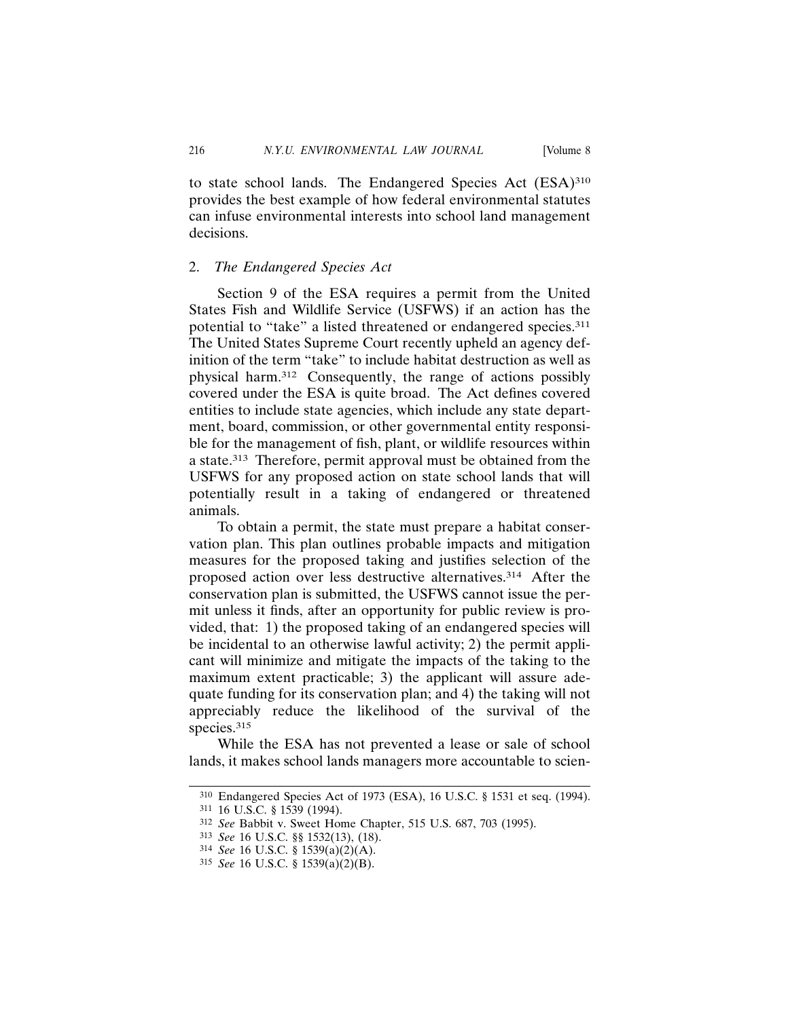to state school lands. The Endangered Species Act (ESA)310 provides the best example of how federal environmental statutes can infuse environmental interests into school land management decisions.

#### 2. *The Endangered Species Act*

Section 9 of the ESA requires a permit from the United States Fish and Wildlife Service (USFWS) if an action has the potential to "take" a listed threatened or endangered species.311 The United States Supreme Court recently upheld an agency definition of the term "take" to include habitat destruction as well as physical harm.312 Consequently, the range of actions possibly covered under the ESA is quite broad. The Act defines covered entities to include state agencies, which include any state department, board, commission, or other governmental entity responsible for the management of fish, plant, or wildlife resources within a state.313 Therefore, permit approval must be obtained from the USFWS for any proposed action on state school lands that will potentially result in a taking of endangered or threatened animals.

To obtain a permit, the state must prepare a habitat conservation plan. This plan outlines probable impacts and mitigation measures for the proposed taking and justifies selection of the proposed action over less destructive alternatives.314 After the conservation plan is submitted, the USFWS cannot issue the permit unless it finds, after an opportunity for public review is provided, that: 1) the proposed taking of an endangered species will be incidental to an otherwise lawful activity; 2) the permit applicant will minimize and mitigate the impacts of the taking to the maximum extent practicable; 3) the applicant will assure adequate funding for its conservation plan; and 4) the taking will not appreciably reduce the likelihood of the survival of the species.<sup>315</sup>

While the ESA has not prevented a lease or sale of school lands, it makes school lands managers more accountable to scien-

<sup>310</sup> Endangered Species Act of 1973 (ESA), 16 U.S.C. § 1531 et seq. (1994).

<sup>311</sup> 16 U.S.C. § 1539 (1994).

<sup>312</sup> *See* Babbit v. Sweet Home Chapter, 515 U.S. 687, 703 (1995).

<sup>313</sup> *See* 16 U.S.C. §§ 1532(13), (18).

<sup>314</sup> *See* 16 U.S.C. § 1539(a)(2)(A).

<sup>315</sup> *See* 16 U.S.C. § 1539(a)(2)(B).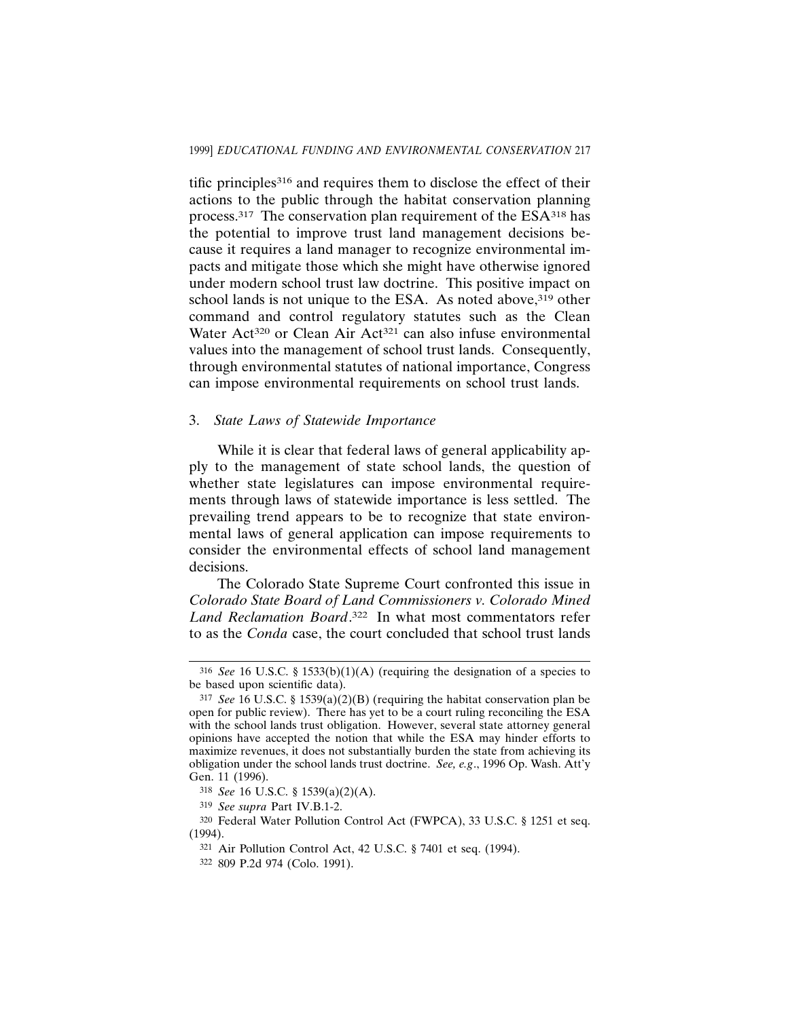tific principles316 and requires them to disclose the effect of their actions to the public through the habitat conservation planning process.317 The conservation plan requirement of the ESA318 has the potential to improve trust land management decisions because it requires a land manager to recognize environmental impacts and mitigate those which she might have otherwise ignored under modern school trust law doctrine. This positive impact on school lands is not unique to the ESA. As noted above,<sup>319</sup> other command and control regulatory statutes such as the Clean Water Act<sup>320</sup> or Clean Air Act<sup>321</sup> can also infuse environmental values into the management of school trust lands. Consequently, through environmental statutes of national importance, Congress can impose environmental requirements on school trust lands.

#### 3. *State Laws of Statewide Importance*

While it is clear that federal laws of general applicability apply to the management of state school lands, the question of whether state legislatures can impose environmental requirements through laws of statewide importance is less settled. The prevailing trend appears to be to recognize that state environmental laws of general application can impose requirements to consider the environmental effects of school land management decisions.

The Colorado State Supreme Court confronted this issue in *Colorado State Board of Land Commissioners v. Colorado Mined Land Reclamation Board*. 322 In what most commentators refer to as the *Conda* case, the court concluded that school trust lands

<sup>316</sup> *See* 16 U.S.C. § 1533(b)(1)(A) (requiring the designation of a species to be based upon scientific data).

<sup>317</sup> *See* 16 U.S.C. § 1539(a)(2)(B) (requiring the habitat conservation plan be open for public review). There has yet to be a court ruling reconciling the ESA with the school lands trust obligation. However, several state attorney general opinions have accepted the notion that while the ESA may hinder efforts to maximize revenues, it does not substantially burden the state from achieving its obligation under the school lands trust doctrine. *See, e.g*., 1996 Op. Wash. Att'y Gen. 11 (1996).

<sup>318</sup> *See* 16 U.S.C. § 1539(a)(2)(A).

<sup>319</sup> *See supra* Part IV.B.1-2.

<sup>320</sup> Federal Water Pollution Control Act (FWPCA), 33 U.S.C. § 1251 et seq. (1994).

<sup>321</sup> Air Pollution Control Act, 42 U.S.C. § 7401 et seq. (1994).

<sup>322</sup> 809 P.2d 974 (Colo. 1991).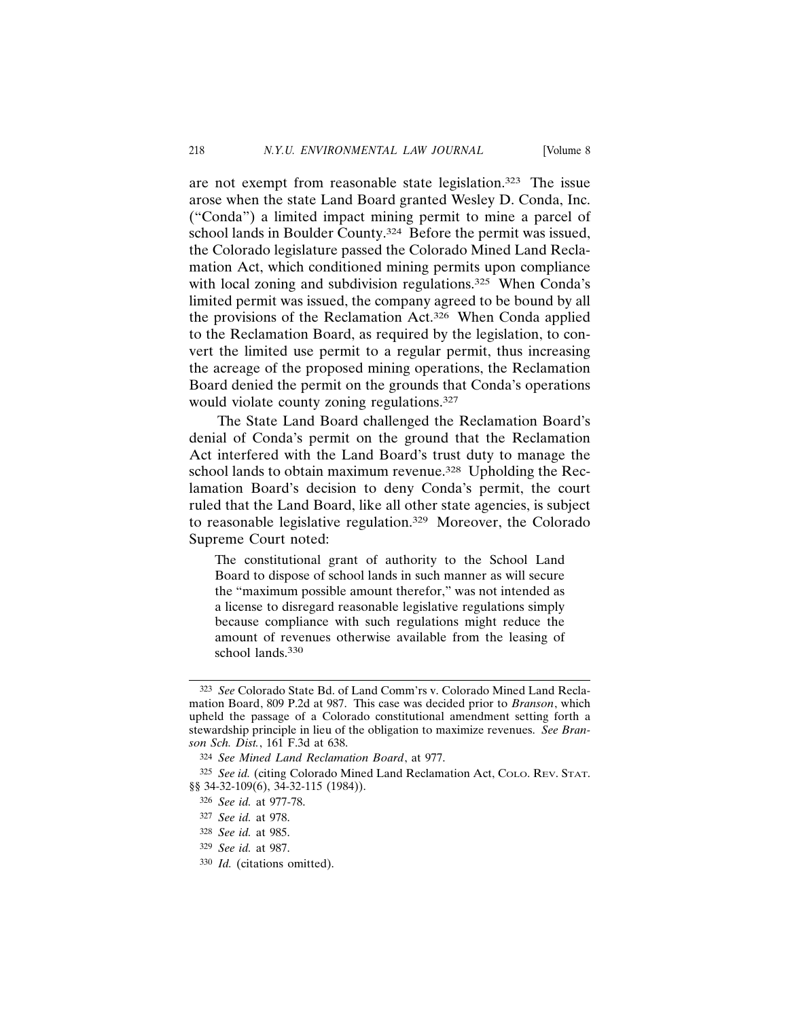are not exempt from reasonable state legislation.323 The issue arose when the state Land Board granted Wesley D. Conda, Inc. ("Conda") a limited impact mining permit to mine a parcel of school lands in Boulder County.<sup>324</sup> Before the permit was issued, the Colorado legislature passed the Colorado Mined Land Reclamation Act, which conditioned mining permits upon compliance with local zoning and subdivision regulations.<sup>325</sup> When Conda's limited permit was issued, the company agreed to be bound by all the provisions of the Reclamation Act.326 When Conda applied to the Reclamation Board, as required by the legislation, to convert the limited use permit to a regular permit, thus increasing the acreage of the proposed mining operations, the Reclamation Board denied the permit on the grounds that Conda's operations would violate county zoning regulations.<sup>327</sup>

The State Land Board challenged the Reclamation Board's denial of Conda's permit on the ground that the Reclamation Act interfered with the Land Board's trust duty to manage the school lands to obtain maximum revenue.<sup>328</sup> Upholding the Reclamation Board's decision to deny Conda's permit, the court ruled that the Land Board, like all other state agencies, is subject to reasonable legislative regulation.329 Moreover, the Colorado Supreme Court noted:

The constitutional grant of authority to the School Land Board to dispose of school lands in such manner as will secure the "maximum possible amount therefor," was not intended as a license to disregard reasonable legislative regulations simply because compliance with such regulations might reduce the amount of revenues otherwise available from the leasing of school lands.<sup>330</sup>

327 *See id.* at 978.

<sup>323</sup> *See* Colorado State Bd. of Land Comm'rs v. Colorado Mined Land Reclamation Board, 809 P.2d at 987. This case was decided prior to *Branson*, which upheld the passage of a Colorado constitutional amendment setting forth a stewardship principle in lieu of the obligation to maximize revenues. *See Branson Sch. Dist.*, 161 F.3d at 638.

<sup>324</sup> *See Mined Land Reclamation Board*, at 977.

<sup>325</sup> *See id.* (citing Colorado Mined Land Reclamation Act, COLO. REV. STAT. §§ 34-32-109(6), 34-32-115 (1984)).

<sup>326</sup> *See id.* at 977-78.

<sup>328</sup> *See id.* at 985.

<sup>329</sup> *See id.* at 987.

<sup>330</sup> *Id.* (citations omitted).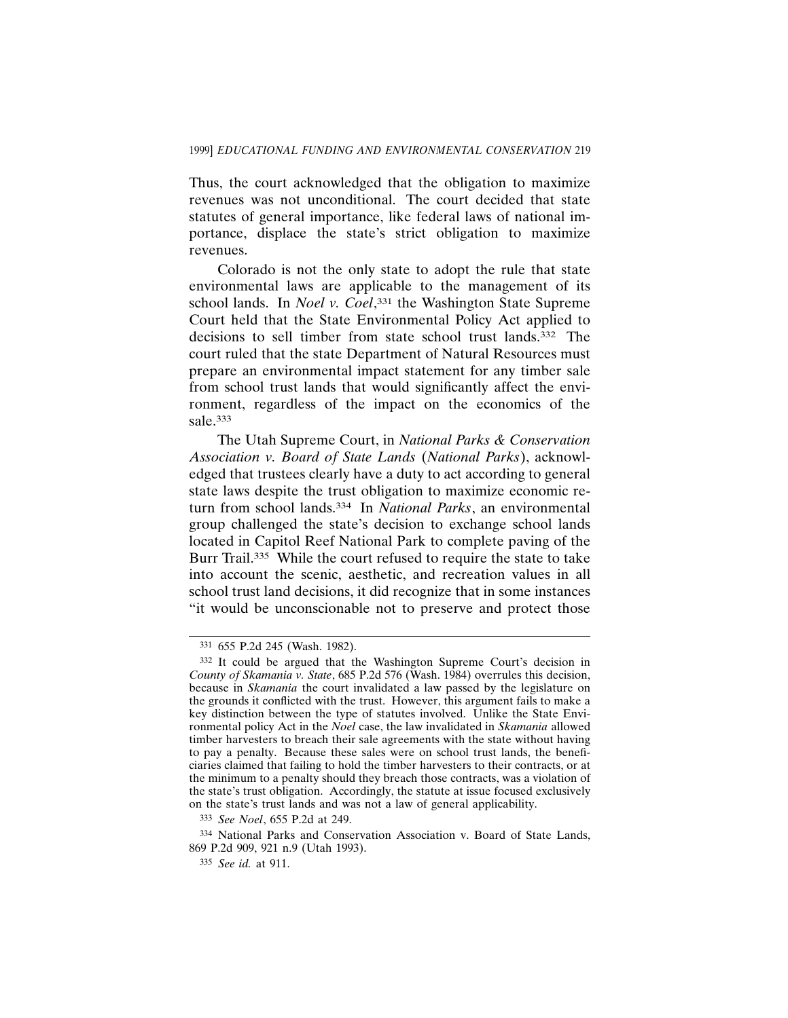Thus, the court acknowledged that the obligation to maximize revenues was not unconditional. The court decided that state statutes of general importance, like federal laws of national importance, displace the state's strict obligation to maximize revenues.

Colorado is not the only state to adopt the rule that state environmental laws are applicable to the management of its school lands. In *Noel v. Coel*, 331 the Washington State Supreme Court held that the State Environmental Policy Act applied to decisions to sell timber from state school trust lands.<sup>332</sup> The court ruled that the state Department of Natural Resources must prepare an environmental impact statement for any timber sale from school trust lands that would significantly affect the environment, regardless of the impact on the economics of the sale.333

The Utah Supreme Court, in *National Parks & Conservation Association v. Board of State Lands* (*National Parks*), acknowledged that trustees clearly have a duty to act according to general state laws despite the trust obligation to maximize economic return from school lands.334 In *National Parks*, an environmental group challenged the state's decision to exchange school lands located in Capitol Reef National Park to complete paving of the Burr Trail.335 While the court refused to require the state to take into account the scenic, aesthetic, and recreation values in all school trust land decisions, it did recognize that in some instances "it would be unconscionable not to preserve and protect those

<sup>331</sup> 655 P.2d 245 (Wash. 1982).

<sup>332</sup> It could be argued that the Washington Supreme Court's decision in *County of Skamania v. State*, 685 P.2d 576 (Wash. 1984) overrules this decision, because in *Skamania* the court invalidated a law passed by the legislature on the grounds it conflicted with the trust. However, this argument fails to make a key distinction between the type of statutes involved. Unlike the State Environmental policy Act in the *Noel* case, the law invalidated in *Skamania* allowed timber harvesters to breach their sale agreements with the state without having to pay a penalty. Because these sales were on school trust lands, the beneficiaries claimed that failing to hold the timber harvesters to their contracts, or at the minimum to a penalty should they breach those contracts, was a violation of the state's trust obligation. Accordingly, the statute at issue focused exclusively on the state's trust lands and was not a law of general applicability.

<sup>333</sup> *See Noel*, 655 P.2d at 249.

<sup>334</sup> National Parks and Conservation Association v. Board of State Lands, 869 P.2d 909, 921 n.9 (Utah 1993).

<sup>335</sup> *See id.* at 911.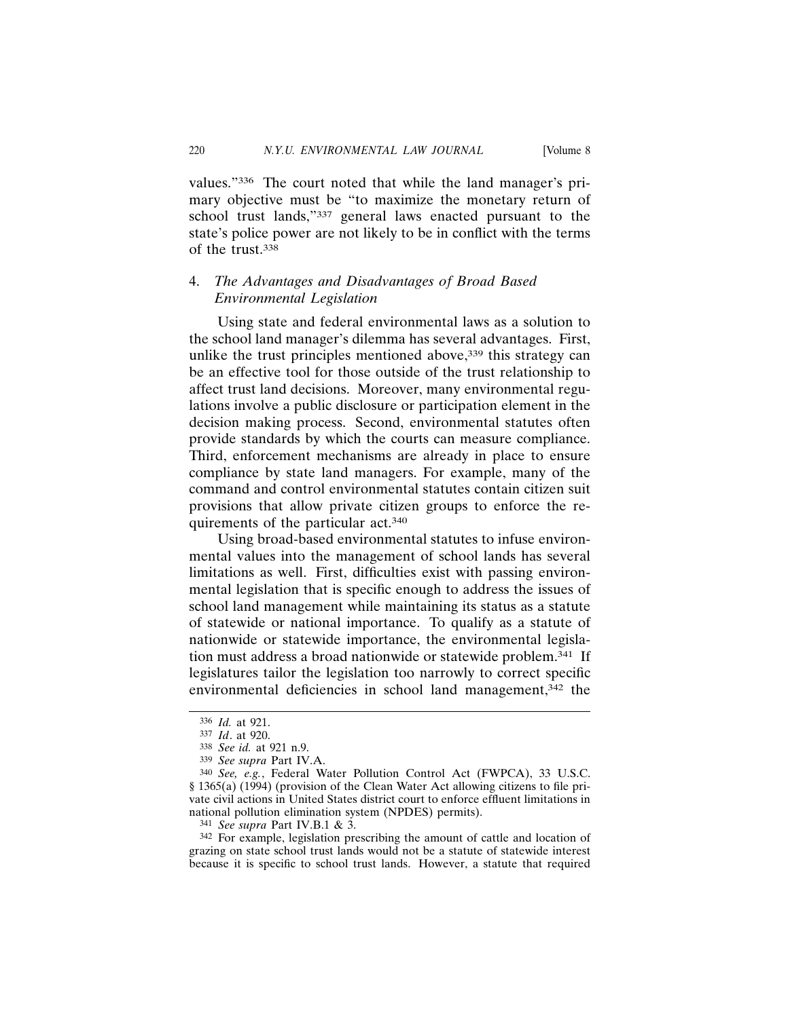values."336 The court noted that while the land manager's primary objective must be "to maximize the monetary return of school trust lands,"337 general laws enacted pursuant to the state's police power are not likely to be in conflict with the terms of the trust.338

# 4. *The Advantages and Disadvantages of Broad Based Environmental Legislation*

Using state and federal environmental laws as a solution to the school land manager's dilemma has several advantages. First, unlike the trust principles mentioned above,<sup>339</sup> this strategy can be an effective tool for those outside of the trust relationship to affect trust land decisions. Moreover, many environmental regulations involve a public disclosure or participation element in the decision making process. Second, environmental statutes often provide standards by which the courts can measure compliance. Third, enforcement mechanisms are already in place to ensure compliance by state land managers. For example, many of the command and control environmental statutes contain citizen suit provisions that allow private citizen groups to enforce the requirements of the particular act.340

Using broad-based environmental statutes to infuse environmental values into the management of school lands has several limitations as well. First, difficulties exist with passing environmental legislation that is specific enough to address the issues of school land management while maintaining its status as a statute of statewide or national importance. To qualify as a statute of nationwide or statewide importance, the environmental legislation must address a broad nationwide or statewide problem.341 If legislatures tailor the legislation too narrowly to correct specific environmental deficiencies in school land management,<sup>342</sup> the

<sup>336</sup> *Id.* at 921.

<sup>337</sup> *Id*. at 920.

<sup>338</sup> *See id.* at 921 n.9.

<sup>339</sup> *See supra* Part IV.A.

<sup>340</sup> *See, e.g.*, Federal Water Pollution Control Act (FWPCA), 33 U.S.C. § 1365(a) (1994) (provision of the Clean Water Act allowing citizens to file private civil actions in United States district court to enforce effluent limitations in national pollution elimination system (NPDES) permits).

<sup>341</sup> *See supra* Part IV.B.1 & 3.

<sup>342</sup> For example, legislation prescribing the amount of cattle and location of grazing on state school trust lands would not be a statute of statewide interest because it is specific to school trust lands. However, a statute that required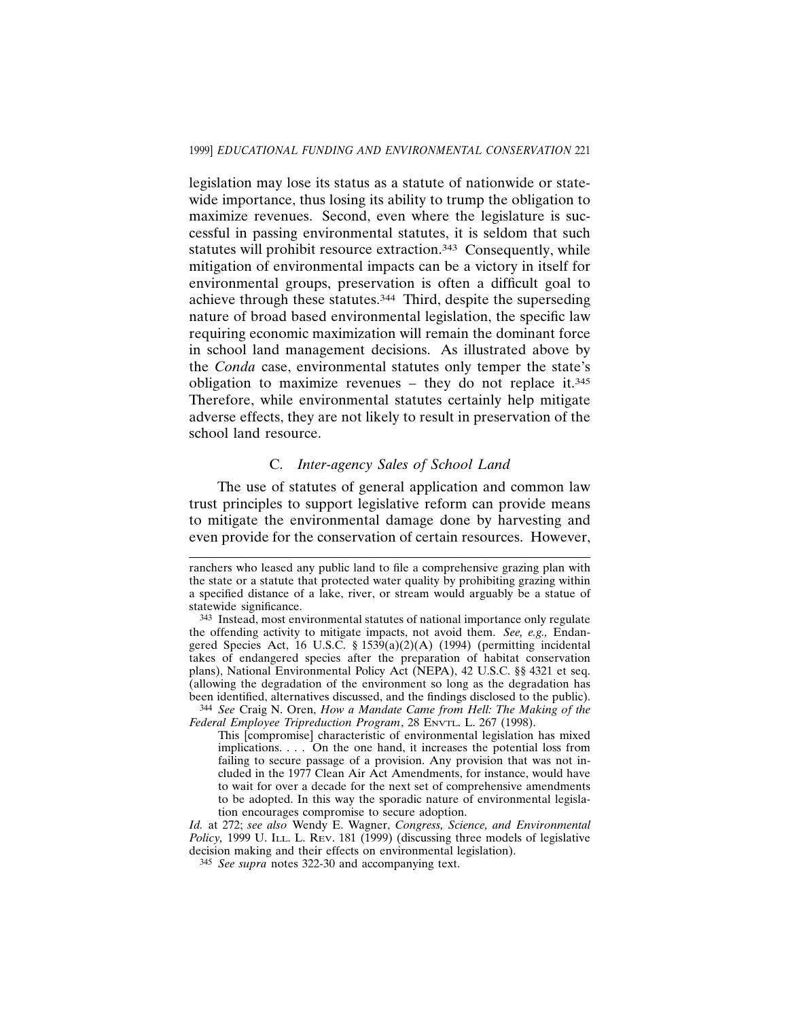legislation may lose its status as a statute of nationwide or statewide importance, thus losing its ability to trump the obligation to maximize revenues. Second, even where the legislature is successful in passing environmental statutes, it is seldom that such statutes will prohibit resource extraction.<sup>343</sup> Consequently, while mitigation of environmental impacts can be a victory in itself for environmental groups, preservation is often a difficult goal to achieve through these statutes.344 Third, despite the superseding nature of broad based environmental legislation, the specific law requiring economic maximization will remain the dominant force in school land management decisions. As illustrated above by the *Conda* case, environmental statutes only temper the state's obligation to maximize revenues – they do not replace it.<sup>345</sup> Therefore, while environmental statutes certainly help mitigate adverse effects, they are not likely to result in preservation of the school land resource.

#### C. *Inter-agency Sales of School Land*

The use of statutes of general application and common law trust principles to support legislative reform can provide means to mitigate the environmental damage done by harvesting and even provide for the conservation of certain resources. However,

ranchers who leased any public land to file a comprehensive grazing plan with the state or a statute that protected water quality by prohibiting grazing within a specified distance of a lake, river, or stream would arguably be a statue of statewide significance.

<sup>343</sup> Instead, most environmental statutes of national importance only regulate the offending activity to mitigate impacts, not avoid them. *See, e.g.,* Endangered Species Act, 16 U.S.C. § 1539(a)(2)(A) (1994) (permitting incidental takes of endangered species after the preparation of habitat conservation plans), National Environmental Policy Act (NEPA), 42 U.S.C. §§ 4321 et seq. (allowing the degradation of the environment so long as the degradation has been identified, alternatives discussed, and the findings disclosed to the public). 344 *See* Craig N. Oren, *How a Mandate Came from Hell: The Making of the*

*Federal Employee Tripreduction Program*, 28 ENVTL. L. 267 (1998).

This [compromise] characteristic of environmental legislation has mixed implications. . . . On the one hand, it increases the potential loss from failing to secure passage of a provision. Any provision that was not included in the 1977 Clean Air Act Amendments, for instance, would have to wait for over a decade for the next set of comprehensive amendments to be adopted. In this way the sporadic nature of environmental legislation encourages compromise to secure adoption.

*Id.* at 272; *see also* Wendy E. Wagner, *Congress, Science, and Environmental Policy*, 1999 U. I<sub>LL</sub>. L. R<sub>EV</sub>. 181 (1999) (discussing three models of legislative decision making and their effects on environmental legislation).

<sup>345</sup> *See supra* notes 322-30 and accompanying text.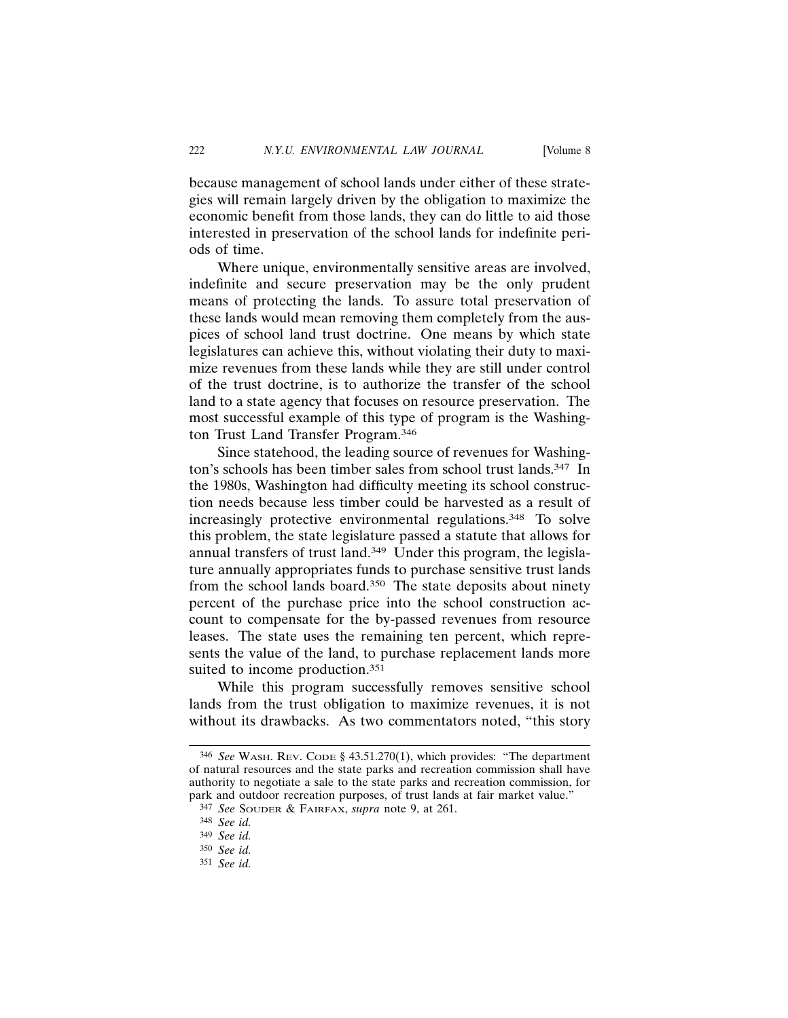because management of school lands under either of these strategies will remain largely driven by the obligation to maximize the economic benefit from those lands, they can do little to aid those interested in preservation of the school lands for indefinite periods of time.

Where unique, environmentally sensitive areas are involved, indefinite and secure preservation may be the only prudent means of protecting the lands. To assure total preservation of these lands would mean removing them completely from the auspices of school land trust doctrine. One means by which state legislatures can achieve this, without violating their duty to maximize revenues from these lands while they are still under control of the trust doctrine, is to authorize the transfer of the school land to a state agency that focuses on resource preservation. The most successful example of this type of program is the Washington Trust Land Transfer Program.346

Since statehood, the leading source of revenues for Washington's schools has been timber sales from school trust lands.<sup>347</sup> In the 1980s, Washington had difficulty meeting its school construction needs because less timber could be harvested as a result of increasingly protective environmental regulations.348 To solve this problem, the state legislature passed a statute that allows for annual transfers of trust land.<sup>349</sup> Under this program, the legislature annually appropriates funds to purchase sensitive trust lands from the school lands board.350 The state deposits about ninety percent of the purchase price into the school construction account to compensate for the by-passed revenues from resource leases. The state uses the remaining ten percent, which represents the value of the land, to purchase replacement lands more suited to income production.<sup>351</sup>

While this program successfully removes sensitive school lands from the trust obligation to maximize revenues, it is not without its drawbacks. As two commentators noted, "this story

<sup>346</sup> *See* WASH. REV. CODE § 43.51.270(1), which provides: "The department of natural resources and the state parks and recreation commission shall have authority to negotiate a sale to the state parks and recreation commission, for park and outdoor recreation purposes, of trust lands at fair market value."

<sup>347</sup> *See* SOUDER & FAIRFAX, *supra* note 9, at 261.

<sup>348</sup> *See id.*

<sup>349</sup> *See id.*

<sup>350</sup> *See id.*

<sup>351</sup> *See id.*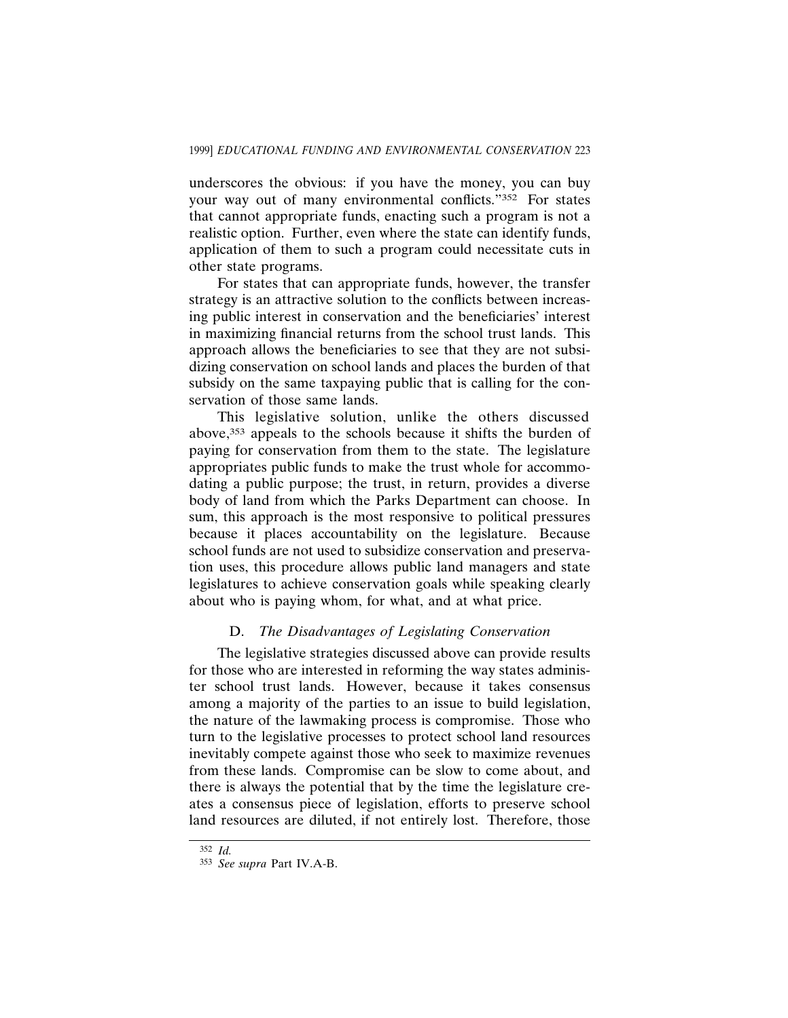underscores the obvious: if you have the money, you can buy your way out of many environmental conflicts."352 For states that cannot appropriate funds, enacting such a program is not a realistic option. Further, even where the state can identify funds, application of them to such a program could necessitate cuts in other state programs.

For states that can appropriate funds, however, the transfer strategy is an attractive solution to the conflicts between increasing public interest in conservation and the beneficiaries' interest in maximizing financial returns from the school trust lands. This approach allows the beneficiaries to see that they are not subsidizing conservation on school lands and places the burden of that subsidy on the same taxpaying public that is calling for the conservation of those same lands.

This legislative solution, unlike the others discussed above,353 appeals to the schools because it shifts the burden of paying for conservation from them to the state. The legislature appropriates public funds to make the trust whole for accommodating a public purpose; the trust, in return, provides a diverse body of land from which the Parks Department can choose. In sum, this approach is the most responsive to political pressures because it places accountability on the legislature. Because school funds are not used to subsidize conservation and preservation uses, this procedure allows public land managers and state legislatures to achieve conservation goals while speaking clearly about who is paying whom, for what, and at what price.

### D. *The Disadvantages of Legislating Conservation*

The legislative strategies discussed above can provide results for those who are interested in reforming the way states administer school trust lands. However, because it takes consensus among a majority of the parties to an issue to build legislation, the nature of the lawmaking process is compromise. Those who turn to the legislative processes to protect school land resources inevitably compete against those who seek to maximize revenues from these lands. Compromise can be slow to come about, and there is always the potential that by the time the legislature creates a consensus piece of legislation, efforts to preserve school land resources are diluted, if not entirely lost. Therefore, those

<sup>352</sup> *Id.*

<sup>353</sup> *See supra* Part IV.A-B.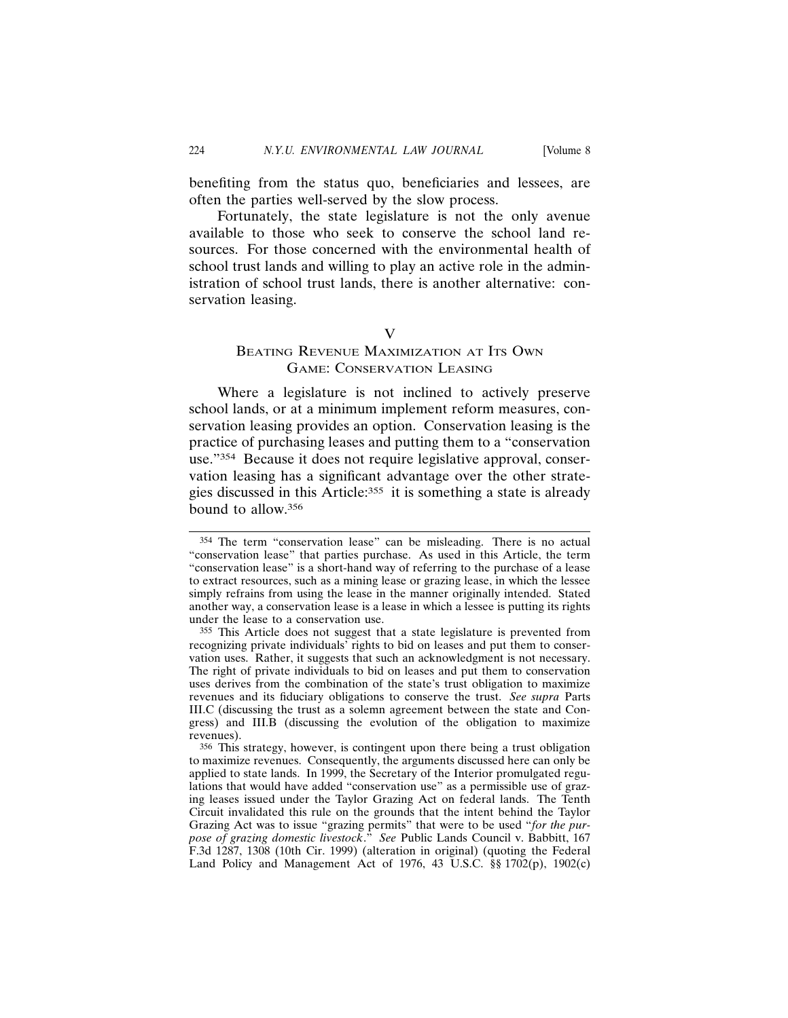benefiting from the status quo, beneficiaries and lessees, are often the parties well-served by the slow process.

Fortunately, the state legislature is not the only avenue available to those who seek to conserve the school land resources. For those concerned with the environmental health of school trust lands and willing to play an active role in the administration of school trust lands, there is another alternative: conservation leasing.

#### V

# BEATING REVENUE MAXIMIZATION AT ITS OWN GAME: CONSERVATION LEASING

Where a legislature is not inclined to actively preserve school lands, or at a minimum implement reform measures, conservation leasing provides an option. Conservation leasing is the practice of purchasing leases and putting them to a "conservation use."354 Because it does not require legislative approval, conservation leasing has a significant advantage over the other strategies discussed in this Article:355 it is something a state is already bound to allow.356

<sup>354</sup> The term "conservation lease" can be misleading. There is no actual "conservation lease" that parties purchase. As used in this Article, the term "conservation lease" is a short-hand way of referring to the purchase of a lease to extract resources, such as a mining lease or grazing lease, in which the lessee simply refrains from using the lease in the manner originally intended. Stated another way, a conservation lease is a lease in which a lessee is putting its rights under the lease to a conservation use.

<sup>355</sup> This Article does not suggest that a state legislature is prevented from recognizing private individuals' rights to bid on leases and put them to conservation uses. Rather, it suggests that such an acknowledgment is not necessary. The right of private individuals to bid on leases and put them to conservation uses derives from the combination of the state's trust obligation to maximize revenues and its fiduciary obligations to conserve the trust. *See supra* Parts III.C (discussing the trust as a solemn agreement between the state and Congress) and III.B (discussing the evolution of the obligation to maximize revenues).

<sup>356</sup> This strategy, however, is contingent upon there being a trust obligation to maximize revenues. Consequently, the arguments discussed here can only be applied to state lands. In 1999, the Secretary of the Interior promulgated regulations that would have added "conservation use" as a permissible use of grazing leases issued under the Taylor Grazing Act on federal lands. The Tenth Circuit invalidated this rule on the grounds that the intent behind the Taylor Grazing Act was to issue "grazing permits" that were to be used "*for the purpose of grazing domestic livestock*." *See* Public Lands Council v. Babbitt, 167 F.3d 1287, 1308 (10th Cir. 1999) (alteration in original) (quoting the Federal Land Policy and Management Act of 1976, 43 U.S.C. §§ 1702(p), 1902(c)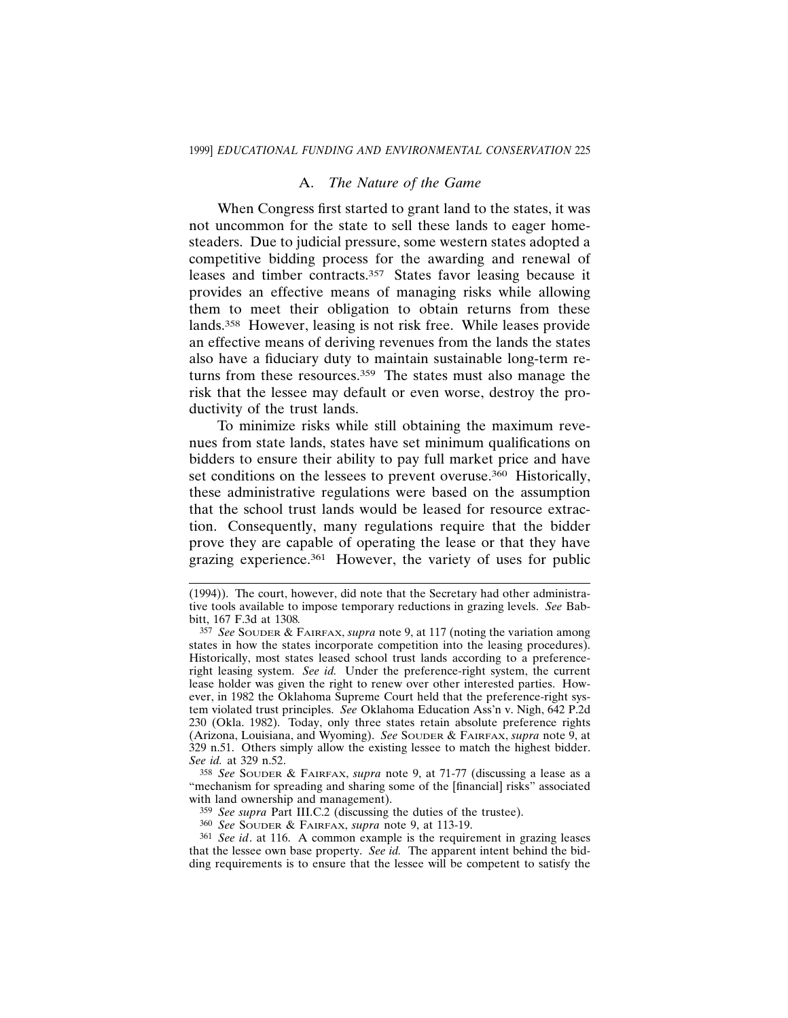### A. *The Nature of the Game*

When Congress first started to grant land to the states, it was not uncommon for the state to sell these lands to eager homesteaders. Due to judicial pressure, some western states adopted a competitive bidding process for the awarding and renewal of leases and timber contracts.<sup>357</sup> States favor leasing because it provides an effective means of managing risks while allowing them to meet their obligation to obtain returns from these lands.358 However, leasing is not risk free. While leases provide an effective means of deriving revenues from the lands the states also have a fiduciary duty to maintain sustainable long-term returns from these resources.359 The states must also manage the risk that the lessee may default or even worse, destroy the productivity of the trust lands.

To minimize risks while still obtaining the maximum revenues from state lands, states have set minimum qualifications on bidders to ensure their ability to pay full market price and have set conditions on the lessees to prevent overuse.<sup>360</sup> Historically, these administrative regulations were based on the assumption that the school trust lands would be leased for resource extraction. Consequently, many regulations require that the bidder prove they are capable of operating the lease or that they have grazing experience.361 However, the variety of uses for public

358 *See* SOUDER & FAIRFAX, *supra* note 9, at 71-77 (discussing a lease as a "mechanism for spreading and sharing some of the [financial] risks" associated with land ownership and management).

359 *See supra* Part III.C.2 (discussing the duties of the trustee).

360 *See* SOUDER & FAIRFAX, *supra* note 9, at 113-19.

361 *See id*. at 116. A common example is the requirement in grazing leases that the lessee own base property. *See id.* The apparent intent behind the bidding requirements is to ensure that the lessee will be competent to satisfy the

<sup>(1994)).</sup> The court, however, did note that the Secretary had other administrative tools available to impose temporary reductions in grazing levels. *See* Babbitt, 167 F.3d at 1308*.*

<sup>357</sup> *See* SOUDER & FAIRFAX, *supra* note 9, at 117 (noting the variation among states in how the states incorporate competition into the leasing procedures). Historically, most states leased school trust lands according to a preferenceright leasing system. *See id.* Under the preference-right system, the current lease holder was given the right to renew over other interested parties. However, in 1982 the Oklahoma Supreme Court held that the preference-right system violated trust principles. *See* Oklahoma Education Ass'n v. Nigh, 642 P.2d 230 (Okla. 1982). Today, only three states retain absolute preference rights (Arizona, Louisiana, and Wyoming). *See* SOUDER & FAIRFAX, *supra* note 9, at 329 n.51. Others simply allow the existing lessee to match the highest bidder. *See id.* at 329 n.52.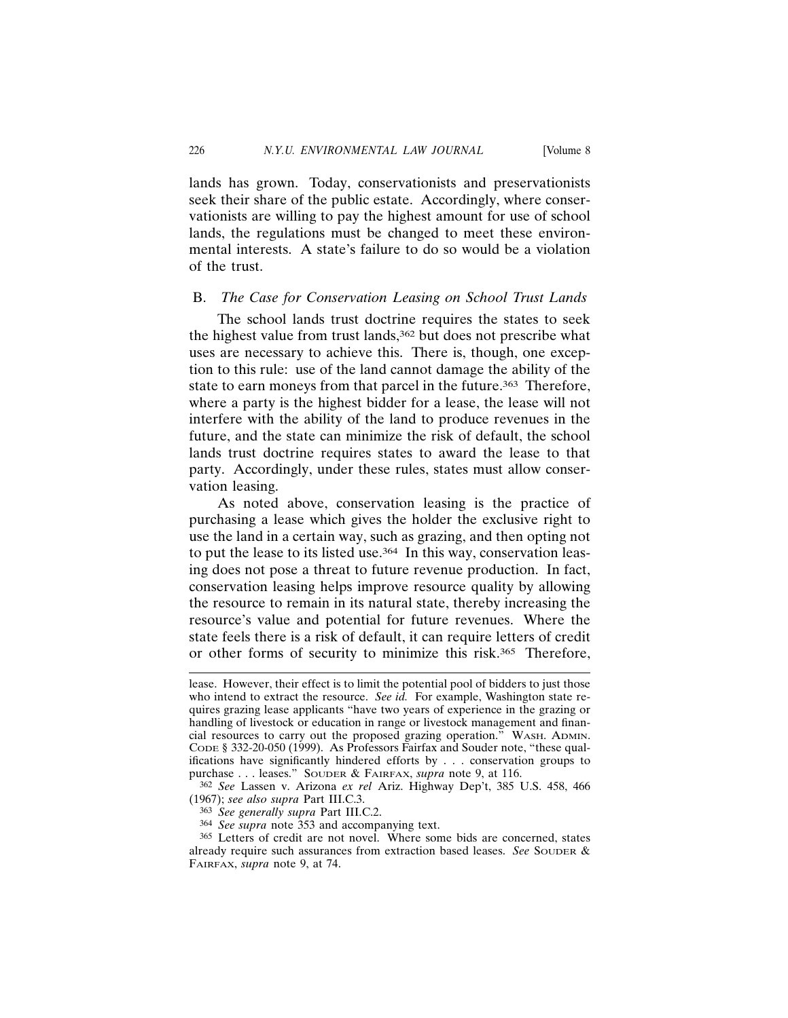lands has grown. Today, conservationists and preservationists seek their share of the public estate. Accordingly, where conservationists are willing to pay the highest amount for use of school lands, the regulations must be changed to meet these environmental interests. A state's failure to do so would be a violation of the trust.

#### B. *The Case for Conservation Leasing on School Trust Lands*

The school lands trust doctrine requires the states to seek the highest value from trust lands,<sup>362</sup> but does not prescribe what uses are necessary to achieve this. There is, though, one exception to this rule: use of the land cannot damage the ability of the state to earn moneys from that parcel in the future.<sup>363</sup> Therefore, where a party is the highest bidder for a lease, the lease will not interfere with the ability of the land to produce revenues in the future, and the state can minimize the risk of default, the school lands trust doctrine requires states to award the lease to that party. Accordingly, under these rules, states must allow conservation leasing.

As noted above, conservation leasing is the practice of purchasing a lease which gives the holder the exclusive right to use the land in a certain way, such as grazing, and then opting not to put the lease to its listed use.<sup>364</sup> In this way, conservation leasing does not pose a threat to future revenue production. In fact, conservation leasing helps improve resource quality by allowing the resource to remain in its natural state, thereby increasing the resource's value and potential for future revenues. Where the state feels there is a risk of default, it can require letters of credit or other forms of security to minimize this risk.365 Therefore,

lease. However, their effect is to limit the potential pool of bidders to just those who intend to extract the resource. *See id.* For example, Washington state requires grazing lease applicants "have two years of experience in the grazing or handling of livestock or education in range or livestock management and financial resources to carry out the proposed grazing operation." WASH. ADMIN. CODE § 332-20-050 (1999). As Professors Fairfax and Souder note, "these qualifications have significantly hindered efforts by . . . conservation groups to purchase . . . leases." SOUDER & FAIRFAX, *supra* note 9, at 116.

<sup>362</sup> *See* Lassen v. Arizona *ex rel* Ariz. Highway Dep't, 385 U.S. 458, 466 (1967); *see also supra* Part III.C.3.

<sup>363</sup> *See generally supra* Part III.C.2.

<sup>364</sup> *See supra* note 353 and accompanying text.

<sup>365</sup> Letters of credit are not novel. Where some bids are concerned, states already require such assurances from extraction based leases. *See* SOUDER & FAIRFAX, *supra* note 9, at 74.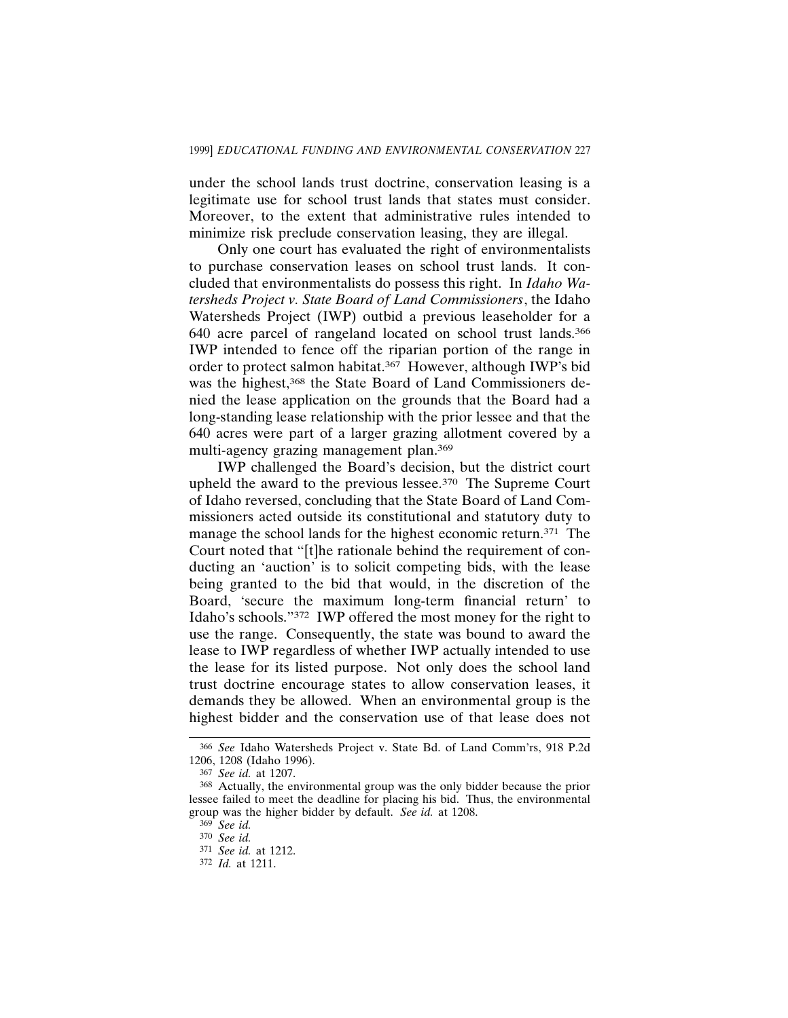under the school lands trust doctrine, conservation leasing is a legitimate use for school trust lands that states must consider. Moreover, to the extent that administrative rules intended to minimize risk preclude conservation leasing, they are illegal.

Only one court has evaluated the right of environmentalists to purchase conservation leases on school trust lands. It concluded that environmentalists do possess this right. In *Idaho Watersheds Project v. State Board of Land Commissioners*, the Idaho Watersheds Project (IWP) outbid a previous leaseholder for a 640 acre parcel of rangeland located on school trust lands.366 IWP intended to fence off the riparian portion of the range in order to protect salmon habitat.367 However, although IWP's bid was the highest,<sup>368</sup> the State Board of Land Commissioners denied the lease application on the grounds that the Board had a long-standing lease relationship with the prior lessee and that the 640 acres were part of a larger grazing allotment covered by a multi-agency grazing management plan.369

IWP challenged the Board's decision, but the district court upheld the award to the previous lessee.370 The Supreme Court of Idaho reversed, concluding that the State Board of Land Commissioners acted outside its constitutional and statutory duty to manage the school lands for the highest economic return.<sup>371</sup> The Court noted that "[t]he rationale behind the requirement of conducting an 'auction' is to solicit competing bids, with the lease being granted to the bid that would, in the discretion of the Board, 'secure the maximum long-term financial return' to Idaho's schools."372 IWP offered the most money for the right to use the range. Consequently, the state was bound to award the lease to IWP regardless of whether IWP actually intended to use the lease for its listed purpose. Not only does the school land trust doctrine encourage states to allow conservation leases, it demands they be allowed. When an environmental group is the highest bidder and the conservation use of that lease does not

<sup>366</sup> *See* Idaho Watersheds Project v. State Bd. of Land Comm'rs, 918 P.2d 1206, 1208 (Idaho 1996).

<sup>367</sup> *See id.* at 1207.

<sup>368</sup> Actually, the environmental group was the only bidder because the prior lessee failed to meet the deadline for placing his bid. Thus, the environmental group was the higher bidder by default. *See id.* at 1208.

<sup>369</sup> *See id.*

<sup>370</sup> *See id.*

<sup>371</sup> *See id.* at 1212.

<sup>372</sup> *Id.* at 1211.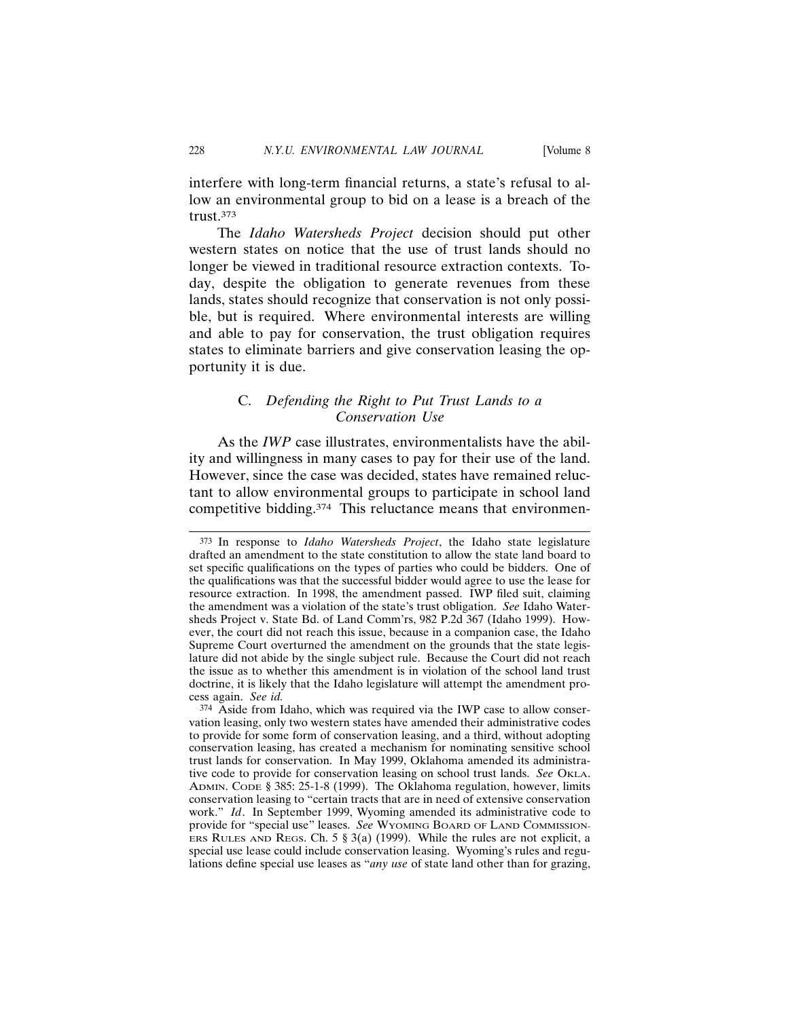interfere with long-term financial returns, a state's refusal to allow an environmental group to bid on a lease is a breach of the trust.373

The *Idaho Watersheds Project* decision should put other western states on notice that the use of trust lands should no longer be viewed in traditional resource extraction contexts. Today, despite the obligation to generate revenues from these lands, states should recognize that conservation is not only possible, but is required. Where environmental interests are willing and able to pay for conservation, the trust obligation requires states to eliminate barriers and give conservation leasing the opportunity it is due.

## C. *Defending the Right to Put Trust Lands to a Conservation Use*

As the *IWP* case illustrates, environmentalists have the ability and willingness in many cases to pay for their use of the land. However, since the case was decided, states have remained reluctant to allow environmental groups to participate in school land competitive bidding.<sup>374</sup> This reluctance means that environmen-

<sup>373</sup> In response to *Idaho Watersheds Project*, the Idaho state legislature drafted an amendment to the state constitution to allow the state land board to set specific qualifications on the types of parties who could be bidders. One of the qualifications was that the successful bidder would agree to use the lease for resource extraction. In 1998, the amendment passed. IWP filed suit, claiming the amendment was a violation of the state's trust obligation. *See* Idaho Watersheds Project v. State Bd. of Land Comm'rs, 982 P.2d 367 (Idaho 1999). However, the court did not reach this issue, because in a companion case, the Idaho Supreme Court overturned the amendment on the grounds that the state legislature did not abide by the single subject rule. Because the Court did not reach the issue as to whether this amendment is in violation of the school land trust doctrine, it is likely that the Idaho legislature will attempt the amendment process again. *See id.*

<sup>374</sup> Aside from Idaho, which was required via the IWP case to allow conservation leasing, only two western states have amended their administrative codes to provide for some form of conservation leasing, and a third, without adopting conservation leasing, has created a mechanism for nominating sensitive school trust lands for conservation. In May 1999, Oklahoma amended its administrative code to provide for conservation leasing on school trust lands. *See* O<sub>KLA</sub>. ADMIN. CODE § 385: 25-1-8 (1999). The Oklahoma regulation, however, limits conservation leasing to "certain tracts that are in need of extensive conservation work." *Id*. In September 1999, Wyoming amended its administrative code to provide for "special use" leases. *See* WYOMING BOARD OF LAND COMMISSION-ERS RULES AND REGS. Ch. 5  $\S$  3(a) (1999). While the rules are not explicit, a special use lease could include conservation leasing. Wyoming's rules and regulations define special use leases as "*any use* of state land other than for grazing,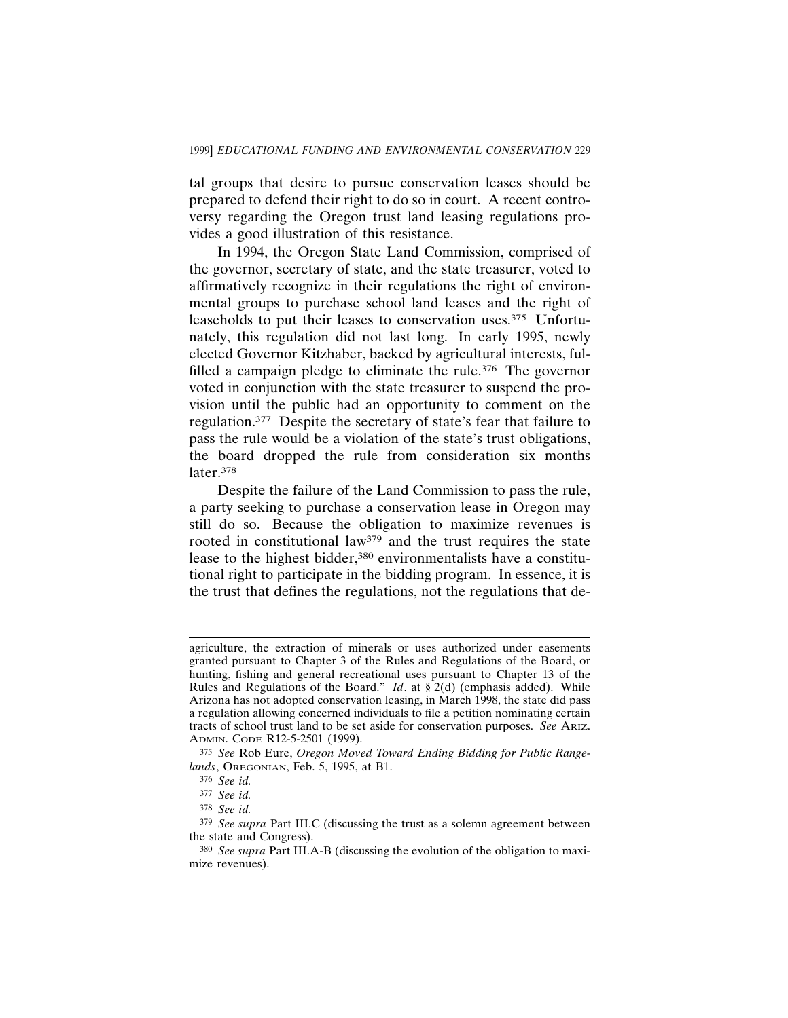tal groups that desire to pursue conservation leases should be prepared to defend their right to do so in court. A recent controversy regarding the Oregon trust land leasing regulations provides a good illustration of this resistance.

In 1994, the Oregon State Land Commission, comprised of the governor, secretary of state, and the state treasurer, voted to affirmatively recognize in their regulations the right of environmental groups to purchase school land leases and the right of leaseholds to put their leases to conservation uses.375 Unfortunately, this regulation did not last long. In early 1995, newly elected Governor Kitzhaber, backed by agricultural interests, fulfilled a campaign pledge to eliminate the rule.<sup>376</sup> The governor voted in conjunction with the state treasurer to suspend the provision until the public had an opportunity to comment on the regulation.377 Despite the secretary of state's fear that failure to pass the rule would be a violation of the state's trust obligations, the board dropped the rule from consideration six months later.378

Despite the failure of the Land Commission to pass the rule, a party seeking to purchase a conservation lease in Oregon may still do so. Because the obligation to maximize revenues is rooted in constitutional law379 and the trust requires the state lease to the highest bidder,<sup>380</sup> environmentalists have a constitutional right to participate in the bidding program. In essence, it is the trust that defines the regulations, not the regulations that de-

agriculture, the extraction of minerals or uses authorized under easements granted pursuant to Chapter 3 of the Rules and Regulations of the Board, or hunting, fishing and general recreational uses pursuant to Chapter 13 of the Rules and Regulations of the Board." *Id*. at § 2(d) (emphasis added). While Arizona has not adopted conservation leasing, in March 1998, the state did pass a regulation allowing concerned individuals to file a petition nominating certain tracts of school trust land to be set aside for conservation purposes. *See* ARIZ. ADMIN. CODE R12-5-2501 (1999).

<sup>375</sup> *See* Rob Eure, *Oregon Moved Toward Ending Bidding for Public Rangelands*, OREGONIAN, Feb. 5, 1995, at B1.

<sup>376</sup> *See id.*

<sup>377</sup> *See id.*

<sup>378</sup> *See id.*

<sup>379</sup> *See supra* Part III.C (discussing the trust as a solemn agreement between the state and Congress).

<sup>380</sup> *See supra* Part III.A-B (discussing the evolution of the obligation to maximize revenues).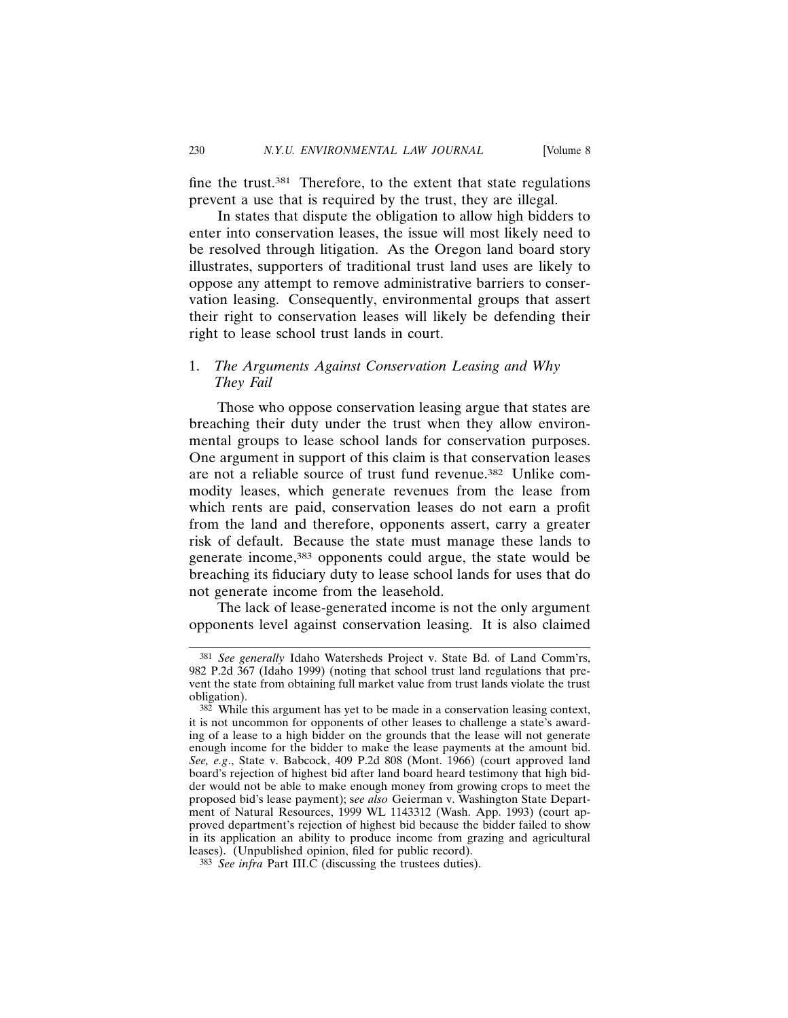fine the trust.381 Therefore, to the extent that state regulations prevent a use that is required by the trust, they are illegal.

In states that dispute the obligation to allow high bidders to enter into conservation leases, the issue will most likely need to be resolved through litigation. As the Oregon land board story illustrates, supporters of traditional trust land uses are likely to oppose any attempt to remove administrative barriers to conservation leasing. Consequently, environmental groups that assert their right to conservation leases will likely be defending their right to lease school trust lands in court.

## 1. *The Arguments Against Conservation Leasing and Why They Fail*

Those who oppose conservation leasing argue that states are breaching their duty under the trust when they allow environmental groups to lease school lands for conservation purposes. One argument in support of this claim is that conservation leases are not a reliable source of trust fund revenue.382 Unlike commodity leases, which generate revenues from the lease from which rents are paid, conservation leases do not earn a profit from the land and therefore, opponents assert, carry a greater risk of default. Because the state must manage these lands to generate income,383 opponents could argue, the state would be breaching its fiduciary duty to lease school lands for uses that do not generate income from the leasehold.

The lack of lease-generated income is not the only argument opponents level against conservation leasing. It is also claimed

<sup>381</sup> *See generally* Idaho Watersheds Project v. State Bd. of Land Comm'rs, 982 P.2d 367 (Idaho 1999) (noting that school trust land regulations that prevent the state from obtaining full market value from trust lands violate the trust obligation).

 $382$  While this argument has yet to be made in a conservation leasing context, it is not uncommon for opponents of other leases to challenge a state's awarding of a lease to a high bidder on the grounds that the lease will not generate enough income for the bidder to make the lease payments at the amount bid. *See, e.g*., State v. Babcock, 409 P.2d 808 (Mont. 1966) (court approved land board's rejection of highest bid after land board heard testimony that high bidder would not be able to make enough money from growing crops to meet the proposed bid's lease payment); s*ee also* Geierman v. Washington State Department of Natural Resources, 1999 WL 1143312 (Wash. App. 1993) (court approved department's rejection of highest bid because the bidder failed to show in its application an ability to produce income from grazing and agricultural leases). (Unpublished opinion, filed for public record).

<sup>383</sup> *See infra* Part III.C (discussing the trustees duties).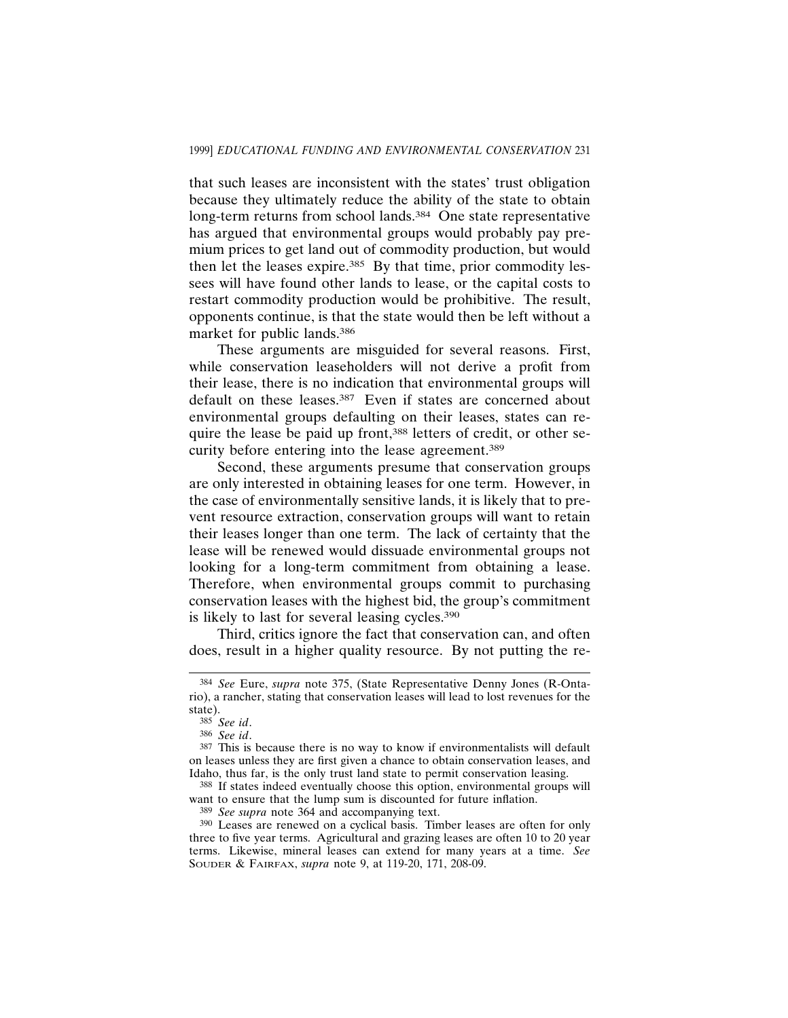that such leases are inconsistent with the states' trust obligation because they ultimately reduce the ability of the state to obtain long-term returns from school lands.<sup>384</sup> One state representative has argued that environmental groups would probably pay premium prices to get land out of commodity production, but would then let the leases expire.385 By that time, prior commodity lessees will have found other lands to lease, or the capital costs to restart commodity production would be prohibitive. The result, opponents continue, is that the state would then be left without a market for public lands.386

These arguments are misguided for several reasons. First, while conservation leaseholders will not derive a profit from their lease, there is no indication that environmental groups will default on these leases.<sup>387</sup> Even if states are concerned about environmental groups defaulting on their leases, states can require the lease be paid up front,<sup>388</sup> letters of credit, or other security before entering into the lease agreement.389

Second, these arguments presume that conservation groups are only interested in obtaining leases for one term. However, in the case of environmentally sensitive lands, it is likely that to prevent resource extraction, conservation groups will want to retain their leases longer than one term. The lack of certainty that the lease will be renewed would dissuade environmental groups not looking for a long-term commitment from obtaining a lease. Therefore, when environmental groups commit to purchasing conservation leases with the highest bid, the group's commitment is likely to last for several leasing cycles.390

Third, critics ignore the fact that conservation can, and often does, result in a higher quality resource. By not putting the re-

<sup>384</sup> *See* Eure, *supra* note 375, (State Representative Denny Jones (R-Ontario), a rancher, stating that conservation leases will lead to lost revenues for the state).

<sup>385</sup> *See id*.

<sup>386</sup> *See id*.

<sup>387</sup> This is because there is no way to know if environmentalists will default on leases unless they are first given a chance to obtain conservation leases, and Idaho, thus far, is the only trust land state to permit conservation leasing.

<sup>388</sup> If states indeed eventually choose this option, environmental groups will want to ensure that the lump sum is discounted for future inflation.

<sup>389</sup> *See supra* note 364 and accompanying text.

<sup>390</sup> Leases are renewed on a cyclical basis. Timber leases are often for only three to five year terms. Agricultural and grazing leases are often 10 to 20 year terms. Likewise, mineral leases can extend for many years at a time. *See* SOUDER & FAIRFAX, *supra* note 9, at 119-20, 171, 208-09.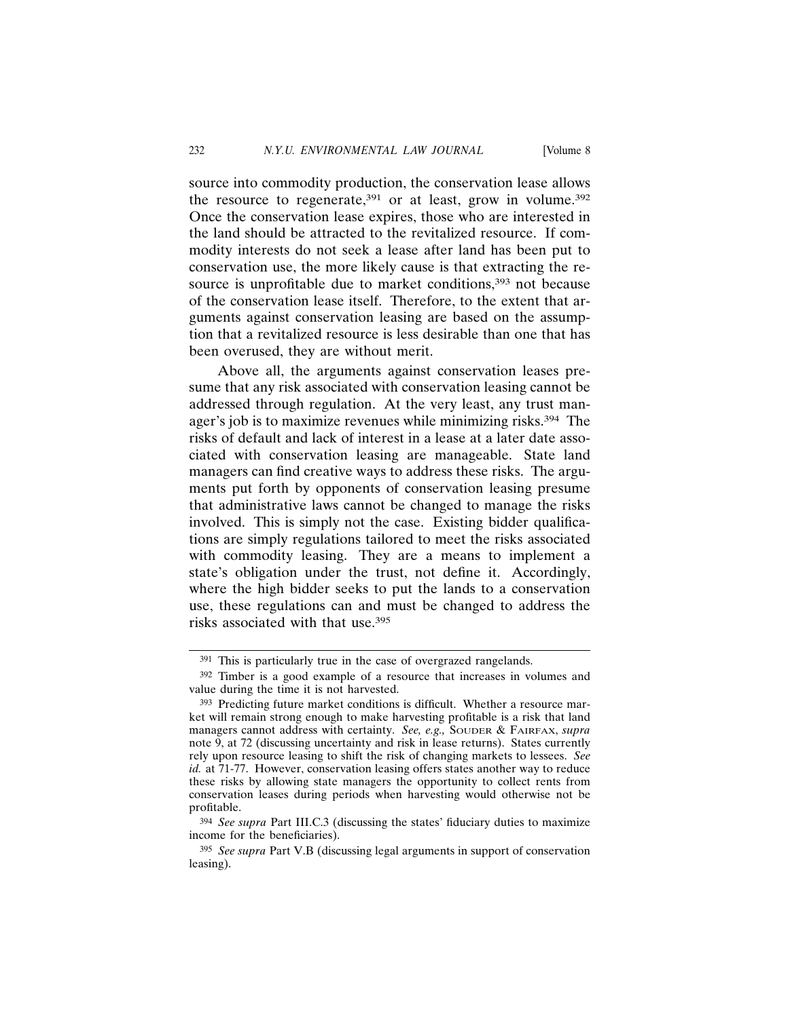source into commodity production, the conservation lease allows the resource to regenerate, $391$  or at least, grow in volume. $392$ Once the conservation lease expires, those who are interested in the land should be attracted to the revitalized resource. If commodity interests do not seek a lease after land has been put to conservation use, the more likely cause is that extracting the resource is unprofitable due to market conditions,<sup>393</sup> not because of the conservation lease itself. Therefore, to the extent that arguments against conservation leasing are based on the assumption that a revitalized resource is less desirable than one that has been overused, they are without merit.

Above all, the arguments against conservation leases presume that any risk associated with conservation leasing cannot be addressed through regulation. At the very least, any trust manager's job is to maximize revenues while minimizing risks.394 The risks of default and lack of interest in a lease at a later date associated with conservation leasing are manageable. State land managers can find creative ways to address these risks. The arguments put forth by opponents of conservation leasing presume that administrative laws cannot be changed to manage the risks involved. This is simply not the case. Existing bidder qualifications are simply regulations tailored to meet the risks associated with commodity leasing. They are a means to implement a state's obligation under the trust, not define it. Accordingly, where the high bidder seeks to put the lands to a conservation use, these regulations can and must be changed to address the risks associated with that use.395

<sup>391</sup> This is particularly true in the case of overgrazed rangelands.

<sup>392</sup> Timber is a good example of a resource that increases in volumes and value during the time it is not harvested.

<sup>393</sup> Predicting future market conditions is difficult. Whether a resource market will remain strong enough to make harvesting profitable is a risk that land managers cannot address with certainty. *See, e.g.,* SOUDER & FAIRFAX, *supra* note 9, at 72 (discussing uncertainty and risk in lease returns). States currently rely upon resource leasing to shift the risk of changing markets to lessees. *See id.* at 71-77. However, conservation leasing offers states another way to reduce these risks by allowing state managers the opportunity to collect rents from conservation leases during periods when harvesting would otherwise not be profitable.

<sup>394</sup> *See supra* Part III.C.3 (discussing the states' fiduciary duties to maximize income for the beneficiaries).

<sup>395</sup> *See supra* Part V.B (discussing legal arguments in support of conservation leasing).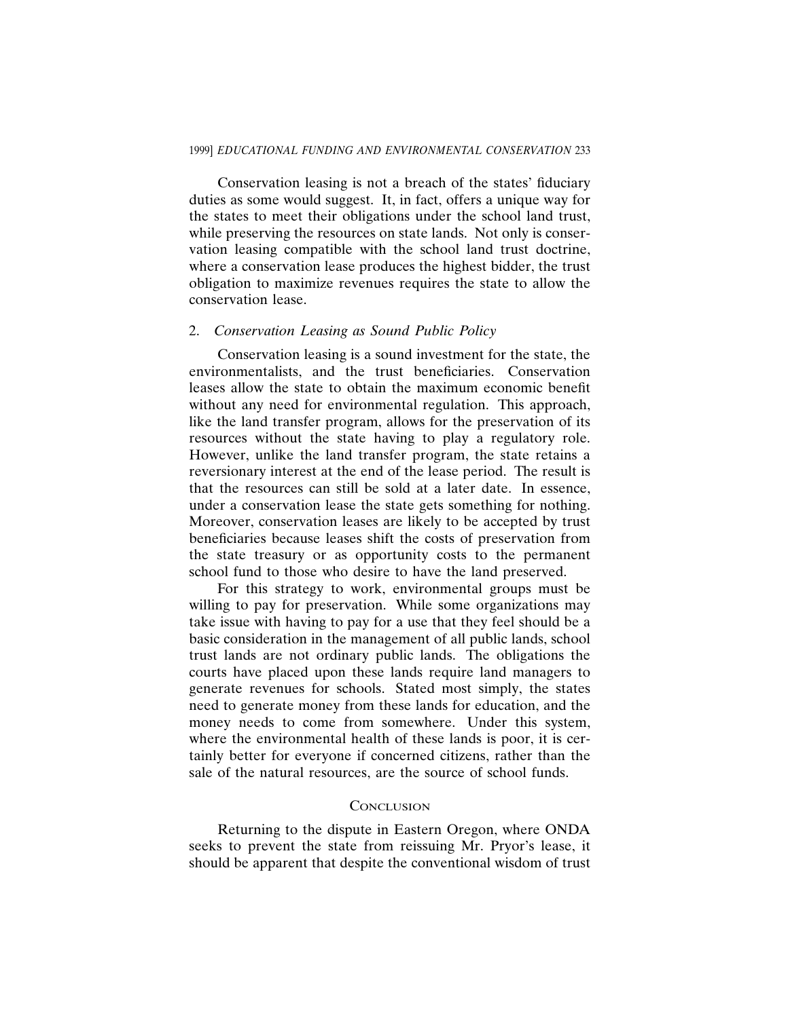Conservation leasing is not a breach of the states' fiduciary duties as some would suggest. It, in fact, offers a unique way for the states to meet their obligations under the school land trust, while preserving the resources on state lands. Not only is conservation leasing compatible with the school land trust doctrine, where a conservation lease produces the highest bidder, the trust obligation to maximize revenues requires the state to allow the conservation lease.

#### 2. *Conservation Leasing as Sound Public Policy*

Conservation leasing is a sound investment for the state, the environmentalists, and the trust beneficiaries. Conservation leases allow the state to obtain the maximum economic benefit without any need for environmental regulation. This approach, like the land transfer program, allows for the preservation of its resources without the state having to play a regulatory role. However, unlike the land transfer program, the state retains a reversionary interest at the end of the lease period. The result is that the resources can still be sold at a later date. In essence, under a conservation lease the state gets something for nothing. Moreover, conservation leases are likely to be accepted by trust beneficiaries because leases shift the costs of preservation from the state treasury or as opportunity costs to the permanent school fund to those who desire to have the land preserved.

For this strategy to work, environmental groups must be willing to pay for preservation. While some organizations may take issue with having to pay for a use that they feel should be a basic consideration in the management of all public lands, school trust lands are not ordinary public lands. The obligations the courts have placed upon these lands require land managers to generate revenues for schools. Stated most simply, the states need to generate money from these lands for education, and the money needs to come from somewhere. Under this system, where the environmental health of these lands is poor, it is certainly better for everyone if concerned citizens, rather than the sale of the natural resources, are the source of school funds.

### **CONCLUSION**

Returning to the dispute in Eastern Oregon, where ONDA seeks to prevent the state from reissuing Mr. Pryor's lease, it should be apparent that despite the conventional wisdom of trust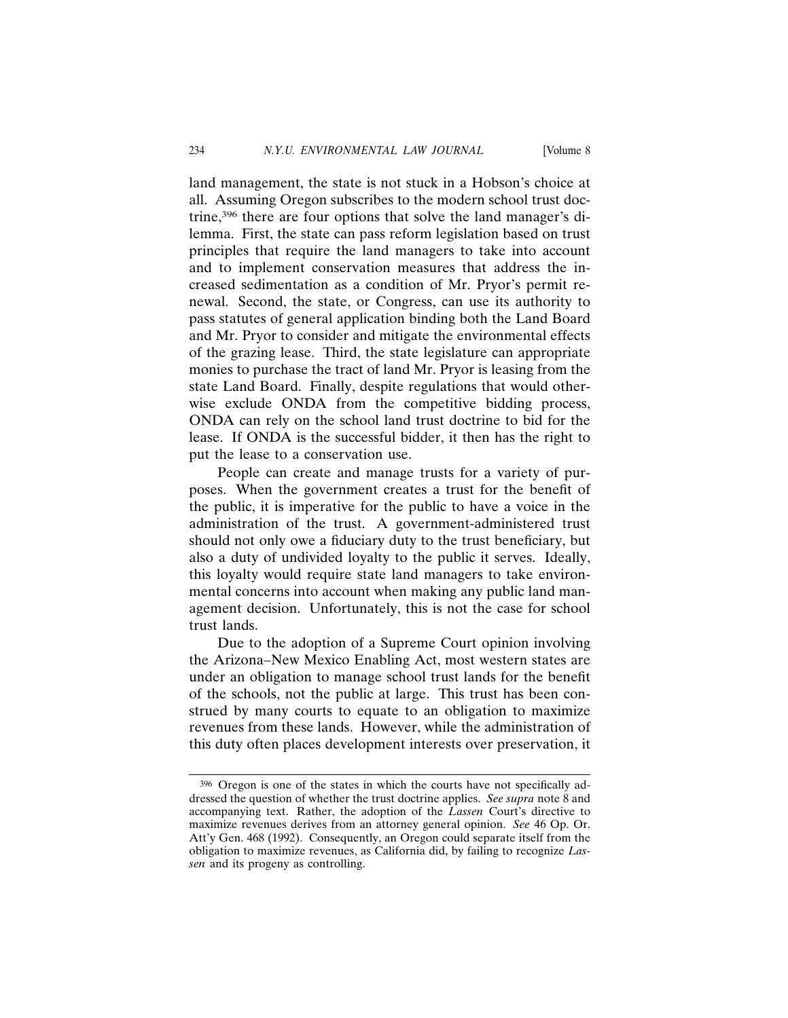land management, the state is not stuck in a Hobson's choice at all. Assuming Oregon subscribes to the modern school trust doctrine,396 there are four options that solve the land manager's dilemma. First, the state can pass reform legislation based on trust principles that require the land managers to take into account and to implement conservation measures that address the increased sedimentation as a condition of Mr. Pryor's permit renewal. Second, the state, or Congress, can use its authority to pass statutes of general application binding both the Land Board and Mr. Pryor to consider and mitigate the environmental effects of the grazing lease. Third, the state legislature can appropriate monies to purchase the tract of land Mr. Pryor is leasing from the state Land Board. Finally, despite regulations that would otherwise exclude ONDA from the competitive bidding process, ONDA can rely on the school land trust doctrine to bid for the lease. If ONDA is the successful bidder, it then has the right to put the lease to a conservation use.

People can create and manage trusts for a variety of purposes. When the government creates a trust for the benefit of the public, it is imperative for the public to have a voice in the administration of the trust. A government-administered trust should not only owe a fiduciary duty to the trust beneficiary, but also a duty of undivided loyalty to the public it serves. Ideally, this loyalty would require state land managers to take environmental concerns into account when making any public land management decision. Unfortunately, this is not the case for school trust lands.

Due to the adoption of a Supreme Court opinion involving the Arizona–New Mexico Enabling Act, most western states are under an obligation to manage school trust lands for the benefit of the schools, not the public at large. This trust has been construed by many courts to equate to an obligation to maximize revenues from these lands. However, while the administration of this duty often places development interests over preservation, it

<sup>396</sup> Oregon is one of the states in which the courts have not specifically addressed the question of whether the trust doctrine applies. *See supra* note 8 and accompanying text. Rather, the adoption of the *Lassen* Court's directive to maximize revenues derives from an attorney general opinion. *See* 46 Op. Or. Att'y Gen. 468 (1992). Consequently, an Oregon could separate itself from the obligation to maximize revenues, as California did, by failing to recognize *Lassen* and its progeny as controlling.